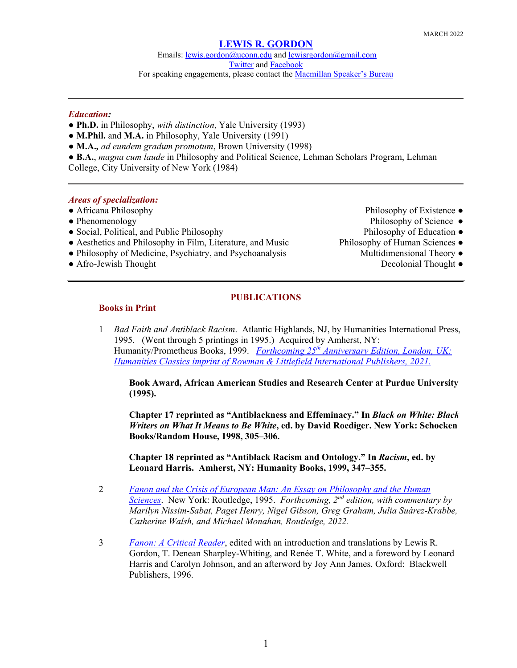Emails: [lewis.gordon@uconn.edu](mailto:lewis.gordon@uconn.edu) an[d lewisrgordon@gmail.com](mailto:lewisrgordon@gmail.com) [Twitter](https://twitter.com/lewgord) and [Facebook](https://www.facebook.com/LewisGordonPhilosopher/) For speaking engagements, please contact the **Macmillan Speaker's Bureau** 

## *Education:*

- **Ph.D.** in Philosophy, *with distinction*, Yale University (1993)
- **● M.Phil.** and **M.A.** in Philosophy, Yale University (1991)
- **● M.A.***, ad eundem gradum promotum*, Brown University (1998)
- **● B.A.**, *magna cum laude* in Philosophy and Political Science, Lehman Scholars Program, Lehman College, City University of New York (1984)

## *Areas of specialization:*

- 
- 
- Social, Political, and Public Philosophy Philosophy Philosophy of Education ●
- Aesthetics and Philosophy in Film, Literature, and Music Philosophy of Human Sciences •
- Philosophy of Medicine, Psychiatry, and Psychoanalysis Multidimensional Theory •
- Afro-Jewish Thought **Decolonial Thought Decolonial Thought**
- Africana Philosophy **Philosophy Philosophy of Existence Philosophy of Existence Philosophy of Existence**
- Phenomenology Philosophy of Science
	-
	- - -

## **PUBLICATIONS**

## **Books in Print**

1 *Bad Faith and Antiblack Racism*. Atlantic Highlands, NJ, by Humanities International Press, 1995. (Went through 5 printings in 1995.) Acquired by Amherst, NY: Humanity/Prometheus Books, 1999. *Forthcoming 25th [Anniversary Edition, London, UK:](https://rowman.com/ISBN/9781538143667/Bad-Faith-and-Antiblack-Racism-2nd-Edition) Humanities Classics imprint of [Rowman & Littlefield International Publishers, 2021.](https://rowman.com/ISBN/9781538143667/Bad-Faith-and-Antiblack-Racism-2nd-Edition)*

**Book Award, African American Studies and Research Center at Purdue University (1995).**

**Chapter 17 reprinted as "Antiblackness and Effeminacy." In** *Black on White: Black Writers on What It Means to Be White***, ed. by David Roediger. New York: Schocken Books/Random House, 1998, 305–306.** 

**Chapter 18 reprinted as "Antiblack Racism and Ontology." In** *Racism***, ed. by Leonard Harris. Amherst, NY: Humanity Books, 1999, 347–355.** 

- 2 *[Fanon and the Crisis of European Man: An Essay on Philosophy and the Human](https://www.routledge.com/Fanon-and-the-Crisis-of-European-Man-An-Essay-on-Philosophy-and-the-Human/Gordon/p/book/9780415914154)  [Sciences](https://www.routledge.com/Fanon-and-the-Crisis-of-European-Man-An-Essay-on-Philosophy-and-the-Human/Gordon/p/book/9780415914154)*. New York: Routledge, 1995. *Forthcoming, 2nd edition, with commentary by Marilyn Nissim-Sabat, Paget Henry, Nigel Gibson, Greg Graham, Julia Suàrez-Krabbe, Catherine Walsh, and Michael Monahan, Routledge, 2022.*
- 3 *[Fanon: A Critical Reader](https://www.wiley.com/en-us/Fanon%3A+A+Critical+Reader-p-9781557868961)*, edited with an introduction and translations by Lewis R. Gordon, T. Denean Sharpley-Whiting, and Renée T. White, and a foreword by Leonard Harris and Carolyn Johnson, and an afterword by Joy Ann James. Oxford: Blackwell Publishers, 1996.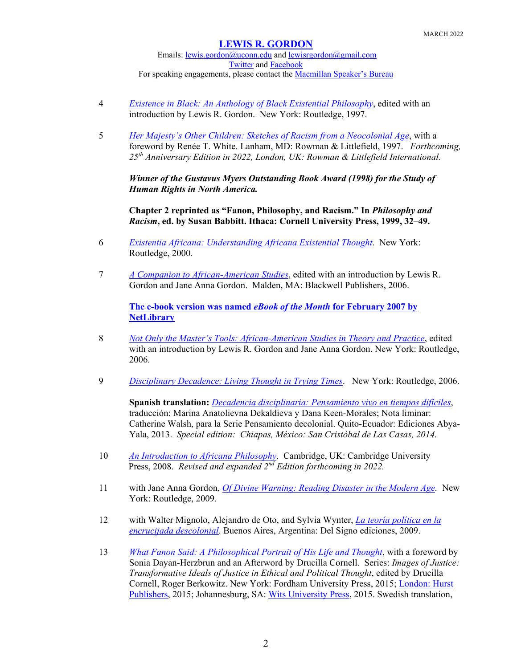Emails: [lewis.gordon@uconn.edu](mailto:lewis.gordon@uconn.edu) an[d lewisrgordon@gmail.com](mailto:lewisrgordon@gmail.com) [Twitter](https://twitter.com/lewgord) and [Facebook](https://www.facebook.com/LewisGordonPhilosopher/) For speaking engagements, please contact the **Macmillan Speaker's Bureau** 

- 4 *[Existence in Black: An Anthology of Black Existential Philosophy](https://www.routledge.com/Existence-in-Black-An-Anthology-of-Black-Existential-Philosophy/Gordon/p/book/9780415914512)*, edited with an introduction by Lewis R. Gordon. New York: Routledge, 1997.
- 5 *[Her Majesty's Other Children: Sketches of Racism from a Neocolonial Age](https://rowman.com/isbn/9780847684472/her-majesty%27s-other-children-sketches-of-racism-from-a-neocolonial-age)*, with a foreword by Renée T. White. Lanham, MD: Rowman & Littlefield, 1997. *Forthcoming, 25th Anniversary Edition in 2022, London, UK: Rowman & Littlefield International.*

*Winner of the Gustavus Myers Outstanding Book Award (1998) for the Study of Human Rights in North America.*

**Chapter 2 reprinted as "Fanon, Philosophy, and Racism." In** *Philosophy and Racism***, ed. by Susan Babbitt. Ithaca: Cornell University Press, 1999, 32–49.** 

- 6 *[Existentia Africana: Understanding Africana Existential Thought](https://www.routledge.com/Existentia-Africana-Understanding-Africana-Existential-Thought-1st-Edition/Gordon/p/book/9780415926447?gclid=Cj0KCQjwz4z3BRCgARIsAES_OVdCKXbJ4xmFHLIY0Pisr88YYfLBCI3NoZhhL0Im6l9xj6mD7b2h5WoaAnDPEALw_wcB)*. New York: Routledge, 2000.
- 7 *[A Companion to African-American Studies](https://onlinelibrary.wiley.com/doi/book/10.1002/9780470996645)*, edited with an introduction by Lewis R. Gordon and Jane Anna Gordon. Malden, MA: Blackwell Publishers, 2006.

**The e-[book version was named](http://hiu-library.blogspot.com/2007/02/netlibrarys-february-ebook-of-month.html)** *eBook of the Month* **for February 2007 by [NetLibrary](http://hiu-library.blogspot.com/2007/02/netlibrarys-february-ebook-of-month.html)**

- 8 *[Not Only the Master's Tools: African-American Studies in Theory and Practice](https://www.routledge.com/Not-Only-the-Masters-Tools-African-American-Studies-in-Theory-and-Practice/Gordon-Gordon/p/book/9781594511479)*, edited with an introduction by Lewis R. Gordon and Jane Anna Gordon. New York: Routledge, 2006.
- 9 *[Disciplinary Decadence: Living Thought in Trying](https://www.routledge.com/Disciplinary-Decadence-Living-Thought-in-Trying-Times-1st-Edition/Gordon/p/book/9781594512568?gclid=Cj0KCQjwz4z3BRCgARIsAES_OVeEJpeYed6BfMoXvmH59T56XDEAbF0K4eUSTRFQ_BlHMHZ7806dIBsaApYKEALw_wcB) Times*. New York: Routledge, 2006.

**Spanish translation:** *[Decadencia disciplinaria: Pensamiento vivo en tiempos difíciles](http://sodilibro.com/wp/producto/decadencia-disciplinaria-pensamiento-vivo-en-tiempos-dificiles/)*, traducción: Marina Anatolievna Dekaldieva y Dana Keen-Morales; Nota liminar: Catherine Walsh, para la Serie Pensamiento decolonial. Quito-Ecuador: Ediciones Abya-Yala, 2013. *Special edition: Chiapas, México: San Cristóbal de Las Casas, 2014.*

- 10 *[An Introduction to Africana Philosophy](https://www.cambridge.org/core/books/an-introduction-to-africana-philosophy/748EDD977C6036179B2BEC24BD6208E2)*. Cambridge, UK: Cambridge University Press, 2008. *Revised and expanded 2nd Edition forthcoming in 2022.*
- 11 with Jane Anna Gordon*, [Of Divine Warning: Reading Disaster in the Modern Age.](https://www.routledge.com/Of-Divine-Warning-Disaster-in-a-Modern-Age-1st-Edition/Gordon-Gordon/p/book/9781594515392)* New York: Routledge, 2009.
- 12 with Walter Mignolo, Alejandro de Oto, and Sylvia Wynter, *[La teoría política en la](https://www.traficantes.net/libros/la-teor%C3%ADa-pol%C3%ADtica-en-la-encrucijada-descolonial)  [encrucijada descolonial](https://www.traficantes.net/libros/la-teor%C3%ADa-pol%C3%ADtica-en-la-encrucijada-descolonial)*. Buenos Aires, Argentina: Del Signo ediciones, 2009.
- 13 *[What Fanon Said: A Philosophical Portrait of His Life and Thought](https://www.fordhampress.com/9780823266081/what-fanon-said/)*, with a foreword by Sonia Dayan-Herzbrun and an Afterword by Drucilla Cornell. Series: *Images of Justice: Transformative Ideals of Justice in Ethical and Political Thought*, edited by Drucilla Cornell, Roger Berkowitz. New York: Fordham University Press, 2015; London: Hurst [Publishers,](https://www.hurstpublishers.com/book/what-fanon-said/) 2015; Johannesburg, SA: [Wits University Press,](https://witspress.co.za/catalogue/what-fanon-said/) 2015. Swedish translation,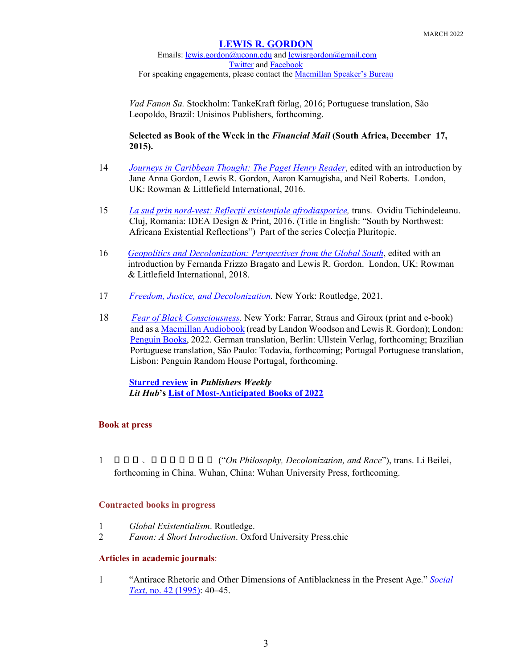Emails: [lewis.gordon@uconn.edu](mailto:lewis.gordon@uconn.edu) an[d lewisrgordon@gmail.com](mailto:lewisrgordon@gmail.com) [Twitter](https://twitter.com/lewgord) and [Facebook](https://www.facebook.com/LewisGordonPhilosopher/) For speaking engagements, please contact the **Macmillan Speaker's Bureau** 

*Vad Fanon Sa.* Stockholm: TankeKraft förlag, 2016; Portuguese translation, São Leopoldo, Brazil: Unisinos Publishers, forthcoming.

## **Selected as Book of the Week in the** *Financial Mail* **(South Africa, December 17, 2015).**

- 14 *[Journeys in Caribbean Thought: The Paget Henry Reader](https://rowman.com/ISBN/9781783489350/Journeys-in-Caribbean-Thought-The-Paget-Henry-Reader)*, edited with an introduction by Jane Anna Gordon, Lewis R. Gordon, Aaron Kamugisha, and Neil Roberts. London, UK: Rowman & Littlefield International, 2016.
- 15 *La sud prin nord-vest[: Reflecţii existenţiale afrodiasporice](http://www.idea.ro/editura/ro/la-sud-prin-nord-vest-reflecii-existeniale-afrodiasporice-d161.html),* trans. Ovidiu Tichindeleanu. Cluj, Romania: IDEA Design & Print, 2016. (Title in English: "South by Northwest: Africana Existential Reflections") Part of the series Colecția Pluritopic.
- 16 *[Geopolitics and Decolonization: Perspectives from the Global South](https://rowman.com/ISBN/9781786610881/Geopolitics-and-Decolonization-Perspectives-from-the-Global-South)*, edited with an introduction by Fernanda Frizzo Bragato and Lewis R. Gordon. London, UK: Rowman & Littlefield International, 2018.
- 17 *[Freedom, Justice, and Decolonization.](https://www.routledge.com/Freedom-Justice-and-Decolonization/Gordon/p/book/9780367632465)* New York: Routledge, 2021.
- 18 *[Fear of Black Consciousness](https://us.macmillan.com/books/9780374159023)*. New York: Farrar, Straus and Giroux (print and e-book) and as [a Macmillan Audiobook](https://us.macmillan.com/books/9781250843203/fearofblackconsciousness) (read by Landon Woodson and Lewis R. Gordon); London: [Penguin Books,](https://www.penguin.co.uk/books/312007/fear-of-black-consciousness/9780241374139.html) 2022. German translation, Berlin: Ullstein Verlag, forthcoming; Brazilian Portuguese translation, São Paulo: Todavia, forthcoming; Portugal Portuguese translation, Lisbon: Penguin Random House Portugal, forthcoming.

**[Starred review](https://www.publishersweekly.com/978-0-374-15902-3) in** *Publishers Weekly Lit Hub***'s List of Most-[Anticipated Books of 2022](https://lithub.com/lit-hubs-most-anticipated-books-of-2022/)**

## **Book at press**

1 论 哲学 、去殖民化与种族 ("*On Philosophy, Decolonization, and Race*"), trans. Li Beilei, forthcoming in China. Wuhan, China: Wuhan University Press, forthcoming.

## **Contracted books in progress**

- 1 *Global Existentialism*. Routledge.
- 2 *Fanon: A Short Introduction*. Oxford University Press.chic

## **Articles in academic journals**:

1 "Antirace Rhetoric and Other Dimensions of Antiblackness in the Present Age." *[Social](https://www.jstor.org/stable/466663?seq=1)  Text*[, no. 42 \(1995\):](https://www.jstor.org/stable/466663?seq=1) 40–45.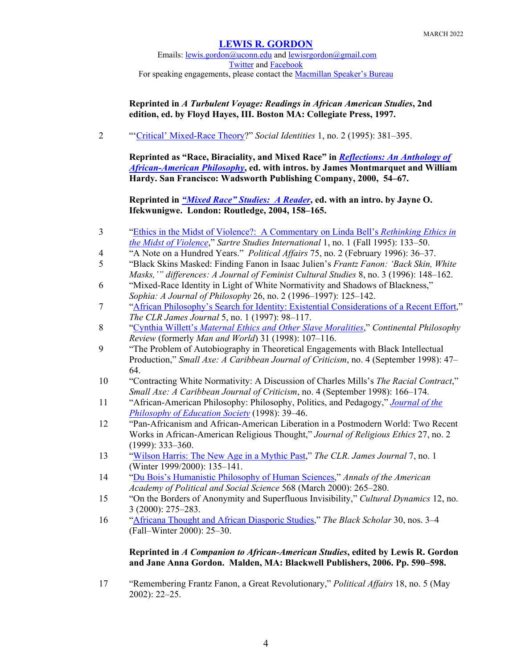Emails: [lewis.gordon@uconn.edu](mailto:lewis.gordon@uconn.edu) an[d lewisrgordon@gmail.com](mailto:lewisrgordon@gmail.com) [Twitter](https://twitter.com/lewgord) and [Facebook](https://www.facebook.com/LewisGordonPhilosopher/) For speaking engagements, please contact the **Macmillan Speaker's Bureau** 

**Reprinted in** *A Turbulent Voyage: Readings in African American Studies***, 2nd edition, ed. by Floyd Hayes, III. Boston MA: Collegiate Press, 1997.**

2 "['Critical' Mixed-Race Theory?](https://www.tandfonline.com/doi/abs/10.1080/13504630.1995.9959443)" *Social Identities* 1, no. 2 (1995): 381–395.

**Reprinted as "Race, Biraciality, and Mixed Race" in** *[Reflections: An Anthology of](https://vufind.carli.illinois.edu/all/vf/Record/2311903/TOC)  [African-American Philosophy](https://vufind.carli.illinois.edu/all/vf/Record/2311903/TOC)***, ed. with intros. by James Montmarquet and William Hardy. San Francisco: Wadsworth Publishing Company, 2000, 54–67.** 

**Reprinted in** *["Mixed Race" Studies: A Reader](https://www.routledge.com/Mixed-Race-Studies-A-Reader-1st-Edition/Ifekwunigwe/p/book/9780415321648)***, ed. with an intro. by Jayne O. Ifekwunigwe. London: Routledge, 2004, 158–165.**

- 3 ["Ethics in the Midst of Violence?: A Commentary on Linda Bell's](https://www.jstor.org/stable/23512989?seq=1) *Rethinking Ethics in [the Midst of Violence](https://www.jstor.org/stable/23512989?seq=1)*," *Sartre Studies International* 1, no. 1 (Fall 1995): 133–50.
- 4 "A Note on a Hundred Years." *Political Affairs* 75, no. 2 (February 1996): 36–37.
- 5 "Black Skins Masked: Finding Fanon in Isaac Julien's *Frantz Fanon: 'Back Skin, White Masks,'" differences: A Journal of Feminist Cultural Studies* 8, no. 3 (1996): 148–162.
- 6 "Mixed-Race Identity in Light of White Normativity and Shadows of Blackness," *Sophia: A Journal of Philosophy* 26, no. 2 (1996–1997): 125–142.
- 7 ["African Philosophy's Search for Identity: Existential Considerations of a Recent Effort,](https://www.pdcnet.org/clrjames/content/clrjames_1997_0005_0001_0098_0117)" *The CLR James Journal* 5, no. 1 (1997): 98–117.
- 8 "Cynthia Willett's *[Maternal Ethics and Other Slave Moralities](https://link.springer.com/article/10.1023/A:1010048004628)*," *Continental Philosophy Review* (formerly *Man and World*) 31 (1998): 107–116.
- 9 "The Problem of Autobiography in Theoretical Engagements with Black Intellectual Production," *Small Axe: A Caribbean Journal of Criticism*, no. 4 (September 1998): 47– 64.
- 10 "Contracting White Normativity: A Discussion of Charles Mills's *The Racial Contract*," *Small Axe: A Caribbean Journal of Criticism*, no. 4 (September 1998): 166–174.
- 11 "African-American Philosophy: Philosophy, Politics, and Pedagogy," *[Journal of the](https://educationjournal.web.illinois.edu/archive/index.php/pes/issue/view/20.html)  [Philosophy of Education Society](https://educationjournal.web.illinois.edu/archive/index.php/pes/issue/view/20.html)* (1998): 39–46.
- 12 "Pan-Africanism and African-American Liberation in a Postmodern World: Two Recent Works in African-American Religious Thought," *Journal of Religious Ethics* 27, no. 2 (1999): 333–360.
- 13 ["Wilson Harris: The New Age in a Mythic Past,](https://www.pdcnet.org/clrjames/content/clrjames_1999_0007_0001_0135_0141)" *The CLR. James Journal* 7, no. 1 (Winter 1999/2000): 135–141.
- 14 ["Du Bois's Humanistic Philosophy of Human Sciences,](https://journals.sagepub.com/doi/abs/10.1177/000271620056800119)" *Annals of the American Academy of Political and Social Science* 568 (March 2000): 265–280.
- 15 "On the Borders of Anonymity and Superfluous Invisibility," *Cultural Dynamics* 12, no. 3 (2000): 275–283.
- 16 ["Africana Thought and African Diasporic Studies,](https://www.jstor.org/stable/41068895?seq=1)" *The Black Scholar* 30, nos. 3–4 (Fall–Winter 2000): 25–30.

## **Reprinted in** *A Companion to African-American Studies***, edited by Lewis R. Gordon and Jane Anna Gordon. Malden, MA: Blackwell Publishers, 2006. Pp. 590–598.**

17 "Remembering Frantz Fanon, a Great Revolutionary," *Political Affairs* 18, no. 5 (May 2002): 22–25.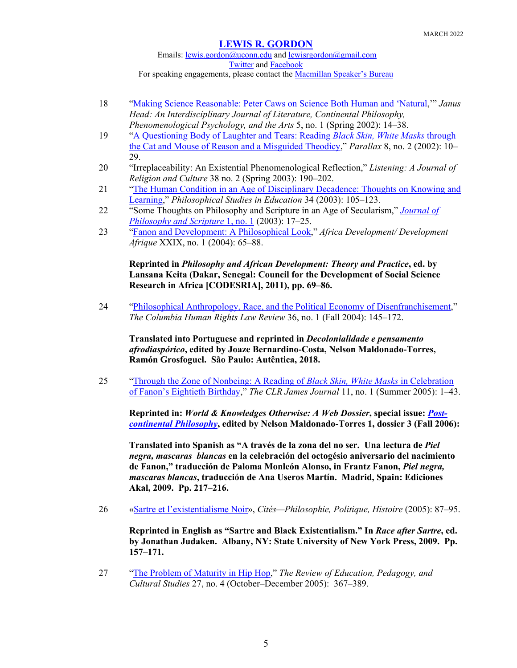Emails: [lewis.gordon@uconn.edu](mailto:lewis.gordon@uconn.edu) an[d lewisrgordon@gmail.com](mailto:lewisrgordon@gmail.com) [Twitter](https://twitter.com/lewgord) and [Facebook](https://www.facebook.com/LewisGordonPhilosopher/) For speaking engagements, please contact the **Macmillan Speaker's Bureau** 

- 18 ["Making Science Reasonable: Peter Caws on Science Both Human and 'Natural,](http://www.janushead.org/5-1/Gordon.cfm)'" *Janus Head: An Interdisciplinary Journal of Literature, Continental Philosophy, Phenomenological Psychology, and the Arts* 5, no. 1 (Spring 2002): 14–38.
- 19 ["A Questioning Body of Laughter and Tears: Reading](https://www.tandfonline.com/doi/abs/10.1080/13534640210130395) *Black Skin, White Masks* through [the Cat and Mouse of Reason and a Misguided Theodicy,](https://www.tandfonline.com/doi/abs/10.1080/13534640210130395)" *Parallax* 8, no. 2 (2002): 10– 29.
- 20 "Irreplaceability: An Existential Phenomenological Reflection," *Listening: A Journal of Religion and Culture* 38 no. 2 (Spring 2003): 190–202.
- 21 ["The Human Condition in an Age of Disciplinary Decadence: Thoughts on Knowing and](http://ovpes.org/wp-content/uploads/2012/01/gordon2003.pdf)  [Learning,](http://ovpes.org/wp-content/uploads/2012/01/gordon2003.pdf)" *Philosophical Studies in Education* 34 (2003): 105–123.
- 22 "Some Thoughts on Philosophy and Scripture in an Age of Secularism," *[Journal of](https://journalofphilosophyandscripture.org/)  [Philosophy and Scripture](https://journalofphilosophyandscripture.org/)* 1, no. 1 (2003): 17–25.
- 23 ["Fanon and Development: A Philosophical Look,](https://codesria.org/IMG/pdf/4-3.pdf)" *Africa Development/ Development Afrique* XXIX, no. 1 (2004): 65–88.

**Reprinted in** *Philosophy and African Development: Theory and Practice***, ed. by Lansana Keita (Dakar, Senegal: Council for the Development of Social Science Research in Africa [CODESRIA], 2011), pp. 69–86.** 

24 ["Philosophical Anthropology, Race, and the Political Economy of Disenfranchisement,](https://heinonline.org/HOL/LandingPage?handle=hein.journals/colhr36&div=12&id=&page=)" *The Columbia Human Rights Law Review* 36, no. 1 (Fall 2004): 145–172.

**Translated into Portuguese and reprinted in** *Decolonialidade e pensamento afrodiaspórico***, edited by Joaze Bernardino-Costa, Nelson Maldonado-Torres, Ramón Grosfoguel. São Paulo: Autêntica, 2018.**

25 ["Through the Zone of Nonbeing: A Reading of](https://www.pdcnet.org/clrjames/content/clrjames_2005_0011_0001_0001_0043) *Black Skin, White Masks* in Celebration [of Fanon's Eightieth Birthday,](https://www.pdcnet.org/clrjames/content/clrjames_2005_0011_0001_0001_0043)" *The CLR James Journal* 11, no. 1 (Summer 2005): 1–43.

**Reprinted in:** *World & Knowledges Otherwise: A Web Dossier***, special issue:** *[Post](https://globalstudies.trinity.duke.edu/projects/wko-post-continental)[continental Philosophy](https://globalstudies.trinity.duke.edu/projects/wko-post-continental)***, edited by Nelson Maldonado-Torres 1, dossier 3 (Fall 2006):** 

**Translated into Spanish as "A través de la zona del no ser. Una lectura de** *Piel negra, mascaras blancas* **en la celebración del octogésio aniversario del nacimiento de Fanon," traducción de Paloma Monleón Alonso, in Frantz Fanon,** *Piel negra, mascaras blancas***, traducción de Ana Useros Martín. Madrid, Spain: Ediciones Akal, 2009. Pp. 217–216.**

26 [«Sartre et l'existentialisme Noir»](https://www.cairn.info/revue-cites-2005-2-page-89.htm), *Cités—Philosophie, Politique, Histoire* (2005): 87–95.

**Reprinted in English as "Sartre and Black Existentialism." In** *Race after Sartre***, ed. by Jonathan Judaken. Albany, NY: State University of New York Press, 2009. Pp. 157–171.**

27 ["The Problem of Maturity in Hip Hop,](https://www.tandfonline.com/doi/abs/10.1080/10714410500339020)" *The Review of Education, Pedagogy, and Cultural Studies* 27, no. 4 (October–December 2005): 367–389.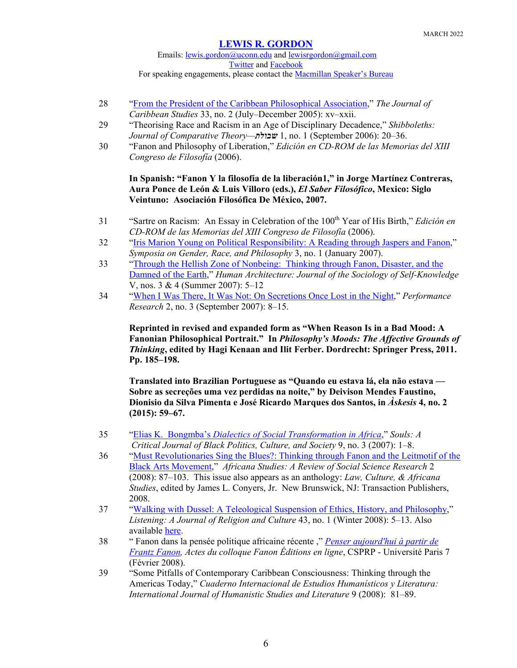Emails: [lewis.gordon@uconn.edu](mailto:lewis.gordon@uconn.edu) an[d lewisrgordon@gmail.com](mailto:lewisrgordon@gmail.com) [Twitter](https://twitter.com/lewgord) and [Facebook](https://www.facebook.com/LewisGordonPhilosopher/) For speaking engagements, please contact the **Macmillan Speaker's Bureau** 

- 28 ["From the President of the Caribbean Philosophical Association,](https://www.jstor.org/stable/25613483?seq=1)" *The Journal of Caribbean Studies* 33, no. 2 (July–December 2005): xv–xxii.
- 29 "Theorising Race and Racism in an Age of Disciplinary Decadence," *Shibboleths: Journal of Comparative Theory—שבולת* 1, no. 1 (September 2006): 20–36.
- 30 "Fanon and Philosophy of Liberation," *Edición en CD-ROM de las Memorias del XIII Congreso de Filosofía* (2006).

## **In Spanish: "Fanon Y la filosofía de la liberación1," in Jorge Martínez Contreras, Aura Ponce de León & Luis Villoro (eds.),** *El Saber Filosófico***, Mexico: Siglo Veintuno: Asociación Filosófica De México, 2007.**

- 31 "Sartre on Racism: An Essay in Celebration of the 100th Year of His Birth," *Edición en CD-ROM de las Memorias del XIII Congreso de Filosofía* (2006).
- 32 ["Iris Marion Young on Political Responsibility: A Reading through Jaspers and Fanon,](http://web.mit.edu/sgrp/2007/no1/Gordon0107.pdf)" *Symposia on Gender, Race, and Philosophy* 3, no. 1 (January 2007).
- 33 ["Through the Hellish Zone of Nonbeing: Thinking through Fanon, Disaster, and the](https://scholarworks.umb.edu/humanarchitecture/vol5/iss3/3/)  [Damned of the Earth,](https://scholarworks.umb.edu/humanarchitecture/vol5/iss3/3/)" *Human Architecture: Journal of the Sociology of Self-Knowledge* V, nos. 3 & 4 (Summer 2007): 5–12
- 34 ["When I Was There, It Was Not: On Secretions Once Lost in the Night,](https://www.tandfonline.com/doi/abs/10.1080/13528160701771261?journalCode=rprs20)" *Performance Research* 2, no. 3 (September 2007): 8–15.

**Reprinted in revised and expanded form as "When Reason Is in a Bad Mood: A Fanonian Philosophical Portrait." In** *Philosophy's Moods: The Affective Grounds of Thinking***, edited by Hagi Kenaan and Ilit Ferber. Dordrecht: Springer Press, 2011. Pp. 185–198.**

**Translated into Brazilian Portuguese as "Quando eu estava lá, ela não estava — Sobre as secreções uma vez perdidas na noite," by Deivison Mendes Faustino, Dionisio da Silva Pimenta e José Ricardo Marques dos Santos, in** *Àskesis* **4, no. 2 (2015): 59–67.**

- 35 "Elias K. Bongmba's *Dialectics [of Social Transformation in Africa](https://www.tandfonline.com/doi/abs/10.1080/10999940701533399)*," *Souls: A Critical Journal of Black Politics, Culture, and Society* 9, no. 3 (2007): 1–8.
- 36 ["Must Revolutionaries Sing the Blues?: Thinking through Fanon and the Leitmotif of the](https://www.researchgate.net/publication/309462332_Must_Revolutionaries_Sing_the_Blues_Thinking_through_Fanon_and_the_Leitmotif_of_the_Black_Arts_Movement)  [Black Arts Movement,](https://www.researchgate.net/publication/309462332_Must_Revolutionaries_Sing_the_Blues_Thinking_through_Fanon_and_the_Leitmotif_of_the_Black_Arts_Movement)" *Africana Studies: A Review of Social Science Research* 2 (2008): 87–103. This issue also appears as an anthology: *Law, Culture, & Africana Studies*, edited by James L. Conyers, Jr. New Brunswick, NJ: Transaction Publishers, 2008.
- 37 ["Walking with Dussel: A Teleological Suspension of Ethics, History, and Philosophy,](http://readingfanon.blogspot.com/2014/08/lewis-gordon-walking-with-dussel.html)" *Listening: A Journal of Religion and Culture* 43, no. 1 (Winter 2008): 5–13. Also available [here.](https://enriquedussel.com/txt/Listening_completo.pdf)
- 38 " Fanon dans la pensée politique africaine récente ," *[Penser aujourd'hui à partir de](http://www.csprp.univ-paris-diderot.fr/Penser-aujourd-hui-a-partir-de-171)  [Frantz Fanon,](http://www.csprp.univ-paris-diderot.fr/Penser-aujourd-hui-a-partir-de-171) Actes du colloque Fanon Éditions en ligne*, CSPRP - Université Paris 7 (Février 2008).
- 39 "Some Pitfalls of Contemporary Caribbean Consciousness: Thinking through the Americas Today," *Cuaderno Internacional de Estudios Humanísticos y Literatura: International Journal of Humanistic Studies and Literature* 9 (2008): 81–89.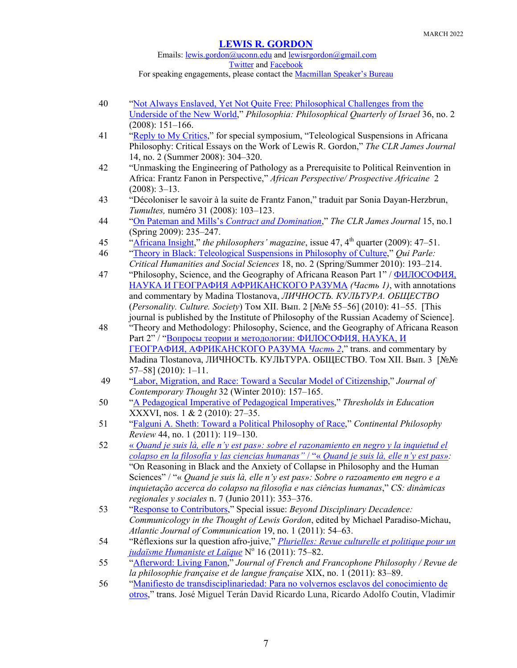# Emails: [lewis.gordon@uconn.edu](mailto:lewis.gordon@uconn.edu) an[d lewisrgordon@gmail.com](mailto:lewisrgordon@gmail.com) [Twitter](https://twitter.com/lewgord) and [Facebook](https://www.facebook.com/LewisGordonPhilosopher/)

For speaking engagements, please contact the **Macmillan Speaker's Bureau** 

- 40 ["Not Always Enslaved, Yet Not Quite Free: Philosophical Challenges from the](https://www.semanticscholar.org/paper/Not-Always-Enslaved%2C-Yet-Not-Quite-Free%3A-Challenges-Gordon/573f2e0f848f0819be93508211554978c9a7cd8f)  [Underside of the New World,](https://www.semanticscholar.org/paper/Not-Always-Enslaved%2C-Yet-Not-Quite-Free%3A-Challenges-Gordon/573f2e0f848f0819be93508211554978c9a7cd8f)" *Philosophia: Philosophical Quarterly of Israel* 36, no. 2 (2008): 151–166.
- 41 ["Reply to My Critics,](https://www.pdcnet.org/clrjames/content/clrjames_2008_0014_0001_0304_0320)" for special symposium, "Teleological Suspensions in Africana Philosophy: Critical Essays on the Work of Lewis R. Gordon," *The CLR James Journal* 14, no. 2 (Summer 2008): 304–320.
- 42 "Unmasking the Engineering of Pathology as a Prerequisite to Political Reinvention in Africa: Frantz Fanon in Perspective," *African Perspective/ Prospective Africaine* 2 (2008): 3–13.
- 43 "Décoloniser le savoir à la suite de Frantz Fanon," traduit par Sonia Dayan-Herzbrun, *Tumultes,* numéro 31 (2008): 103–123.
- 44 "On Pateman and Mills's *[Contract and Domination](https://www.pdcnet.org/clrjames/content/clrjames_2009_0015_0001_0235_0247)*," *The CLR James Journal* 15, no.1 (Spring 2009): 235–247.
- 45 ["Africana Insight,](https://www.pdcnet.org/tpm/content/tpm_2009_0047_0047_0051)" *the philosophers' magazine*, issue 47, 4th quarter (2009): 47–51.
- 46 ["Theory in Black: Teleological Suspensions in Philosophy of Culture,](https://read.dukeupress.edu/qui-parle/article-abstract/18/2/193/10151/Theory-in-BlackTeleological-Suspensions-in?redirectedFrom=fulltext)" *Qui Parle: Critical Humanities and Social Sciences* 18, no. 2 (Spring/Summer 2010): 193–214.
- 47 "Philosophy, Science, and the Geography of Africana Reason Part 1" / [ФИЛОСОФИЯ,](https://www.researchgate.net/publication/311454847_FILOSOFIA_NAUKA_I_GEOGRAFIA_AFRIKANSKOGO_RAZUMA_Cast_1)  [НАУКА И ГЕОГРАФИЯ АФРИКАНСКОГО РАЗУМА](https://www.researchgate.net/publication/311454847_FILOSOFIA_NAUKA_I_GEOGRAFIA_AFRIKANSKOGO_RAZUMA_Cast_1) *(Часть 1)*, with annotations and commentary by Madina Tlostanova, *ЛИЧНОСТЬ. КУЛЬТУРА. ОБЩЕСТВО*  (*Personality. Culture. Society*) Том XII. Вып. 2 [№№ 55–56] (2010): 41–55. [This journal is published by the Institute of Philosophy of the Russian Academy of Science].
- 48 "Theory and Methodology: Philosophy, Science, and the Geography of Africana Reason Part 2" / "[Вопросы теории и методологии: ФИЛОСОФИЯ, НАУКА, И](https://www.researchgate.net/publication/311454689_Voprosy_teorii_i_metodologii_FILOSOFIA_NAUKA_I_GEOGRAFIA_AFRIKANSKOGO_RAZUMA_Cast_2)  [ГЕОГРАФИЯ, АФРИКАНСКОГО РАЗУМА](https://www.researchgate.net/publication/311454689_Voprosy_teorii_i_metodologii_FILOSOFIA_NAUKA_I_GEOGRAFIA_AFRIKANSKOGO_RAZUMA_Cast_2) *Часть 2*," trans. and commentary by Madina Tlostanova, ЛИЧНОСТЬ. КУЛЬТУРА. ОБЩЕСТВО. Том XII. Вып. 3 [№№ 57–58] (2010): 1–11.
- 49 ["Labor, Migration, and Race: Toward a Secular Model of Citizenship,](https://www.researchgate.net/publication/311454771_Labor_Migration_and_Race_Toward_a_Secular_Model_of_Citizenship)" *Journal of Contemporary Thought* 32 (Winter 2010): 157–165.
- 50 ["A Pedagogical Imperative of Pedagogical Imperatives,](https://www.researchgate.net/publication/311454744_A_Pedagogical_Imperative_of_Pedagogical_Imperatives)" *Thresholds in Education* XXXVI, nos. 1 & 2 (2010): 27–35.
- 51 ["Falguni A. Sheth: Toward a Political Philosophy of Race,](https://link.springer.com/article/10.1007/s11007-011-9171-z)" *Continental Philosophy Review* 44, no. 1 (2011): 119–130.
- 52 « *[Quand je suis là, elle n'y est pas»: sobre el razonamiento en negro y la inquietud el](http://www.scielo.org.co/scielo.php?script=sci_abstract&pid=S2011-03242011000100012)  [colapso en la filosofía y las ciencias humanas"](http://www.scielo.org.co/scielo.php?script=sci_abstract&pid=S2011-03242011000100012)* / "« *Quand je suis là, elle n'y est pas»:*  "On Reasoning in Black and the Anxiety of Collapse in Philosophy and the Human Sciences" / "« *Quand je suis là, elle n'y est pas»: Sobre o razoamento em negro e a inquietação accerca do colapso na filosofia e nas ciências humanas*," *CS: dinàmicas regionales y sociales* n. 7 (Junio 2011): 353–376.
- 53 "Response [to Contributors,](https://www.tandfonline.com/doi/full/10.1080/15456870.2011.537601)" Special issue: *Beyond Disciplinary Decadence: Communicology in the Thought of Lewis Gordon*, edited by Michael Paradiso-Michau, *Atlantic Journal of Communication* 19, no. 1 (2011): 54–63.
- 54 "Réflexions sur la question afro-juive," *[Plurielles: Revue culturelle et politique pour un](http://www.ajhl.org/revue_plurielles.html)  [judaïsme Humaniste et Laïque](http://www.ajhl.org/revue_plurielles.html)* N° 16 (2011): 75–82.
- 55 ["Afterword: Living Fanon,](https://jffp.pitt.edu/ojs/index.php/jffp/article/view/480)" *Journal of French and Francophone Philosophy / Revue de la philosophie française et de langue française* XIX, no. 1 (2011): 83–89.
- 56 ["Manifiesto de transdisciplinariedad: Para no volvernos esclavos del conocimiento de](https://doaj.org/article/8ed38e6c09014cc8bcb017bad3422be2)  [otros,](https://doaj.org/article/8ed38e6c09014cc8bcb017bad3422be2)" trans. José Miguel Terán David Ricardo Luna, Ricardo Adolfo Coutin, Vladimir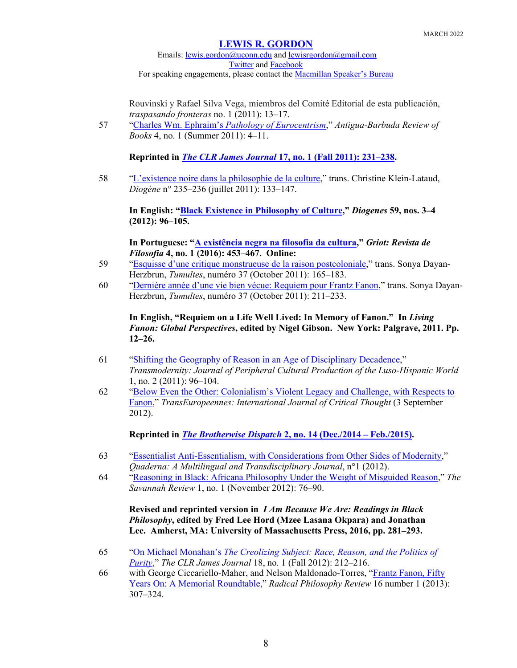Emails: [lewis.gordon@uconn.edu](mailto:lewis.gordon@uconn.edu) an[d lewisrgordon@gmail.com](mailto:lewisrgordon@gmail.com) [Twitter](https://twitter.com/lewgord) and [Facebook](https://www.facebook.com/LewisGordonPhilosopher/) For speaking engagements, please contact the [Macmillan Speaker's Bureau](https://www.macmillanspeakers.com/speaker/lewis-gordon/)

Rouvinski y Rafael Silva Vega, miembros del Comité Editorial de esta publicación, *traspasando fronteras* no. 1 (2011): 13–17.

57 "Charles Wm. Ephraim's *Pathology of Eurocentrism*," *Antigua-Barbuda Review of Books* 4, no. 1 (Summer 2011): 4–11.

**Reprinted in** *The CLR James Journal* **[17, no. 1 \(Fall 2011\): 231](https://www.pdcnet.org/clrjames/content/clrjames_2011_0017_0001_0231_0238)–238.**

58 "L'existence [noire dans la philosophie de la culture,](https://www.cairn.info/revue-diogene-2011-3-page-130.htm)" trans. Christine Klein-Lataud, *Diogène* n° 235–236 (juillet 2011): 133–147.

**In English: ["Black Existence in Philosophy of Culture,](https://journals.sagepub.com/doi/10.1177/0392192113505409)"** *Diogenes* **59, nos. 3–4 (2012): 96–105.**

**In Portuguese: ["A existência negra na filosofia da cultura,](https://www.academia.edu/34035852/A_EXIST%C3%8ANCIA_NEGRA_NA_FILOSOFIA_DA_CULTURA)"** *Griot: Revista de Filosofia* **4, no. 1 (2016): 453–467. Online:**

- 59 ["Esquisse d'une critique monstrueuse de la raison postcoloniale,](https://www.cairn.info/revue-tumultes-2011-2-page-165.htm)" trans. Sonya Dayan-Herzbrun, *Tumultes*, numéro 37 (October 2011): 165–183.
- 60 ["Dernière année d'une vie bien vécue: Requiem pour Frantz Fanon,](https://www.cairn.info/revue-tumultes-2008-2-page-103.htm)" trans. Sonya Dayan-Herzbrun, *Tumultes*, numéro 37 (October 2011): 211–233.

**In English, "Requiem on a Life Well Lived: In Memory of Fanon." In** *Living Fanon: Global Perspectives***, edited by Nigel Gibson. New York: Palgrave, 2011. Pp. 12–26.**

- 61 ["Shifting the Geography of Reason in an Age of Disciplinary Decadence,](https://escholarship.org/uc/item/218618vj)" *Transmodernity: Journal of Peripheral Cultural Production of the Luso-Hispanic World*  1, no. 2 (2011): 96–104.
- 62 ["Below Even the Other: Colonialism's Violent Legacy and Challenge, with Respects to](http://transeuropeennes.org/en/articles/voir_pdf/Below_Even_the_Other_Colonialism_s_Violent_Legacy_and_Challenge_with_Respects_to_Fanon.pdf)  [Fanon,](http://transeuropeennes.org/en/articles/voir_pdf/Below_Even_the_Other_Colonialism_s_Violent_Legacy_and_Challenge_with_Respects_to_Fanon.pdf)" *TransEuropeennes: International Journal of Critical Thought* (3 September 2012).

**Reprinted in** *[The Brotherwise Dispatch](http://brotherwisedispatch.blogspot.com/2014/12/below-even-other-colonialisms-violent.html)* **2, no. 14 (Dec./2014 – Feb./2015).**

- 63 ["Essentialist Anti-Essentialism, with Considerations from Other Sides of Modernity,](https://quaderna.org/essentialist-anti-essentialism-with-considerations-from-other-sides-of-modernity/)" *Quaderna: A Multilingual and Transdisciplinary Journal*, n°1 (2012).
- 64 ["Reasoning in Black: Africana Philosophy Under the Weight of Misguided Reason,](https://www.semanticscholar.org/paper/Reasoning-in-Black%3A-Africana-Philosophy-Under-the-Gordon/ae6f76fccf22a7992f49f945d92d0ce18fb1b916)" *The Savannah Review* 1, no. 1 (November 2012): 76–90.

**Revised and reprinted version in** *I Am Because We Are: Readings in Black Philosophy***, edited by Fred Lee Hord (Mzee Lasana Okpara) and Jonathan Lee. Amherst, MA: University of Massachusetts Press, 2016, pp. 281–293.**

- 65 "On Michael Monahan's *[The Creolizing Subject: Race, Reason, and the Politics of](https://www.pdcnet.org/clrjames/content/clrjames_2012_0018_0001_0212_0216)  [Purity](https://www.pdcnet.org/clrjames/content/clrjames_2012_0018_0001_0212_0216)*," *The CLR James Journal* 18, no. 1 (Fall 2012): 212–216.
- 66 with George Ciccariello-Maher, and Nelson Maldonado-Torres, ["Frantz Fanon, Fifty](https://www.pdcnet.org/radphilrev/content/radphilrev_2013_0016_0001_0307_0324)  [Years On: A Memorial Roundtable,](https://www.pdcnet.org/radphilrev/content/radphilrev_2013_0016_0001_0307_0324)" *Radical Philosophy Review* 16 number 1 (2013): 307–324.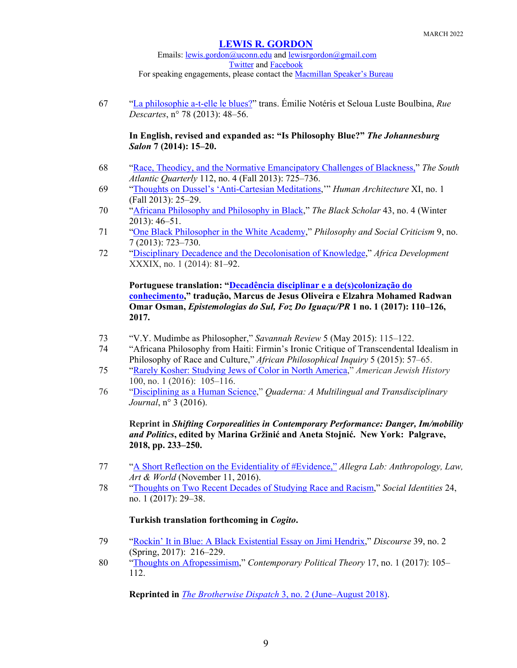Emails: [lewis.gordon@uconn.edu](mailto:lewis.gordon@uconn.edu) an[d lewisrgordon@gmail.com](mailto:lewisrgordon@gmail.com) [Twitter](https://twitter.com/lewgord) and [Facebook](https://www.facebook.com/LewisGordonPhilosopher/) For speaking engagements, please contact the **Macmillan Speaker's Bureau** 

67 ["La philosophie a-t-elle le blues?"](https://www.cairn.info/revue-rue-descartes-2013-2-page-48.htm) trans. Émilie Notéris et Seloua Luste Boulbina, *Rue Descartes*, n° 78 (2013): 48–56.

## **In English, revised and expanded as: "Is Philosophy Blue?"** *The Johannesburg Salon* **7 (2014): 15–20.**

- 68 ["Race, Theodicy, and the Normative Emancipatory Challenges of Blackness,"](https://read.dukeupress.edu/south-atlantic-quarterly/article-abstract/112/4/725/3674/Race-Theodicy-and-the-Normative-Emancipatory) *The South Atlantic Quarterly* 112, no. 4 (Fall 2013): 725–736.
- 69 ["Thoughts on Dussel's 'Anti-Cartesian Meditations,](https://scholarworks.umb.edu/humanarchitecture/vol11/iss1/7/)'" *Human Architecture* XI, no. 1 (Fall 2013): 25–29.
- 70 ["Africana Philosophy and Philosophy in Black,](https://www.tandfonline.com/doi/abs/10.5816/blackscholar.43.4.0046)" *The Black Scholar* 43, no. 4 (Winter 2013): 46–51.
- 71 ["One Black Philosopher in the White Academy,](https://journals.sagepub.com/doi/pdf/10.1177/0191453713491231)" *Philosophy and Social Criticism* 9, no. 7 (2013): 723–730.
- 72 "Disciplinary Decadence and the Decolonisation of Knowledge," *Africa Development* XXXIX, no. 1 (2014): 81–92.

**Portuguese translation: ["Decadência disciplinar e a de\(s\)colonização do](https://revistas.unila.edu.br/epistemologiasdosul/article/view/784)  [conhecimento,](https://revistas.unila.edu.br/epistemologiasdosul/article/view/784)" tradução, Marcus de Jesus Oliveira e Elzahra Mohamed Radwan Omar Osman,** *Epistemologias do Sul, Foz Do Iguaçu/PR* **1 no. 1 (2017): 110–126, 2017.**

- 73 "V.Y. Mudimbe as Philosopher," *Savannah Review* 5 (May 2015): 115–122.
- 74 "Africana Philosophy from Haiti: Firmin's Ironic Critique of Transcendental Idealism in Philosophy of Race and Culture," *African Philosophical Inquiry* 5 (2015): 57–65.
- 75 ["Rarely Kosher: Studying Jews of Color in North America,](https://muse.jhu.edu/article/606059)" *American Jewish History* 100, no. 1 (2016): 105–116.
- 76 ["Disciplining as a Human Science,](https://quaderna.org/disciplining-as-a-human-science/)" *Quaderna: A Multilingual and Transdisciplinary Journal*, n° 3 (2016).

**Reprint in** *Shifting Corporealities in Contemporary Performance: Danger, Im/mobility and Politics***, edited by Marina Gržinić and Aneta Stojnić. New York: Palgrave, 2018, pp. 233–250.**

- 77 ["A Short Reflection on the Evidentiality of #Evidence,"](https://allegralaboratory.net/a-short-reflection-on-the-evidentiality-of-evidence/) *Allegra Lab: Anthropology, Law, Art & World* (November 11, 2016).
- 78 ["Thoughts on Two Recent Decades of Studying Race and Racism,](https://www.tandfonline.com/doi/full/10.1080/13504630.2017.1314924)" *Social Identities* 24, no. 1 (2017): 29–38.

## **Turkish translation forthcoming in** *Cogito***.**

- 79 "Rockin' [It in Blue: A Black Existential Essay on Jimi Hendrix,](https://digitalcommons.wayne.edu/discourse/vol39/iss2/4/)" *Discourse* 39, no. 2 (Spring, 2017): 216–229.
- 80 ["Thoughts on Afropessimism,](https://link.springer.com/article/10.1057/s41296-017-0165-4#citeas)" *Contemporary Political Theory* 17, no. 1 (2017): 105– 112.

**Reprinted in** *The Brotherwise Dispatch* [3, no. 2 \(June–August 2018\).](http://brotherwisedispatch.blogspot.com/search?q=thoughts+on+afropessimism)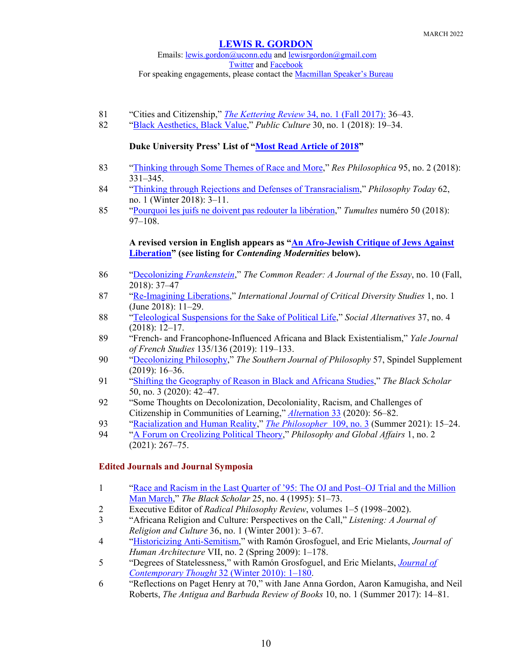Emails: [lewis.gordon@uconn.edu](mailto:lewis.gordon@uconn.edu) an[d lewisrgordon@gmail.com](mailto:lewisrgordon@gmail.com) [Twitter](https://twitter.com/lewgord) and [Facebook](https://www.facebook.com/LewisGordonPhilosopher/) For speaking engagements, please contact the **Macmillan Speaker's Bureau** 

- 81 "Cities and Citizenship," *[The Kettering Review](https://www.kettering.org/catalog/product/kettering-review-fall-2017)* 34, no. 1 (Fall 2017): 36–43.
- 82 ["Black Aesthetics, Black Value,](https://read.dukeupress.edu/public-culture/article-abstract/30/1/19/132905/Black-Aesthetics-Black-Value)" *Public Culture* 30, no. 1 (2018): 19–34.

## **Duke University Press' List of ["Most Read Article of 2018"](https://dukeupress.wordpress.com/2018/12/20/the-most-read-articles-of-2018/)**

- 83 ["Thinking through Some Themes of Race and More,](https://www.pdcnet.org/scholarpdf/show?id=resphilosophica_2018_0095_0002_0331_0345&pdfname=resphilosophica_2018_0095_0002_0331_0345.pdf&file_type=pdf)" *Res Philosophica* 95, no. 2 (2018): 331–345.
- 84 ["Thinking through Rejections and Defenses of Transracialism,](https://www.pdcnet.org/philtoday/content/philtoday_2018_0062_0001_0011_0019)" *Philosophy Today* 62, no. 1 (Winter 2018): 3–11.
- 85 "Pourquoi les juifs ne doivent pas redouter la libération," *Tumultes* numéro 50 (2018): 97–108.

## **A revised version in English appears as "An Afro-[Jewish Critique of Jews Against](https://contendingmodernities.nd.edu/theorizing-modernities/afro-jewish-critique-liberation/?fbclid=IwAR0bQkE-INwolRiEW6cgYhAFs7bnou03bPouJgD8O32TgXmVwVaU6R8aIqY)  [Liberation"](https://contendingmodernities.nd.edu/theorizing-modernities/afro-jewish-critique-liberation/?fbclid=IwAR0bQkE-INwolRiEW6cgYhAFs7bnou03bPouJgD8O32TgXmVwVaU6R8aIqY) (see listing for** *Contending Modernities* **below).**

- 86 ["Decolonizing](https://commonreader.wustl.edu/c/decolonializing-frankenstein/?fbclid=IwAR2CXdtIx5k0Id7xngmDlhu8grUBNKq_gtwUXP0lo2BzPw-omEtRwTclNcU) *Frankenstein*," *The Common Reader: A Journal of the Essay*, no. 10 (Fall, 2018): 37–47
- 87 ["Re-Imagining Liberations,](https://www.jstor.org/stable/10.13169/intecritdivestud.1.1.0011?seq=1)" *International Journal of Critical Diversity Studies* 1, no. 1 (June 2018): 11–29.
- 88 ["Teleological Suspensions for the Sake of Political Life,](https://search.informit.org/documentSummary;dn=255258778082668;res=IELAPA)" *Social Alternatives* 37, no. 4 (2018): 12–17.
- 89 "French- and Francophone-Influenced Africana and Black Existentialism," *Yale Journal of French Studies* 135/136 (2019): 119–133.
- 90 ["Decolonizing Philosophy,](https://onlinelibrary.wiley.com/doi/abs/10.1111/sjp.12343)" *The Southern Journal of Philosophy* 57, Spindel Supplement (2019): 16–36.
- 91 ["Shifting the Geography of Reason in Black and Africana Studies,](https://www.tandfonline.com/doi/abs/10.1080/00064246.2020.1780861)" *The Black Scholar* 50, no. 3 (2020): 42–47.
- 92 "Some Thoughts on Decolonization, Decoloniality, Racism, and Challenges of Citizenship in Communities of Learning," *Alte*[rnation 33](http://alternation.ukzn.ac.za/pages/volume-27-2020/alternation-special-edition-33.aspx) (2020): 56–82.
- 93 ["Racialization and Human Reality,](https://www.thephilosopher1923.org/essay-gordon)" *[The Philosopher](https://shop.exacteditions.com/gb/the-philosopher)* 109, no. 3 (Summer 2021): 15–24.
- 94 ["A Forum on Creolizing Political Theory,](https://www.pdcnet.org/pga/content/pga_2021_0001_0002_0267_0275)" *Philosophy and Global Affairs* 1, no. 2 (2021): 267–75.

## **Edited Journals and Journal Symposia**

- 1 ["Race and Racism in the Last Quarter of '95: The OJ and Post–OJ Trial and the Million](https://www.tandfonline.com/doi/abs/10.1080/00064246.1995.11430755)  [Man March,](https://www.tandfonline.com/doi/abs/10.1080/00064246.1995.11430755)" *The Black Scholar* 25, no. 4 (1995): 51–73.
- 2 Executive Editor of *Radical Philosophy Review*, volumes 1–5 (1998–2002).
- 3 "Africana Religion and Culture: Perspectives on the Call," *Listening: A Journal of Religion and Culture* 36, no. 1 (Winter 2001): 3–67.
- 4 ["Historicizing Anti-Semitism,](https://scholarworks.umb.edu/humanarchitecture/vol7/iss2/)" with Ramón Grosfoguel, and Eric Mielants, *Journal of Human Architecture* VII, no. 2 (Spring 2009): 1–178.
- 5 "Degrees of Statelessness," with Ramón Grosfoguel, and Eric Mielants, *[Journal of](https://fctworld.org/wp-content/uploads/2018/04/2010-Winter.htm)  [Contemporary Thought](https://fctworld.org/wp-content/uploads/2018/04/2010-Winter.htm)* 32 (Winter 2010): 1–180.
- 6 "Reflections on Paget Henry at 70," with Jane Anna Gordon, Aaron Kamugisha, and Neil Roberts, *The Antigua and Barbuda Review of Books* 10, no. 1 (Summer 2017): 14–81.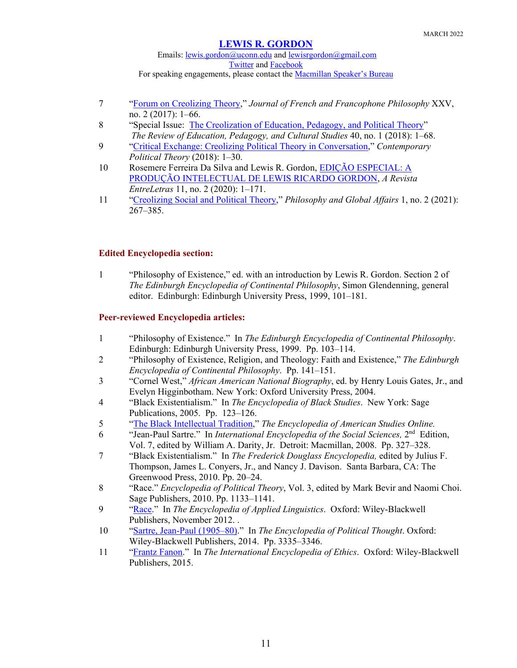Emails: [lewis.gordon@uconn.edu](mailto:lewis.gordon@uconn.edu) an[d lewisrgordon@gmail.com](mailto:lewisrgordon@gmail.com) [Twitter](https://twitter.com/lewgord) and [Facebook](https://www.facebook.com/LewisGordonPhilosopher/) For speaking engagements, please contact the **Macmillan Speaker's Bureau** 

- 7 ["Forum on Creolizing Theory,](http://www.jffp.org/ojs/index.php/jffp/issue/view/69)" *Journal of French and Francophone Philosophy* XXV, no. 2 (2017): 1–66.
- 8 "Special Issue: [The Creolization of Education, Pedagogy, and Political Theory"](https://www.tandfonline.com/toc/gred20/40/1?nav=tocList) *The Review of Education, Pedagogy, and Cultural Studies* 40, no. 1 (2018): 1–68.
- 9 ["Critical Exchange: Creolizing Political Theory in Conversation,](https://link.springer.com/article/10.1057/s41296-018-0214-7)" *Contemporary Political Theory* (2018): 1–30.
- 10 Rosemere Ferreira Da Silva and Lewis R. Gordon, [EDIÇÃO ESPECIAL: A](https://sistemas.uft.edu.br/periodicos/index.php/entreletras/issue/view/442)  [PRODUÇÃO INTELECTUAL DE LEWIS RICARDO GORDON,](https://sistemas.uft.edu.br/periodicos/index.php/entreletras/issue/view/442) *A Revista EntreLetras* 11, no. 2 (2020): 1–171.
- 11 ["Creolizing Social and Political Theory,](https://www.pdcnet.org/collection-anonymous/browse?start=0&fq=pga%2fVolume%2f8999%7c1%2f8998%7cIssue%5c%5c%3a+2%2f&fp=pga)" *Philosophy and Global Affairs* 1, no. 2 (2021): 267–385.

## **Edited Encyclopedia section:**

1 "Philosophy of Existence," ed. with an introduction by Lewis R. Gordon. Section 2 of *The Edinburgh Encyclopedia of Continental Philosophy*, Simon Glendenning, general editor. Edinburgh: Edinburgh University Press, 1999, 101–181.

## **Peer-reviewed Encyclopedia articles:**

- 1 "Philosophy of Existence." In *The Edinburgh Encyclopedia of Continental Philosophy*. Edinburgh: Edinburgh University Press, 1999. Pp. 103–114.
- 2 "Philosophy of Existence, Religion, and Theology: Faith and Existence," *The Edinburgh Encyclopedia of Continental Philosophy*. Pp. 141–151.
- 3 "Cornel West," *African American National Biography*, ed. by Henry Louis Gates, Jr., and Evelyn Higginbotham. New York: Oxford University Press, 2004.
- 4 "Black Existentialism." In *The Encyclopedia of Black Studies*. New York: Sage Publications, 2005. Pp. 123–126.
- 5 ["The Black Intellectual Tradition,](https://eas-ref.press.jhu.edu/view?aid=780&from=search&query=black%20intellectual%20tradition&link=search%3Freturn%3D1%26query%3Dblack%2520intellectual%2520tradition%26section%3Ddocument%26doctype%3Dall)" *The Encyclopedia of American Studies Online.*
- 6 "Jean-Paul Sartre." In *International Encyclopedia of the Social Sciences,* 2nd Edition, Vol. 7, edited by William A. Darity, Jr. Detroit: Macmillan, 2008. Pp. 327–328.
- 7 "Black Existentialism." In *The Frederick Douglass Encyclopedia,* edited by Julius F. Thompson, James L. Conyers, Jr., and Nancy J. Davison. Santa Barbara, CA: The Greenwood Press, 2010. Pp. 20–24.
- 8 "Race." *Encyclopedia of Political Theory*, Vol. 3, edited by Mark Bevir and Naomi Choi. Sage Publishers, 2010. Pp. 1133–1141.
- 9 ["Race.](https://onlinelibrary.wiley.com/doi/full/10.1002/9781405198431.wbeal0992)" In *The Encyclopedia of Applied Linguistics*. Oxford: Wiley-Blackwell Publishers, November 2012. .
- 10 ["Sartre, Jean-Paul](https://onlinelibrary.wiley.com/doi/full/10.1002/9781118474396.wbept0912) (1905–80)." In *The Encyclopedia of Political Thought*. Oxford: Wiley-Blackwell Publishers, 2014. Pp. 3335–3346.
- 11 ["Frantz Fanon.](https://onlinelibrary.wiley.com/doi/full/10.1002/9781444367072.wbiee812)" In *The International Encyclopedia of Ethics*. Oxford: Wiley-Blackwell Publishers, 2015.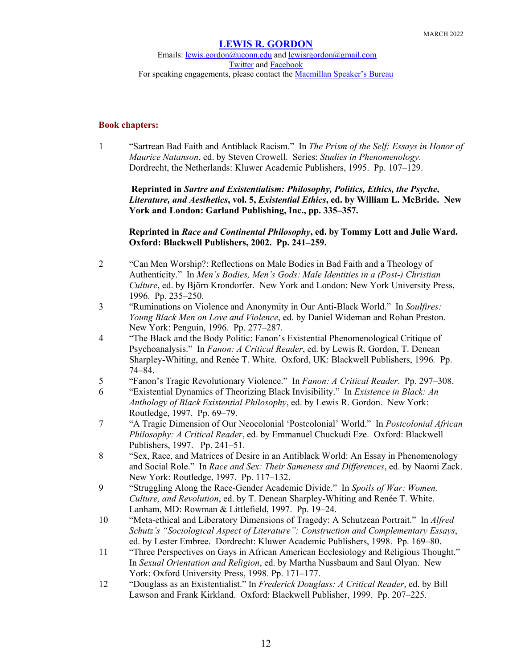## **Book chapters:**

1 "Sartrean Bad Faith and Antiblack Racism." In *The Prism of the Self: Essays in Honor of Maurice Natanson*, ed. by Steven Crowell. Series: *Studies in Phenomenology*. Dordrecht, the Netherlands: Kluwer Academic Publishers, 1995. Pp. 107–129.

**Reprinted in** *Sartre and Existentialism: Philosophy, Politics, Ethics, the Psyche, Literature, and Aesthetics***, vol. 5,** *Existential Ethics***, ed. by William L. McBride. New York and London: Garland Publishing, Inc., pp. 335–357.**

**Reprinted in** *Race and Continental Philosophy***, ed. by Tommy Lott and Julie Ward. Oxford: Blackwell Publishers, 2002. Pp. 241–259.**

- 2 "Can Men Worship?: Reflections on Male Bodies in Bad Faith and a Theology of Authenticity." In *Men's Bodies, Men's Gods: Male Identities in a (Post-) Christian Culture*, ed. by Björn Krondorfer. New York and London: New York University Press, 1996. Pp. 235–250.
- 3 "Ruminations on Violence and Anonymity in Our Anti-Black World." In *Soulfires: Young Black Men on Love and Violence*, ed. by Daniel Wideman and Rohan Preston. New York: Penguin, 1996. Pp. 277–287.
- 4 "The Black and the Body Politic: Fanon's Existential Phenomenological Critique of Psychoanalysis." In *Fanon: A Critical Reader*, ed. by Lewis R. Gordon, T. Denean Sharpley-Whiting, and Renée T. White. Oxford, UK: Blackwell Publishers, 1996*.* Pp. 74–84.
- 5 "Fanon's Tragic Revolutionary Violence." In *Fanon: A Critical Reader*. Pp. 297–308.
- 6 "Existential Dynamics of Theorizing Black Invisibility." In *Existence in Black: An Anthology of Black Existential Philosophy*, ed. by Lewis R. Gordon. New York: Routledge, 1997. Pp. 69–79.
- 7 "A Tragic Dimension of Our Neocolonial 'Postcolonial' World." In *Postcolonial African Philosophy: A Critical Reader*, ed. by Emmanuel Chuckudi Eze. Oxford: Blackwell Publishers, 1997. Pp. 241–51.
- 8 "Sex, Race, and Matrices of Desire in an Antiblack World: An Essay in Phenomenology and Social Role." In *Race and Sex: Their Sameness and Differences*, ed. by Naomi Zack. New York: Routledge, 1997. Pp. 117–132.
- 9 "Struggling Along the Race-Gender Academic Divide." In *Spoils of War: Women, Culture, and Revolution*, ed. by T. Denean Sharpley-Whiting and Renée T. White. Lanham, MD: Rowman & Littlefield, 1997. Pp. 19–24.
- 10 "Meta-ethical and Liberatory Dimensions of Tragedy: A Schutzean Portrait." In *Alfred Schutz's "Sociological Aspect of Literature": Construction and Complementary Essays*, ed. by Lester Embree. Dordrecht: Kluwer Academic Publishers, 1998. Pp. 169–80.
- 11 "Three Perspectives on Gays in African American Ecclesiology and Religious Thought." In *Sexual Orientation and Religion*, ed. by Martha Nussbaum and Saul Olyan. New York: Oxford University Press, 1998. Pp. 171–177.
- 12 "Douglass as an Existentialist." In *Frederick Douglass: A Critical Reader*, ed. by Bill Lawson and Frank Kirkland. Oxford: Blackwell Publisher, 1999. Pp. 207–225.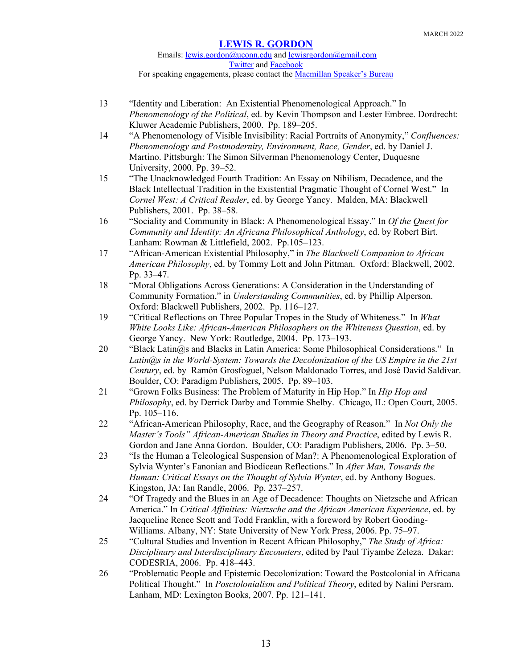Emails: [lewis.gordon@uconn.edu](mailto:lewis.gordon@uconn.edu) an[d lewisrgordon@gmail.com](mailto:lewisrgordon@gmail.com) [Twitter](https://twitter.com/lewgord) and [Facebook](https://www.facebook.com/LewisGordonPhilosopher/) For speaking engagements, please contact the **Macmillan Speaker's Bureau** 

- 13 "Identity and Liberation: An Existential Phenomenological Approach." In *Phenomenology of the Political*, ed. by Kevin Thompson and Lester Embree. Dordrecht: Kluwer Academic Publishers, 2000. Pp. 189–205.
- 14 "A Phenomenology of Visible Invisibility: Racial Portraits of Anonymity," *Confluences: Phenomenology and Postmodernity, Environment, Race, Gender*, ed. by Daniel J. Martino. Pittsburgh: The Simon Silverman Phenomenology Center, Duquesne University, 2000. Pp. 39–52.
- 15 "The Unacknowledged Fourth Tradition: An Essay on Nihilism, Decadence, and the Black Intellectual Tradition in the Existential Pragmatic Thought of Cornel West." In *Cornel West: A Critical Reader*, ed. by George Yancy. Malden, MA: Blackwell Publishers, 2001. Pp. 38–58.
- 16 "Sociality and Community in Black: A Phenomenological Essay." In *Of the Quest for Community and Identity: An Africana Philosophical Anthology*, ed. by Robert Birt. Lanham: Rowman & Littlefield, 2002. Pp.105–123.
- 17 "African-American Existential Philosophy," in *The Blackwell Companion to African American Philosophy*, ed. by Tommy Lott and John Pittman. Oxford: Blackwell, 2002. Pp. 33–47.
- 18 "Moral Obligations Across Generations: A Consideration in the Understanding of Community Formation," in *Understanding Communities*, ed. by Phillip Alperson. Oxford: Blackwell Publishers, 2002. Pp. 116–127.
- 19 "Critical Reflections on Three Popular Tropes in the Study of Whiteness." In *What White Looks Like: African-American Philosophers on the Whiteness Question*, ed. by George Yancy. New York: Routledge, 2004. Pp. 173–193.
- 20 "Black Latin@s and Blacks in Latin America: Some Philosophical Considerations." In *Latin@s in the World-System: Towards the Decolonization of the US Empire in the 21st Century*, ed. by Ramón Grosfoguel, Nelson Maldonado Torres, and José David Saldívar. Boulder, CO: Paradigm Publishers, 2005. Pp. 89–103.
- 21 "Grown Folks Business: The Problem of Maturity in Hip Hop." In *Hip Hop and Philosophy*, ed. by Derrick Darby and Tommie Shelby. Chicago, IL: Open Court, 2005. Pp. 105–116.
- 22 "African-American Philosophy, Race, and the Geography of Reason." In *Not Only the Master's Tools" African-American Studies in Theory and Practice*, edited by Lewis R. Gordon and Jane Anna Gordon. Boulder, CO: Paradigm Publishers, 2006. Pp. 3–50.
- 23 "Is the Human a Teleological Suspension of Man?: A Phenomenological Exploration of Sylvia Wynter's Fanonian and Biodicean Reflections." In *After Man, Towards the Human: Critical Essays on the Thought of Sylvia Wynter*, ed. by Anthony Bogues. Kingston, JA: Ian Randle, 2006. Pp. 237–257.
- 24 "Of Tragedy and the Blues in an Age of Decadence: Thoughts on Nietzsche and African America." In *Critical Affinities: Nietzsche and the African American Experience*, ed. by Jacqueline Renee Scott and Todd Franklin, with a foreword by Robert Gooding-Williams. Albany, NY: State University of New York Press, 2006. Pp. 75–97.
- 25 "Cultural Studies and Invention in Recent African Philosophy," *The Study of Africa: Disciplinary and Interdisciplinary Encounters*, edited by Paul Tiyambe Zeleza. Dakar: CODESRIA, 2006. Pp. 418–443.
- 26 "Problematic People and Epistemic Decolonization: Toward the Postcolonial in Africana Political Thought." In *Posctolonialism and Political Theory*, edited by Nalini Persram. Lanham, MD: Lexington Books, 2007. Pp. 121–141.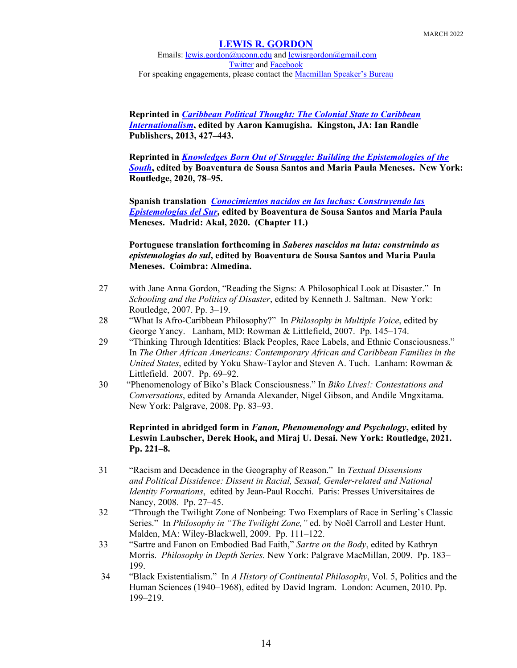Emails: [lewis.gordon@uconn.edu](mailto:lewis.gordon@uconn.edu) an[d lewisrgordon@gmail.com](mailto:lewisrgordon@gmail.com) [Twitter](https://twitter.com/lewgord) and [Facebook](https://www.facebook.com/LewisGordonPhilosopher/) For speaking engagements, please contact the **Macmillan Speaker's Bureau** 

**Reprinted in** *[Caribbean Political Thought: The Colonial State to Caribbean](https://www.uwibookshop.com/caribbean-political-thought-colonial-state-caribbean-internationalism)  [Internationalism](https://www.uwibookshop.com/caribbean-political-thought-colonial-state-caribbean-internationalism)***, edited by Aaron Kamugisha. Kingston, JA: Ian Randle Publishers, 2013, 427–443.**

**Reprinted in** *[Knowledges Born Out of Struggle: Building the Epistemologies of the](https://www.routledge.com/Knowledges-Born-in-the-Struggle-Constructing-the-Epistemologies-of-the/Santos-Meneses/p/book/9780367362072)  [South](https://www.routledge.com/Knowledges-Born-in-the-Struggle-Constructing-the-Epistemologies-of-the/Santos-Meneses/p/book/9780367362072)***, edited by Boaventura de Sousa Santos and Maria Paula Meneses. New York: Routledge, 2020, 78–95.** 

**Spanish translation** *[Conocimientos nacidos en las luchas: Construyendo las](https://www.akal.com/libro/conocimientos-nacidos-en-las-luchas_51316/)  [Epistemologías del Sur](https://www.akal.com/libro/conocimientos-nacidos-en-las-luchas_51316/)***, edited by Boaventura de Sousa Santos and Maria Paula Meneses. Madrid: Akal, 2020. (Chapter 11.)**

**Portuguese translation forthcoming in** *Saberes nascidos na luta: construindo as epistemologias do sul***, edited by Boaventura de Sousa Santos and Maria Paula Meneses. Coimbra: Almedina.**

- 27 with Jane Anna Gordon, "Reading the Signs: A Philosophical Look at Disaster." In *Schooling and the Politics of Disaster*, edited by Kenneth J. Saltman. New York: Routledge, 2007. Pp. 3–19.
- 28 "What Is Afro-Caribbean Philosophy?" In *Philosophy in Multiple Voice*, edited by George Yancy. Lanham, MD: Rowman & Littlefield, 2007. Pp. 145–174.
- 29 "Thinking Through Identities: Black Peoples, Race Labels, and Ethnic Consciousness." In *The Other African Americans: Contemporary African and Caribbean Families in the United States*, edited by Yoku Shaw-Taylor and Steven A. Tuch. Lanham: Rowman & Littlefield. 2007. Pp. 69–92.
- 30 "Phenomenology of Biko's Black Consciousness." In *Biko Lives!: Contestations and Conversations*, edited by Amanda Alexander, Nigel Gibson, and Andile Mngxitama. New York: Palgrave, 2008. Pp. 83–93.

## **Reprinted in abridged form in** *Fanon, Phenomenology and Psychology***, edited by Leswin Laubscher, Derek Hook, and Miraj U. Desai. New York: Routledge, 2021. Pp. 221–8.**

- 31 "Racism and Decadence in the Geography of Reason." In *Textual Dissensions and Political Dissidence: Dissent in Racial, Sexual, Gender-related and National Identity Formations*, edited by Jean-Paul Rocchi. Paris: Presses Universitaires de Nancy, 2008. Pp. 27–45.
- 32 "Through the Twilight Zone of Nonbeing: Two Exemplars of Race in Serling's Classic Series." In *Philosophy in "The Twilight Zone,"* ed. by Noël Carroll and Lester Hunt. Malden, MA: Wiley-Blackwell, 2009. Pp. 111–122.
- 33 "Sartre and Fanon on Embodied Bad Faith," *Sartre on the Body*, edited by Kathryn Morris. *Philosophy in Depth Series.* New York: Palgrave MacMillan, 2009. Pp. 183– 199.
- 34 "Black Existentialism." In *A History of Continental Philosophy*, Vol. 5, Politics and the Human Sciences (1940–1968), edited by David Ingram. London: Acumen, 2010. Pp. 199–219.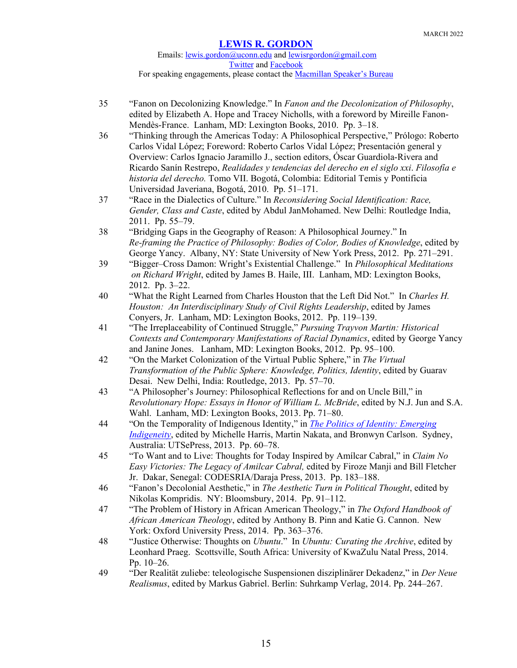### Emails: [lewis.gordon@uconn.edu](mailto:lewis.gordon@uconn.edu) an[d lewisrgordon@gmail.com](mailto:lewisrgordon@gmail.com) [Twitter](https://twitter.com/lewgord) and [Facebook](https://www.facebook.com/LewisGordonPhilosopher/) For speaking engagements, please contact the [Macmillan Speaker's Bureau](https://www.macmillanspeakers.com/speaker/lewis-gordon/)

- 35 "Fanon on Decolonizing Knowledge." In *Fanon and the Decolonization of Philosophy*, edited by Elizabeth A. Hope and Tracey Nicholls, with a foreword by Mireille Fanon-Mendès-France. Lanham, MD: Lexington Books, 2010. Pp. 3–18.
- 36 "Thinking through the Americas Today: A Philosophical Perspective," Prólogo: Roberto Carlos Vidal López; Foreword: Roberto Carlos Vidal López; Presentación general y Overview: Carlos Ignacio Jaramillo J., section editors, Óscar Guardiola-Rivera and Ricardo Sanín Restrepo, *Realidades y tendencias del derecho en el siglo xxi*. *Filosofía e historia del derecho.* Tomo VII. Bogotá, Colombia: Editorial Temis y Pontificia Universidad Javeriana, Bogotá, 2010. Pp. 51–171.
- 37 "Race in the Dialectics of Culture." In *Reconsidering Social Identification: Race, Gender, Class and Caste*, edited by Abdul JanMohamed. New Delhi: Routledge India, 2011. Pp. 55–79.
- 38 "Bridging Gaps in the Geography of Reason: A Philosophical Journey." In *Re-framing the Practice of Philosophy: Bodies of Color, Bodies of Knowledge*, edited by George Yancy. Albany, NY: State University of New York Press, 2012. Pp. 271–291.
- 39 "Bigger–Cross Damon: Wright's Existential Challenge." In *Philosophical Meditations on Richard Wright*, edited by James B. Haile, III. Lanham, MD: Lexington Books, 2012. Pp. 3–22.
- 40 "What the Right Learned from Charles Houston that the Left Did Not." In *Charles H. Houston: An Interdisciplinary Study of Civil Rights Leadership*, edited by James Conyers, Jr. Lanham, MD: Lexington Books, 2012. Pp. 119–139.
- 41 "The Irreplaceability of Continued Struggle," *Pursuing Trayvon Martin: Historical Contexts and Contemporary Manifestations of Racial Dynamics*, edited by George Yancy and Janine Jones. Lanham, MD: Lexington Books, 2012. Pp. 95–100.
- 42 "On the Market Colonization of the Virtual Public Sphere," in *The Virtual Transformation of the Public Sphere: Knowledge, Politics, Identity*, edited by Guarav Desai. New Delhi, India: Routledge, 2013. Pp. 57–70.
- 43 "A Philosopher's Journey: Philosophical Reflections for and on Uncle Bill," in *Revolutionary Hope: Essays in Honor of William L. McBride*, edited by N.J. Jun and S.A. Wahl. Lanham, MD: Lexington Books, 2013. Pp. 71–80.
- 44 "On the Temporality of Indigenous Identity," in *[The Politics of Identity: Emerging](https://utsepress.lib.uts.edu.au/site/books/10.5130/978-0-9872369-2-0/)  [Indigeneity](https://utsepress.lib.uts.edu.au/site/books/10.5130/978-0-9872369-2-0/)*, edited by Michelle Harris, Martin Nakata, and Bronwyn Carlson. Sydney, Australia: UTSePress, 2013. Pp. 60–78.
- 45 "To Want and to Live: Thoughts for Today Inspired by Amílcar Cabral," in *Claim No Easy Victories: The Legacy of Amilcar Cabral,* edited by Firoze Manji and Bill Fletcher Jr.Dakar, Senegal: CODESRIA/Daraja Press, 2013. Pp. 183–188.
- 46 "Fanon's Decolonial Aesthetic," in *The Aesthetic Turn in Political Thought*, edited by Nikolas Kompridis. NY: Bloomsbury, 2014. Pp. 91–112.
- 47 "The Problem of History in African American Theology," in *The Oxford Handbook of African American Theology*, edited by Anthony B. Pinn and Katie G. Cannon. New York: Oxford University Press, 2014. Pp. 363–376.
- 48 "Justice Otherwise: Thoughts on *Ubuntu*." In *Ubuntu: Curating the Archive*, edited by Leonhard Praeg. Scottsville, South Africa: University of KwaZulu Natal Press, 2014. Pp. 10–26.
- 49 "Der Realität zuliebe: teleologische Suspensionen disziplinärer Dekadenz," in *Der Neue Realismus*, edited by Markus Gabriel. Berlin: Suhrkamp Verlag, 2014. Pp. 244–267.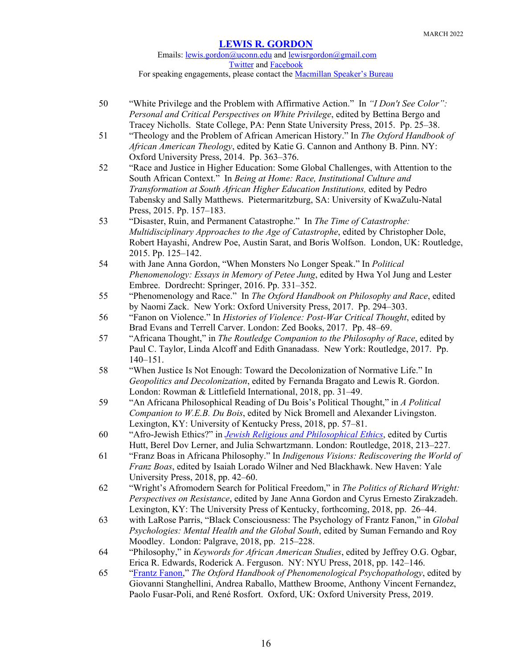Emails: [lewis.gordon@uconn.edu](mailto:lewis.gordon@uconn.edu) an[d lewisrgordon@gmail.com](mailto:lewisrgordon@gmail.com) [Twitter](https://twitter.com/lewgord) and [Facebook](https://www.facebook.com/LewisGordonPhilosopher/) For speaking engagements, please contact the **Macmillan Speaker's Bureau** 

- 50 "White Privilege and the Problem with Affirmative Action." In *"I Don't See Color": Personal and Critical Perspectives on White Privilege*, edited by Bettina Bergo and Tracey Nicholls. State College, PA: Penn State University Press, 2015. Pp. 25–38.
- 51 "Theology and the Problem of African American History." In *The Oxford Handbook of African American Theology*, edited by Katie G. Cannon and Anthony B. Pinn. NY: Oxford University Press, 2014. Pp. 363–376.
- 52 "Race and Justice in Higher Education: Some Global Challenges, with Attention to the South African Context." In *Being at Home: Race, Institutional Culture and Transformation at South African Higher Education Institutions,* edited by Pedro Tabensky and Sally Matthews. Pietermaritzburg, SA: University of KwaZulu-Natal Press, 2015. Pp. 157–183.
- 53 "Disaster, Ruin, and Permanent Catastrophe." In *The Time of Catastrophe: Multidisciplinary Approaches to the Age of Catastrophe*, edited by Christopher Dole, Robert Hayashi, Andrew Poe, Austin Sarat, and Boris Wolfson. London, UK: Routledge, 2015. Pp. 125–142.
- 54 with Jane Anna Gordon, "When Monsters No Longer Speak." In *Political Phenomenology: Essays in Memory of Petee Jung*, edited by Hwa Yol Jung and Lester Embree. Dordrecht: Springer, 2016. Pp. 331–352.
- 55 "Phenomenology and Race." In *The Oxford Handbook on Philosophy and Race*, edited by Naomi Zack. New York: Oxford University Press, 2017. Pp. 294–303.
- 56 "Fanon on Violence." In *Histories of Violence: Post-War Critical Thought*, edited by Brad Evans and Terrell Carver. London: Zed Books, 2017. Pp. 48–69.
- 57 "Africana Thought," in *The Routledge Companion to the Philosophy of Race*, edited by Paul C. Taylor, Linda Alcoff and Edith Gnanadass. New York: Routledge, 2017. Pp. 140–151.
- 58 "When Justice Is Not Enough: Toward the Decolonization of Normative Life." In *Geopolitics and Decolonization*, edited by Fernanda Bragato and Lewis R. Gordon. London: Rowman & Littlefield International, 2018, pp. 31–49.
- 59 "An Africana Philosophical Reading of Du Bois's Political Thought," in *A Political Companion to W.E.B. Du Bois*, edited by Nick Bromell and Alexander Livingston. Lexington, KY: University of Kentucky Press, 2018, pp. 57–81.
- 60 "Afro-Jewish Ethics?" in *[Jewish Religious and Philosophical Ethics](https://www.routledge.com/Jewish-Religious-and-Philosophical-Ethics/Hutt-Kim-Lerner/p/book/9781138230460)*, edited by Curtis Hutt, Berel Dov Lerner, and Julia Schwartzmann. London: Routledge, 2018, 213–227.
- 61 "Franz Boas in Africana Philosophy." In *Indigenous Visions: Rediscovering the World of Franz Boas*, edited by Isaiah Lorado Wilner and Ned Blackhawk. New Haven: Yale University Press, 2018, pp. 42–60.
- 62 "Wright's Afromodern Search for Political Freedom," in *The Politics of Richard Wright: Perspectives on Resistance*, edited by Jane Anna Gordon and Cyrus Ernesto Zirakzadeh. Lexington, KY: The University Press of Kentucky, forthcoming, 2018, pp. 26–44.
- 63 with LaRose Parris, "Black Consciousness: The Psychology of Frantz Fanon," in *Global Psychologies: Mental Health and the Global South*, edited by Suman Fernando and Roy Moodley. London: Palgrave, 2018, pp. 215–228.
- 64 "Philosophy," in *Keywords for African American Studies*, edited by Jeffrey O.G. Ogbar, Erica R. Edwards, Roderick A. Ferguson. NY: NYU Press, 2018, pp. 142–146.
- 65 ["Frantz Fanon,](https://www.oxfordhandbooks.com/view/10.1093/oxfordhb/9780198803157.001.0001/oxfordhb-9780198803157-e-22)" *The Oxford Handbook of Phenomenological Psychopathology*, edited by Giovanni Stanghellini, Andrea Raballo, Matthew Broome, Anthony Vincent Fernandez, Paolo Fusar-Poli, and René Rosfort. Oxford, UK: Oxford University Press, 2019.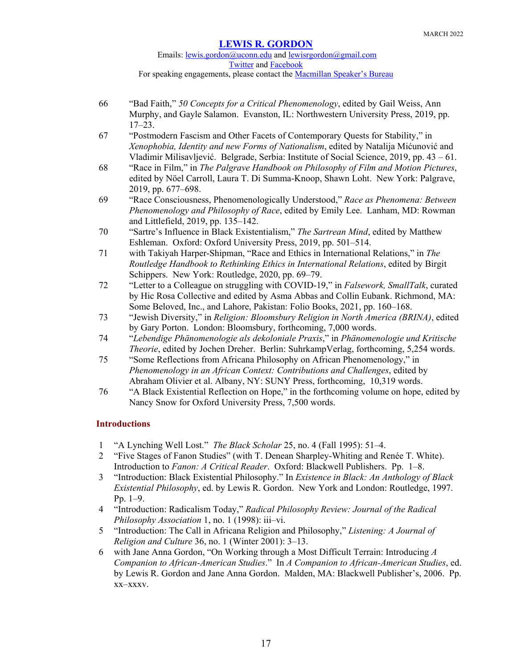### Emails: [lewis.gordon@uconn.edu](mailto:lewis.gordon@uconn.edu) an[d lewisrgordon@gmail.com](mailto:lewisrgordon@gmail.com) [Twitter](https://twitter.com/lewgord) and [Facebook](https://www.facebook.com/LewisGordonPhilosopher/) For speaking engagements, please contact the **Macmillan Speaker's Bureau**

- 66 "Bad Faith," *50 Concepts for a Critical Phenomenology*, edited by Gail Weiss, Ann Murphy, and Gayle Salamon. Evanston, IL: Northwestern University Press, 2019, pp. 17–23.
- 67 "Postmodern Fascism and Other Facets of Contemporary Quests for Stability," in *Xenophobia, Identity and new Forms of Nationalism*, edited by Natalija Mićunović and Vladimir Milisavljević. Belgrade, Serbia: Institute of Social Science, 2019, pp. 43 – 61.
- 68 "Race in Film," in *The Palgrave Handbook on Philosophy of Film and Motion Pictures*, edited by Nöel Carroll, Laura T. Di Summa-Knoop, Shawn Loht. New York: Palgrave, 2019, pp. 677–698.
- 69 "Race Consciousness, Phenomenologically Understood," *Race as Phenomena: Between Phenomenology and Philosophy of Race*, edited by Emily Lee. Lanham, MD: Rowman and Littlefield, 2019, pp. 135–142.
- 70 "Sartre's Influence in Black Existentialism," *The Sartrean Mind*, edited by Matthew Eshleman. Oxford: Oxford University Press, 2019, pp. 501–514.
- 71 with Takiyah Harper-Shipman, "Race and Ethics in International Relations," in *The Routledge Handbook to Rethinking Ethics in International Relations*, edited by Birgit Schippers. New York: Routledge, 2020, pp. 69–79.
- 72 "Letter to a Colleague on struggling with COVID-19," in *Falsework, SmallTalk*, curated by Hic Rosa Collective and edited by Asma Abbas and Collin Eubank. Richmond, MA: Some Beloved, Inc., and Lahore, Pakistan: Folio Books, 2021, pp. 160–168.
- 73 "Jewish Diversity," in *Religion: Bloomsbury Religion in North America (BRINA)*, edited by Gary Porton. London: Bloomsbury, forthcoming, 7,000 words.
- 74 "*Lebendige Phänomenologie als dekoloniale Praxis*," in *Phänomenologie und Kritische Theorie*, edited by Jochen Dreher. Berlin: SuhrkampVerlag, forthcoming, 5,254 words.
- 75 "Some Reflections from Africana Philosophy on African Phenomenology," in *Phenomenology in an African Context: Contributions and Challenges*, edited by Abraham Olivier et al. Albany, NY: SUNY Press, forthcoming, 10,319 words.
- 76 "A Black Existential Reflection on Hope," in the forthcoming volume on hope, edited by Nancy Snow for Oxford University Press, 7,500 words.

## **Introductions**

- 1 "A Lynching Well Lost." *The Black Scholar* 25, no. 4 (Fall 1995): 51–4.
- 2 "Five Stages of Fanon Studies" (with T. Denean Sharpley-Whiting and Renée T. White). Introduction to *Fanon: A Critical Reader*. Oxford: Blackwell Publishers. Pp. 1–8.
- 3 "Introduction: Black Existential Philosophy." In *Existence in Black: An Anthology of Black Existential Philosophy*, ed. by Lewis R. Gordon. New York and London: Routledge, 1997. Pp. 1–9.
- 4 "Introduction: Radicalism Today," *Radical Philosophy Review: Journal of the Radical Philosophy Association* 1, no. 1 (1998): iii–vi.
- 5 "Introduction: The Call in Africana Religion and Philosophy," *Listening: A Journal of Religion and Culture* 36, no. 1 (Winter 2001): 3–13.
- 6 with Jane Anna Gordon, "On Working through a Most Difficult Terrain: Introducing *A Companion to African-American Studies*." In *A Companion to African-American Studies*, ed. by Lewis R. Gordon and Jane Anna Gordon. Malden, MA: Blackwell Publisher's, 2006. Pp. xx–xxxv.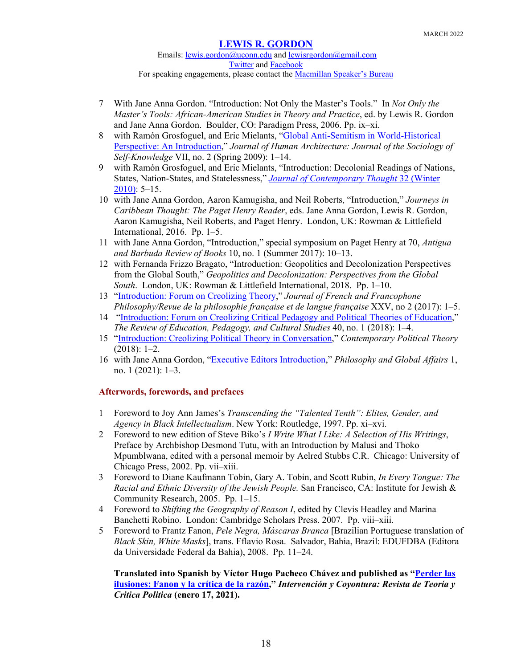Emails: [lewis.gordon@uconn.edu](mailto:lewis.gordon@uconn.edu) an[d lewisrgordon@gmail.com](mailto:lewisrgordon@gmail.com) [Twitter](https://twitter.com/lewgord) and [Facebook](https://www.facebook.com/LewisGordonPhilosopher/) For speaking engagements, please contact the [Macmillan Speaker's Bureau](https://www.macmillanspeakers.com/speaker/lewis-gordon/)

- 7 With Jane Anna Gordon. "Introduction: Not Only the Master's Tools." In *Not Only the Master's Tools: African-American Studies in Theory and Practice*, ed. by Lewis R. Gordon and Jane Anna Gordon. Boulder, CO: Paradigm Press, 2006. Pp. ix–xi.
- 8 with Ramón Grosfoguel, and Eric Mielants, ["Global Anti-Semitism in World-Historical](https://scholarworks.umb.edu/humanarchitecture/vol7/iss2/2/)  [Perspective: An Introduction,](https://scholarworks.umb.edu/humanarchitecture/vol7/iss2/2/)" *Journal of Human Architecture: Journal of the Sociology of Self-Knowledge* VII, no. 2 (Spring 2009): 1–14.
- 9 with Ramón Grosfoguel, and Eric Mielants, "Introduction: Decolonial Readings of Nations, States, Nation-States, and Statelessness," *[Journal of Contemporary Thought](https://fctworld.org/wp-content/uploads/2018/04/2010-Winter.htm)* 32 (Winter [2010\):](https://fctworld.org/wp-content/uploads/2018/04/2010-Winter.htm) 5–15.
- 10 with Jane Anna Gordon, Aaron Kamugisha, and Neil Roberts, "Introduction," *Journeys in Caribbean Thought: The Paget Henry Reader*, eds. Jane Anna Gordon, Lewis R. Gordon, Aaron Kamugisha, Neil Roberts, and Paget Henry. London, UK: Rowman & Littlefield International, 2016. Pp. 1–5.
- 11 with Jane Anna Gordon, "Introduction," special symposium on Paget Henry at 70, *Antigua and Barbuda Review of Books* 10, no. 1 (Summer 2017): 10–13.
- 12 with Fernanda Frizzo Bragato, "Introduction: Geopolitics and Decolonization Perspectives from the Global South," *Geopolitics and Decolonization: Perspectives from the Global South*. London, UK: Rowman & Littlefield International, 2018. Pp. 1–10.
- 13 ["Introduction: Forum on Creolizing Theory,](http://www.jffp.org/ojs/index.php/jffp/article/view/824)" *Journal of French and Francophone Philosophy/Revue de la philosophie française et de langue française* XXV, no 2 (2017): 1–5.
- 14 ["Introduction: Forum on Creolizing Critical Pedagogy and Political Theories of Education,](https://www.tandfonline.com/doi/full/10.1080/10714413.2018.1409513)" *The Review of Education, Pedagogy, and Cultural Studies* 40, no. 1 (2018): 1–4.
- 15 ["Introduction: Creolizing Political Theory in Conversation,](https://link.springer.com/article/10.1057/s41296-018-0214-7)" *Contemporary Political Theory* (2018): 1–2.
- 16 with Jane Anna Gordon, ["Executive Editors Introduction,](https://www.pdcnet.org/pga/content/pga_2021_0001_0001_0001_0003)" *Philosophy and Global Affairs* 1, no. 1 (2021): 1–3.

## **Afterwords, forewords, and prefaces**

- 1 Foreword to Joy Ann James's *Transcending the "Talented Tenth": Elites, Gender, and Agency in Black Intellectualism*. New York: Routledge, 1997. Pp. xi–xvi.
- 2 Foreword to new edition of Steve Biko's *I Write What I Like: A Selection of His Writings*, Preface by Archbishop Desmond Tutu, with an Introduction by Malusi and Thoko Mpumblwana, edited with a personal memoir by Aelred Stubbs C.R. Chicago: University of Chicago Press, 2002. Pp. vii–xiii.
- 3 Foreword to Diane Kaufmann Tobin, Gary A. Tobin, and Scott Rubin, *In Every Tongue: The Racial and Ethnic Diversity of the Jewish People.* San Francisco, CA: Institute for Jewish & Community Research, 2005. Pp. 1–15.
- 4 Foreword to *Shifting the Geography of Reason I*, edited by Clevis Headley and Marina Banchetti Robino. London: Cambridge Scholars Press. 2007. Pp. viii–xiii.
- 5 Foreword to Frantz Fanon, *Pele Negra, Máscaras Branca* [Brazilian Portuguese translation of *Black Skin, White Masks*], trans. Fflavio Rosa. Salvador, Bahia, Brazil: EDUFDBA (Editora da Universidade Federal da Bahia), 2008. Pp. 11–24.

**Translated into Spanish by Víctor Hugo Pacheco Chávez and published as ["Perder las](https://intervencionycoyuntura.org/perder-las-ilusiones-fanon-y-la-critica-de-la-razon/)  [ilusiones: Fanon y la crítica de la razón,](https://intervencionycoyuntura.org/perder-las-ilusiones-fanon-y-la-critica-de-la-razon/)"** *Intervención y Coyontura: Revista de Teoría y Critica Politica* **(enero 17, 2021).**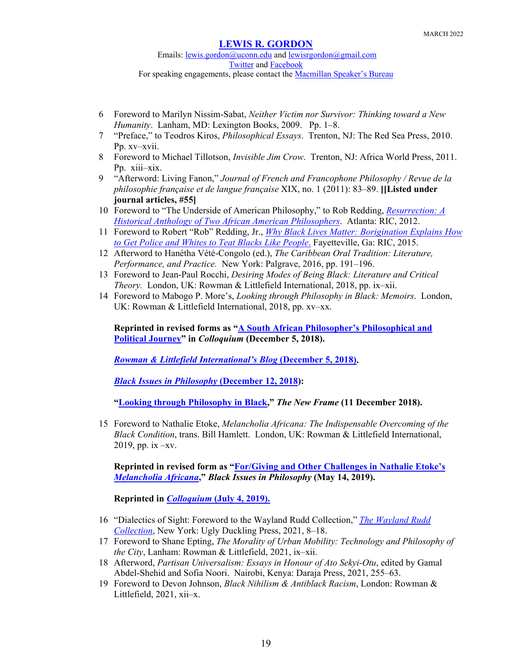Emails: [lewis.gordon@uconn.edu](mailto:lewis.gordon@uconn.edu) an[d lewisrgordon@gmail.com](mailto:lewisrgordon@gmail.com) [Twitter](https://twitter.com/lewgord) and [Facebook](https://www.facebook.com/LewisGordonPhilosopher/) For speaking engagements, please contact the [Macmillan Speaker's Bureau](https://www.macmillanspeakers.com/speaker/lewis-gordon/)

- 6 Foreword to Marilyn Nissim-Sabat, *Neither Victim nor Survivor: Thinking toward a New Humanity*. Lanham, MD: Lexington Books, 2009. Pp. 1–8.
- 7 "Preface," to Teodros Kiros, *Philosophical Essays*. Trenton, NJ: The Red Sea Press, 2010. Pp. xv–xvii.
- 8 Foreword to Michael Tillotson, *Invisible Jim Crow*. Trenton, NJ: Africa World Press, 2011. Pp. xiii–xix.
- 9 "Afterword: Living Fanon," *Journal of French and Francophone Philosophy / Revue de la philosophie française et de langue française* XIX, no. 1 (2011): 83–89. **[[Listed under journal articles, #55]**
- 10 Foreword to "The Underside of American Philosophy," to Rob Redding, *[Resurrection: A](https://www.amazon.com/Resurrection-Historical-African-American-Philosophers-ebook/dp/B007QZXBEY/ref=sr_1_1?ie=UTF8&qid=1334272019&sr=8-1)  [Historical Anthology of Two African American Philosophers](https://www.amazon.com/Resurrection-Historical-African-American-Philosophers-ebook/dp/B007QZXBEY/ref=sr_1_1?ie=UTF8&qid=1334272019&sr=8-1)*. Atlanta: RIC, 2012.
- 11 Foreword to Robert "Rob" Redding, Jr., *[Why Black Lives Matter: Borigination Explains How](http://www.amazon.com/Why-Black-Lives-Matter-Borigination-ebook/dp/B010VXXGT2/ref=sr_1_2?ie=UTF8&qid=1436127773&sr=8-2&keywords=Rob+Redding)  [to Get Police and Whites to Teat Blacks Like People](http://www.amazon.com/Why-Black-Lives-Matter-Borigination-ebook/dp/B010VXXGT2/ref=sr_1_2?ie=UTF8&qid=1436127773&sr=8-2&keywords=Rob+Redding)*. Fayetteville, Ga: RIC, 2015.
- 12 Afterword to Hanétha Vété-Congolo (ed.), *The Caribbean Oral Tradition: Literature, Performance, and Practice.* New York: Palgrave, 2016, pp. 191–196.
- 13 Foreword to Jean-Paul Rocchi, *Desiring Modes of Being Black: Literature and Critical Theory.* London, UK: Rowman & Littlefield International, 2018, pp. ix–xii.
- 14 Foreword to Mabogo P. More's, *Looking through Philosophy in Black: Memoirs*. London, UK: Rowman & Littlefield International, 2018, pp. xv–xx.

**Reprinted in revised forms as ["A South African Philosopher's Philosophical and](https://medium.com/colloquium/a-south-african-philosophers-intellectual-and-political-journey-2ce4174b5827)  [Political Journey"](https://medium.com/colloquium/a-south-african-philosophers-intellectual-and-political-journey-2ce4174b5827) in** *Colloquium* **(December 5, 2018).**

*[Rowman & Littlefield International's Blog](https://www.rowmaninternational.com/blog/a-south-african-philosopher-s-intellectual-and-political-journey?fbclid=IwAR1qYAm1Vkq9y3856XqvFKlRrUCv6GSYNTPMgdwTEcxOJWjrGwkcCmn1U0A)* **(December 5, 2018).**

*[Black Issues in Philosophy](https://blog.apaonline.org/2018/12/11/black-issues-in-philosophy-a-south-african-philosophers-intellectual-and-political-journey/)* **(December 12, 2018):**

**["Looking through Philosophy in Black,](https://www.newframe.com/looking-through-philosophy-black/?fbclid=IwAR2kgzvv-t4P2NVQLkDaSy868W9FRGA27BaX2GiaJmOHlFNZlemiKYtvZJs)"** *The New Frame* **(11 December 2018).**

15 Foreword to Nathalie Etoke, *Melancholia Africana: The Indispensable Overcoming of the Black Condition*, trans. Bill Hamlett. London, UK: Rowman & Littlefield International, 2019, pp. ix –xv.

**Reprinted in revised form as ["For/Giving and Other Challenges in Nathalie Etoke's](https://blog.apaonline.org/2019/05/14/for-giving-and-other-existential-challenges-in-nathalie-etokes-melancholia-africana/)**  *[Melancholia Africana](https://blog.apaonline.org/2019/05/14/for-giving-and-other-existential-challenges-in-nathalie-etokes-melancholia-africana/)***,"** *Black Issues in Philosophy* **(May 14, 2019).**

**Reprinted in** *Colloquium* **[\(July 4, 2019\)](https://medium.com/colloquium/nathalie-etoke-on-for-giving-and-other-existential-challenges-e8efa1590987).**

- 16 "Dialectics of Sight: Foreword to the Wayland Rudd Collection," *[The Wayland Rudd](https://uglyducklingpresse.org/publications/the-wayland-rudd-collection/)  [Collection](https://uglyducklingpresse.org/publications/the-wayland-rudd-collection/)*, New York: Ugly Duckling Press, 2021, 8–18.
- 17 Foreword to Shane Epting, *The Morality of Urban Mobility: Technology and Philosophy of the City*, Lanham: Rowman & Littlefield, 2021, ix–xii.
- 18 Afterword, *Partisan Universalism: Essays in Honour of Ato Sekyi-Otu*, edited by Gamal Abdel-Shehid and Sofia Noori. Nairobi, Kenya: Daraja Press, 2021, 255–63.
- 19 Foreword to Devon Johnson, *Black Nihilism & Antiblack Racism*, London: Rowman & Littlefield, 2021, xii–x.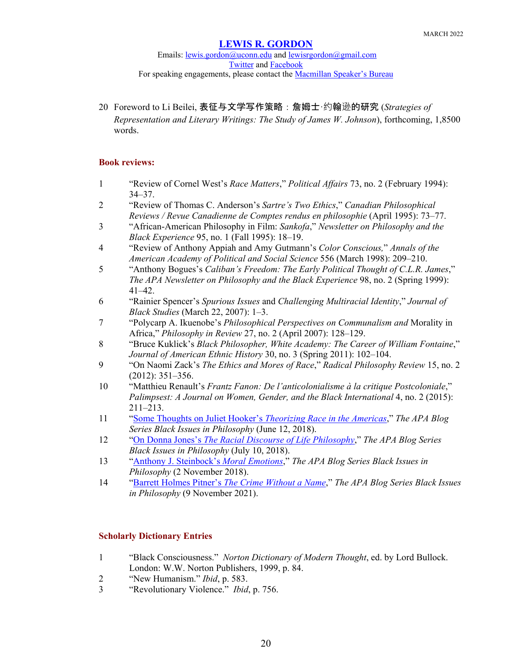20 Foreword to Li Beilei, 表征与文学写作策略:詹姆士·约翰逊的研究 (*Strategies of Representation and Literary Writings: The Study of James W. Johnson*), forthcoming, 1,8500 words.

## **Book reviews:**

- 1 "Review of Cornel West's *Race Matters*," *Political Affairs* 73, no. 2 (February 1994): 34–37.
- 2 "Review of Thomas C. Anderson's *Sartre's Two Ethics*," *Canadian Philosophical Reviews / Revue Canadienne de Comptes rendus en philosophie* (April 1995): 73–77.
- 3 "African-American Philosophy in Film: *Sankofa*," *Newsletter on Philosophy and the Black Experience* 95, no. 1 (Fall 1995): 18–19.
- 4 "Review of Anthony Appiah and Amy Gutmann's *Color Conscious,*" *Annals of the American Academy of Political and Social Science* 556 (March 1998): 209–210.
- 5 "Anthony Bogues's *Caliban's Freedom: The Early Political Thought of C.L.R. James*," *The APA Newsletter on Philosophy and the Black Experience* 98, no. 2 (Spring 1999): 41–42.
- 6 "Rainier Spencer's *Spurious Issues* and *Challenging Multiracial Identity*," *Journal of Black Studies* (March 22, 2007): 1–3.
- 7 "Polycarp A. Ikuenobe's *Philosophical Perspectives on Communalism and* Morality in Africa," *Philosophy in Review* 27, no. 2 (April 2007): 128–129.
- 8 "Bruce Kuklick's *Black Philosopher, White Academy: The Career of William Fontaine*," *Journal of American Ethnic History* 30, no. 3 (Spring 2011): 102–104.
- 9 "On Naomi Zack's *The Ethics and Mores of Race*," *Radical Philosophy Review* 15, no. 2 (2012): 351–356.
- 10 "Matthieu Renault's *Frantz Fanon: De l'anticolonialisme à la critique Postcoloniale*," *Palimpsest: A Journal on Women, Gender, and the Black International* 4, no. 2 (2015): 211–213.
- 11 ["Some Thoughts on Juliet Hooker's](https://blog.apaonline.org/2018/06/12/some-thoughts-on-juliet-hookers-theorizing-race-in-the-americas/) *Theorizing Race in the Americas*," *The APA Blog Series Black Issues in Philosophy* (June 12, 2018).
- 12 "On Donna Jones's *[The Racial Discourse of Life Philosophy](https://blog.apaonline.org/2018/07/10/black-issues-in-philosophy-on-donna-joness-the-racial-discourses-of-life-philosophy/)*," *The APA Blog Series Black Issues in Philosophy* (July 10, 2018).
- 13 ["Anthony J. Steinbock's](file://Users/lewis/Documents/Lewis%20Gordon) *Moral Emotions*," *The APA Blog Series Black Issues in Philosophy* (2 November 2018).
- 14 "Barrett Holmes Pitner's *[The Crime Without a Name](https://blog.apaonline.org/2021/11/09/barrett-holmes-pitners-the-crime-without-a-name/)*," *The APA Blog Series Black Issues in Philosophy* (9 November 2021).

## **Scholarly Dictionary Entries**

- 1 "Black Consciousness." *Norton Dictionary of Modern Thought*, ed. by Lord Bullock. London: W.W. Norton Publishers, 1999, p. 84.
- 2 "New Humanism." *Ibid*, p. 583.
- 3 "Revolutionary Violence." *Ibid*, p. 756.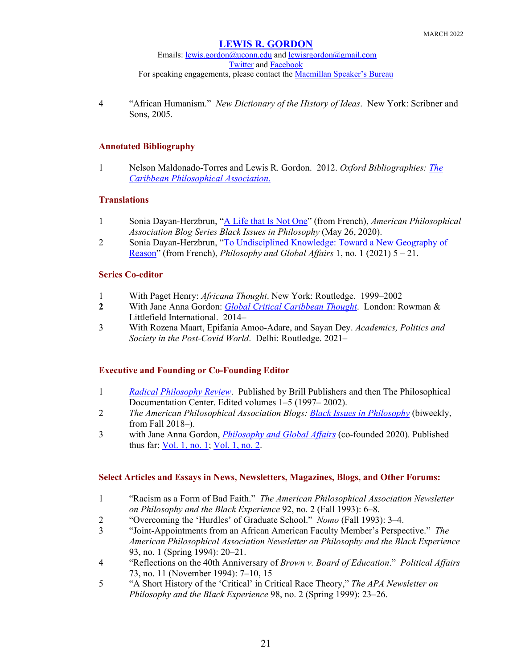Emails: [lewis.gordon@uconn.edu](mailto:lewis.gordon@uconn.edu) an[d lewisrgordon@gmail.com](mailto:lewisrgordon@gmail.com) [Twitter](https://twitter.com/lewgord) and [Facebook](https://www.facebook.com/LewisGordonPhilosopher/) For speaking engagements, please contact the **Macmillan Speaker's Bureau** 

4 "African Humanism." *New Dictionary of the History of Ideas*. New York: Scribner and Sons, 2005.

### **Annotated Bibliography**

1 Nelson Maldonado-Torres and Lewis R. Gordon. 2012. *Oxford Bibliographies: [The](http://oxfordbibliographiesonline.com/view/document/obo-9780199766581/obo-9780199766581-0024.xml)  [Caribbean Philosophical Association](http://oxfordbibliographiesonline.com/view/document/obo-9780199766581/obo-9780199766581-0024.xml)*.

### **Translations**

- 1 Sonia Dayan-Herzbrun, ["A Life that Is Not One"](https://blog.apaonline.org/2020/05/26/a-life-that-is-not-one/) (from French), *American Philosophical Association Blog Series Black Issues in Philosophy* (May 26, 2020).
- 2 Sonia Dayan-Herzbrun, ["To Undisciplined Knowledge: Toward a New Geography of](https://www.pdcnet.org/pga/content/pga_2021_0001_0001_0005_0021)  [Reason"](https://www.pdcnet.org/pga/content/pga_2021_0001_0001_0005_0021) (from French), *Philosophy and Global Affairs* 1, no. 1 (2021) 5 – 21.

## **Series Co-editor**

- 1 With Paget Henry: *Africana Thought*. New York: Routledge. 1999–2002
- **2** With Jane Anna Gordon: *[Global Critical Caribbean Thought](http://www.rowmaninternational.com/our-publishing/series/global-critical-caribbean-thought/)*. London: Rowman & Littlefield International. 2014–
- 3 With Rozena Maart, Epifania Amoo-Adare, and Sayan Dey. *Academics, Politics and Society in the Post-Covid World*. Delhi: Routledge. 2021–

## **Executive and Founding or Co-Founding Editor**

- 1 *[Radical Philosophy Review](https://www.pdcnet.org/radphilrev)*. Published by Brill Publishers and then The Philosophical Documentation Center. Edited volumes 1–5 (1997– 2002).
- 2 *The American Philosophical Association Blogs: [Black Issues in Philosophy](https://blog.apaonline.org/tag/black-issues-in-philosophy/)* (biweekly, from Fall 2018–).
- 3 with Jane Anna Gordon, *[Philosophy and Global Affairs](https://www.pdcnet.org/pga?__cf_chl_jschl_tk__=e5fe1638e0c440ce543f303b0a408ab7a86d7487-1592973586-0-ARQf1keOeI6Han1vjxenb1mAuwQN6K7Iezl43efjZbnn2M6h8Ink9LFjUdji9StCUhXWcw8O8R3ylXkk75XM6clb1J7rHJ9Z5PQd0RIBRcNsh7mqd_4A0EIalgflsU0pdTPoQVdGMmxgJ_oyOFaGwssQpG0jq3g7XG6fLIXXi_Mkoj57tkO_nKSj-nh9Z20HorCxZelqUA7QN_UO14amXS9Lg1FckUbRb2Jto_qzYYDtOore9qIdAtpHYG6e-lCMKPMGHekjK20kysGXmYNSxLE)* (co-founded 2020). Published thus far: <u>Vol. 1, no. 1;</u> [Vol. 1, no. 2.](https://www.pdcnet.org/collection-anonymous/browse?fp=pga&fq=pga/Volume/8999%7C1/8998%7CIssue:%202/)

### **Select Articles and Essays in News, Newsletters, Magazines, Blogs, and Other Forums:**

- 1 "Racism as a Form of Bad Faith." *The American Philosophical Association Newsletter on Philosophy and the Black Experience* 92, no. 2 (Fall 1993): 6–8.
- 2 "Overcoming the 'Hurdles' of Graduate School." *Nomo* (Fall 1993): 3–4.
- 3 "Joint-Appointments from an African American Faculty Member's Perspective." *The American Philosophical Association Newsletter on Philosophy and the Black Experience* 93, no. 1 (Spring 1994): 20–21.
- 4 "Reflections on the 40th Anniversary of *Brown v. Board of Education*." *Political Affairs* 73, no. 11 (November 1994): 7–10, 15
- 5 "A Short History of the 'Critical' in Critical Race Theory," *The APA Newsletter on Philosophy and the Black Experience* 98, no. 2 (Spring 1999): 23–26.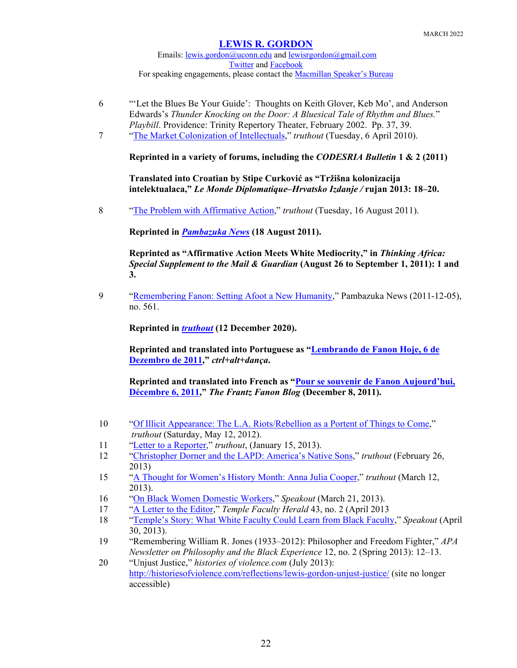Emails: [lewis.gordon@uconn.edu](mailto:lewis.gordon@uconn.edu) an[d lewisrgordon@gmail.com](mailto:lewisrgordon@gmail.com) [Twitter](https://twitter.com/lewgord) and [Facebook](https://www.facebook.com/LewisGordonPhilosopher/) For speaking engagements, please contact the **Macmillan Speaker's Bureau** 

- 6 "'Let the Blues Be Your Guide': Thoughts on Keith Glover, Keb Mo', and Anderson Edwards's *Thunder Knocking on the Door: A Bluesical Tale of Rhythm and Blues.*" *Playbill*. Providence: Trinity Repertory Theater, February 2002. Pp. 37, 39.
- 7 ["The Market Colonization of Intellectuals,](https://truthout.org/articles/the-market-colonization-of-intellectuals/)" *truthout* (Tuesday, 6 April 2010).

**Reprinted in a variety of forums, including the** *CODESRIA Bulletin* **1 & 2 (2011)**

**Translated into Croatian by Stipe Curković as "Tržišna kolonizacija intelektualaca,"** *Le Monde Diplomatique–Hrvatsko Izdanje /* **rujan 2013: 18–20.** 

8 "The Problem with [Affirmative Action,](https://truthout.org/articles/the-problem-with-affirmative-action/)" *truthout* (Tuesday, 16 August 2011).

**Reprinted in** *[Pambazuka News](https://www.pambazuka.org/governance/problem-affirmative-action)* **(18 August 2011).**

**Reprinted as "Affirmative Action Meets White Mediocrity," in** *Thinking Africa: Special Supplement to the Mail & Guardian* **(August 26 to September 1, 2011): 1 and 3.**

9 ["Remembering Fanon: Setting Afoot a New Humanity,](https://www.pambazuka.org/governance/remembering-fanon-setting-afoot-new-humanity)" Pambazuka News (2011-12-05), no. 561.

**Reprinted in** *[truthout](https://truthout.org/?s=remembering+Fanon)* **(12 December 2020).**

**Reprinted and translated into Portuguese as ["Lembrando de Fanon Hoje, 6 de](http://centroculturalvirtual.com.br/conteudo/lembrando-de-fanon-hoje-lewis-r-gordon)  [Dezembro de 2011,](http://centroculturalvirtual.com.br/conteudo/lembrando-de-fanon-hoje-lewis-r-gordon)"** *ctrl+alt+dança***.**

**Reprinted and translated into French as ["Pour se souvenir de Fanon Aujourd'hui,](http://readingfanon.blogspot.com/2011/12/pour-se-souvenir-de-fanon-aujourdhui.html#more)  [Décembre 6, 2011,](http://readingfanon.blogspot.com/2011/12/pour-se-souvenir-de-fanon-aujourdhui.html#more)"** *The Frantz Fanon Blog* **(December 8, 2011).**

- 10 ["Of Illicit Appearance: The L.A. Riots/Rebellion as a Portent of Things to Come,](https://truthout.org/articles/of-illicit-appearance-the-la-riots-rebellion-as-a-portent-of-things-to-come/)" *truthout* (Saturday, May 12, 2012).
- 11 ["Letter to a Reporter,](https://truthout.org/articles/letter-to-a-reporter/)" *truthout*, (January 15, 2013).
- 12 ["Christopher Dorner and the LAPD: America's Native Sons,](https://truthout.org/articles/christopher-dorner-and-the-lapd-americas-native-sons/)" *truthout* (February 26, 2013)
- 15 ["A Thought for Women's History Month: Anna Julia Cooper,](https://truthout.org/articles/a-thought-for-womens-history-month-anna-julia-cooper/)" *truthout* (March 12, 2013).
- 16 ["On Black Women Domestic Workers,](https://truthout.org/?s=Women+Domestic+Workers&post_type=all)" *Speakout* (March 21, 2013).
- 17 ["A Letter to the Editor,](http://www.temple.edu/herald/43_4/LettertotheEditor422LewisGordon.htm)" *Temple Faculty Herald* 43, no. 2 (April 2013
- 18 ["Temple's Story: What White Faculty Could Learn from Black Faculty,](https://truthout.org/?s=+What+White+Faculty+Could+Learn+from+Black+Faculty&post_type=all)" *Speakout* (April 30, 2013).
- 19 "Remembering William R. Jones (1933–2012): Philosopher and Freedom Fighter," *APA Newsletter on Philosophy and the Black Experience* 12, no. 2 (Spring 2013): 12–13.
- 20 "Unjust Justice," *histories of violence.com* (July 2013): <http://historiesofviolence.com/reflections/lewis-gordon-unjust-justice/> (site no longer accessible)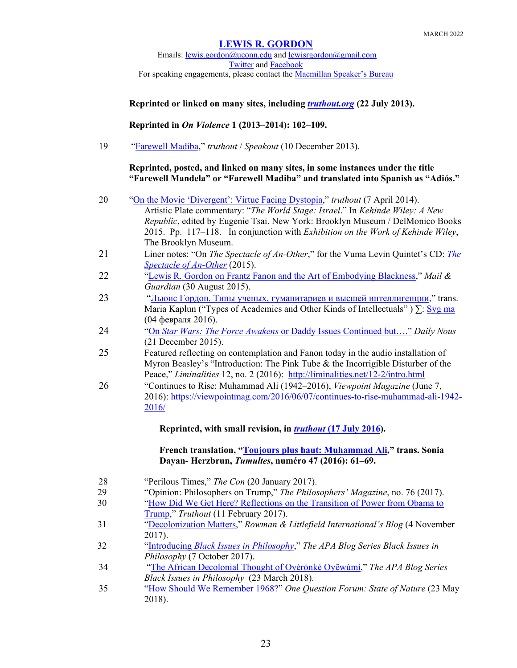Emails: [lewis.gordon@uconn.edu](mailto:lewis.gordon@uconn.edu) an[d lewisrgordon@gmail.com](mailto:lewisrgordon@gmail.com) **[Twitter](https://twitter.com/lewgord)** and **Facebook** For speaking engagements, please contact the [Macmillan Speaker's Bureau](https://www.macmillanspeakers.com/speaker/lewis-gordon/)

## **Reprinted or linked on many sites, including** *[truthout.org](https://truthout.org/articles/unjust-justice/)* **(22 July 2013).**

## **Reprinted in** *On Violence* **1 (2013–2014): 102–109.**

19 ["Farewell](https://truthout.org/?s=Farewell+Madiba) Madiba," *truthout* / *Speakout* (10 December 2013).

## **Reprinted, posted, and linked on many sites, in some instances under the title "Farewell Mandela" or "Farewell Madiba" and translated into Spanish as "Adiós."**

| 20 | "On the Movie 'Divergent': Virtue Facing Dystopia," truthout (7 April 2014).             |
|----|------------------------------------------------------------------------------------------|
|    | Artistic Plate commentary: "The World Stage: Israel." In Kehinde Wiley: A New            |
|    | Republic, edited by Eugenie Tsai. New York: Brooklyn Museum / DelMonico Books            |
|    | 2015. Pp. 117-118. In conjunction with Exhibition on the Work of Kehinde Wiley,          |
|    | The Brooklyn Museum.                                                                     |
| 21 | Liner notes: "On The Spectacle of An-Other," for the Vuma Levin Quintet's CD: <i>The</i> |
|    | Spectacle of An-Other $(2015)$ .                                                         |
| 22 | "Lewis R. Gordon on Frantz Fanon and the Art of Embodying Blackness," Mail &             |
|    | Guardian (30 August 2015).                                                               |
| 23 | "Льюис Гордон. Типы ученых, гуманитариев и высшей интеллигенции," trans.                 |
|    | Maria Kaplun ("Types of Academics and Other Kinds of Intellectuals") $\Sigma$ : Syg ma   |
|    | (04 февраля 2016).                                                                       |
| 24 | "On Star Wars: The Force Awakens or Daddy Issues Continued but" Daily Nous               |
|    | (21 December 2015).                                                                      |
| 25 | Featured reflecting on contemplation and Fanon today in the audio installation of        |
|    | Myron Beasley's "Introduction: The Pink Tube & the Incorrigible Disturber of the         |
|    | Peace," Liminalities 12, no. 2 (2016): http://liminalities.net/12-2/intro.html           |
| 26 | "Continues to Rise: Muhammad Ali (1942–2016), Viewpoint Magazine (June 7,                |
|    | 2016): https://viewpointmag.com/2016/06/07/continues-to-rise-muhammad-ali-1942-          |
|    | 2016/                                                                                    |
|    | Reprinted, with small revision, in <i>truthout</i> (17 July 2016).                       |
|    |                                                                                          |
|    | French translation, "Toujours plus haut: Muhammad Ali," trans. Sonia                     |
|    | Dayan-Herzbrun, Tumultes, numéro 47 (2016): 61-69.                                       |
| 28 | "Perilous Times," The Con (20 January 2017).                                             |
| 29 | "Opinion: Philosophers on Trump," The Philosophers' Magazine, no. 76 (2017).             |
| 30 | "How Did We Get Here? Reflections on the Transition of Power from Obama to               |
|    |                                                                                          |

- [Trump,](https://truthout.org/articles/how-did-we-get-here-reflections-on-the-transfer-of-power-from-obama-to-trump/)" *Truthout* (11 February 2017).
- 31 ["Decolonization Matters,](https://www.rowmaninternational.com/blog/decolonization-matters/)" *Rowman & Littlefield International's Blog* (4 November 2017).
- 32 "Introducing *[Black Issues in Philosophy](https://blog.apaonline.org/2017/10/17/black-issues-in-philosophy-introduction/)*," *The APA Blog Series Black Issues in Philosophy* (7 October 2017).
- 34 "[The African Decolonial Thought of Oyèrónké Oyĕwùmí](https://blog.apaonline.org/2018/03/23/black-issues-in-philosophy-the-african-decolonial-thought-of-oyeronke-oyewumi/)," *The APA Blog Series Black Issues in Philosophy* (23 March 2018).
- 35 ["How Should We Remember 1968?"](http://stateofnatureblog.com/one-question-how-should-we-remember-1968/#Lewis) *One Question Forum: State of Nature* (23 May 2018).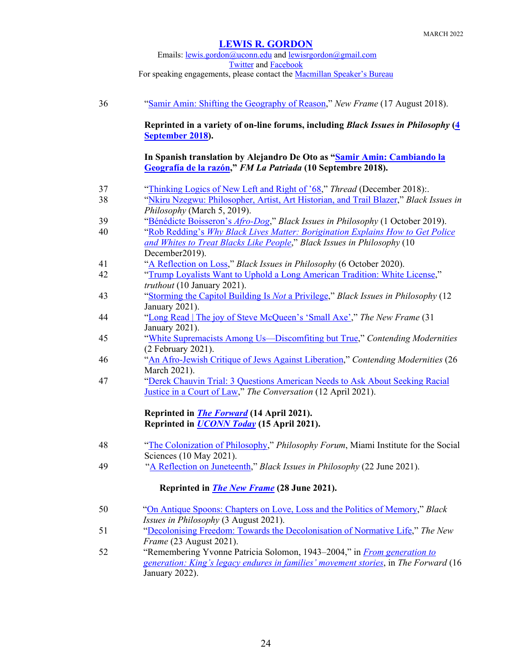## Emails: [lewis.gordon@uconn.edu](mailto:lewis.gordon@uconn.edu) an[d lewisrgordon@gmail.com](mailto:lewisrgordon@gmail.com) [Twitter](https://twitter.com/lewgord) and [Facebook](https://www.facebook.com/LewisGordonPhilosopher/) For speaking engagements, please contact the [Macmillan Speaker's Bureau](https://www.macmillanspeakers.com/speaker/lewis-gordon/)

| 36 | "Samir Amin: Shifting the Geography of Reason," New Frame (17 August 2018).                                                                                                 |
|----|-----------------------------------------------------------------------------------------------------------------------------------------------------------------------------|
|    | Reprinted in a variety of on-line forums, including <i>Black Issues in Philosophy</i> (4<br>September 2018).                                                                |
|    | In Spanish translation by Alejandro De Oto as "Samir Amin: Cambiando la<br>Geografía de la razón," FM La Patriada (10 Septembre 2018).                                      |
| 37 | "Thinking Logics of New Left and Right of '68," Thread (December 2018).                                                                                                     |
| 38 | "Nkiru Nzegwu: Philosopher, Artist, Art Historian, and Trail Blazer," Black Issues in<br>Philosophy (March 5, 2019).                                                        |
| 39 | "Bénédicte Boisseron's Afro-Dog," Black Issues in Philosophy (1 October 2019).                                                                                              |
| 40 | "Rob Redding's Why Black Lives Matter: Borigination Explains How to Get Police<br>and Whites to Treat Blacks Like People," Black Issues in Philosophy (10<br>December2019). |
| 41 | "A Reflection on Loss," Black Issues in Philosophy (6 October 2020).                                                                                                        |
| 42 | "Trump Loyalists Want to Uphold a Long American Tradition: White License,"<br>truthout (10 January 2021).                                                                   |
| 43 | "Storming the Capitol Building Is Not a Privilege," Black Issues in Philosophy (12)<br>January 2021).                                                                       |
| 44 | "Long Read   The joy of Steve McQueen's 'Small Axe'," The New Frame (31)<br>January 2021).                                                                                  |
| 45 | "White Supremacists Among Us-Discomfiting but True," Contending Modernities<br>(2 February 2021).                                                                           |
| 46 | "An Afro-Jewish Critique of Jews Against Liberation," Contending Modernities (26<br>March 2021).                                                                            |
| 47 | "Derek Chauvin Trial: 3 Questions American Needs to Ask About Seeking Racial<br>Justice in a Court of Law," The Conversation (12 April 2021).                               |
|    | Reprinted in <i>The Forward</i> (14 April 2021).<br>Reprinted in <b>UCONN Today</b> (15 April 2021).                                                                        |
| 48 | "The Colonization of Philosophy," Philosophy Forum, Miami Institute for the Social<br>Sciences (10 May 2021).                                                               |
| 49 | "A Reflection on Juneteenth," Black Issues in Philosophy (22 June 2021).                                                                                                    |
|    | Reprinted in <i>The New Frame</i> (28 June 2021).                                                                                                                           |
| 50 | "On Antique Spoons: Chapters on Love, Loss and the Politics of Memory," Black                                                                                               |
| 51 | Issues in Philosophy (3 August 2021).<br>"Decolonising Freedom: Towards the Decolonisation of Normative Life," The New                                                      |
| 52 | Frame (23 August 2021).<br>"Remembering Yvonne Patricia Solomon, 1943–2004," in <i>From generation to</i>                                                                   |
|    | generation: King's legacy endures in families' movement stories, in The Forward (16<br>January 2022).                                                                       |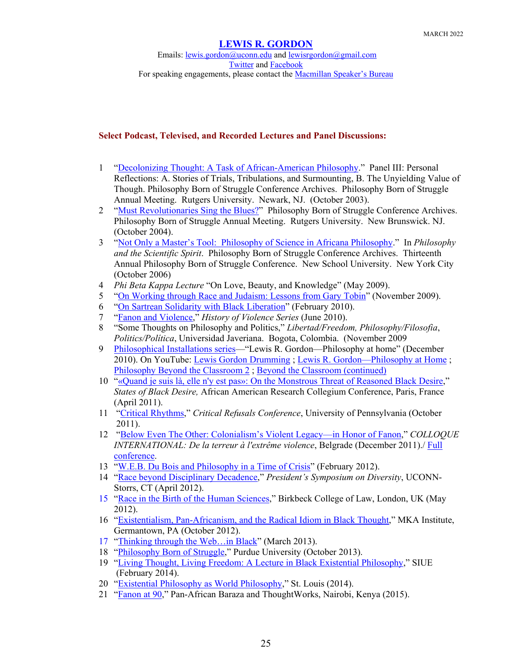Emails: [lewis.gordon@uconn.edu](mailto:lewis.gordon@uconn.edu) an[d lewisrgordon@gmail.com](mailto:lewisrgordon@gmail.com) [Twitter](https://twitter.com/lewgord) and [Facebook](https://www.facebook.com/LewisGordonPhilosopher/) For speaking engagements, please contact the [Macmillan Speaker's Bureau](https://www.macmillanspeakers.com/speaker/lewis-gordon/)

## **Select Podcast, Televised, and Recorded Lectures and Panel Discussions:**

- 1 ["Decolonizing Thought: A Task of African-American Philosophy.](https://earchives.lib.purdue.edu/digital/collection/msp194/id/66/rec/2)" Panel III: Personal Reflections: A. Stories of Trials, Tribulations, and Surmounting, B. The Unyielding Value of Though. Philosophy Born of Struggle Conference Archives. Philosophy Born of Struggle Annual Meeting. Rutgers University. Newark, NJ. (October 2003).
- 2 ["Must Revolutionaries Sing the Blues?"](https://earchives.lib.purdue.edu/digital/collection/msp194/id/86/rec/6) Philosophy Born of Struggle Conference Archives. Philosophy Born of Struggle Annual Meeting. Rutgers University. New Brunswick. NJ. (October 2004).
- 3 ["Not Only a Master's Tool: Philosophy of Science in Africana Philosophy.](https://earchives.lib.purdue.edu/digital/collection/msp194/id/125/rec/3)" In *Philosophy and the Scientific Spirit*. Philosophy Born of Struggle Conference Archives. Thirteenth Annual Philosophy Born of Struggle Conference. New School University. New York City (October 2006)
- 4 *Phi Beta Kappa Lecture* "On Love, Beauty, and Knowledge" (May 2009).
- 5 ["On Working through Race and Judaism: Lessons from Gary Tobin"](https://www.youtube.com/watch?v=jY3fCXWCHzY) (November 2009).
- 6 ["On Sartrean Solidarity with Black Liberation"](https://www.youtube.com/watch?v=63gxqihbpQ0) (February 2010).
- 7 ["Fanon and](https://vimeo.com/43036768) Violence," *History of Violence Series* (June 2010).
- 8 "Some Thoughts on Philosophy and Politics," *Libertad/Freedom, Philosophy/Filosofìa*, *Politics/Política*, Universidad Javeriana. Bogota, Colombia. (November 2009
- 9 [Philosophical Installations series—](https://philinstall.uoregon.edu/#independent-videos)"Lewis R. Gordon—Philosophy at home" (December 2010). On YouTube: [Lewis Gordon Drumming](https://www.youtube.com/watch?v=A4x2dUDfFew) ; [Lewis R. Gordon—Philosophy at Home](https://www.youtube.com/watch?v=XHwvm3wOSGE) ; [Philosophy Beyond the Classroom 2](https://www.youtube.com/watch?v=geSk95F0d4Q) ; [Beyond the Classroom \(continued\)](https://www.youtube.com/watch?v=GWc_kOdjCyE)
- 10 ["«Quand je suis là, elle n'y est pas»: On the Monstrous Threat of Reasoned Black Desire,](https://www.youtube.com/watch?v=AQxlAJGrerw&list=PL7B1CBDE0CFE5BAEE&index=2&feature=plpp_video)" *States of Black Desire,* African American Research Collegium Conference, Paris, France (April 2011).
- 11 ["Critical Rhythms,](https://www.youtube.com/watch?v=9sOkhKraiHs)" *Critical Refusals Conference*, University of Pennsylvania (October 2011).
- 12 ["Below Even The Other: Colonialism's Violent Legacy—in Honor of Fanon,](https://www.youtube.com/watch?v=X8aZnI5Foxs)" *COLLOQUE INTERNATIONAL: De la terreur à l'extrême violence*, Belgrade (December 2011)./ [Full](http://www.youtube.com/playlist?list=PL31BA590F37294B1C)  [conference.](http://www.youtube.com/playlist?list=PL31BA590F37294B1C)
- 13 ["W.E.B. Du Bois and Philosophy in a Time of Crisis"](http://www.youtube.com/watch?v=Vqn3tr9V-1Y&feature=related) (February 2012).
- 14 ["Race beyond Disciplinary Decadence,](https://www.youtube.com/watch?v=DBU7enegAMI)" *President's Symposium on Diversity*, UCONN-Storrs, CT (April 2012).
- 15 ["Race in the Birth of the Human Sciences,](https://backdoorbroadcasting.net/2012/05/lewis-gordon-race-in-the-birth-of-the-human-science/)" Birkbeck College of Law, London, UK (May 2012).
- 16 ["Existentialism, Pan-Africanism, and the Radical Idiom in Black Thought,](http://www.youtube.com/watch?v=mAIxBGy3P_8)" MKA Institute, Germantown, PA (October 2012).
- 17 ["Thinking through the Web…in Black"](https://via.library.depaul.edu/rrr/Events/Events/4/) (March 2013).
- 18 ["Philosophy Born of Struggle,](https://www.youtube.com/watch?v=HoX6wr_1yMk&index=1&list=PLFI_NVOo_-ZOqPTxKalN_hGqeCkOXWitB)" Purdue University (October 2013).
- 19 ["Living Thought, Living Freedom: A Lecture in Black Existential Philosophy,](https://www.youtube.com/watch?v=qDpepZOeAqg)" SIUE (February 2014).
- 20 ["Existential Philosophy as World Philosophy,](https://www.youtube.com/watch?v=YjqKijEg07M&list=PLFI_NVOo_-ZOqPTxKalN_hGqeCkOXWitB&index=3)" St. Louis (2014).
- 21 ["Fanon at 90,](https://www.youtube.com/watch?v=ixNrKiW19mU&list=PLFI_NVOo_-ZOyGDmqAcXlZCcrZxjUOL40)" Pan-African Baraza and ThoughtWorks, Nairobi, Kenya (2015).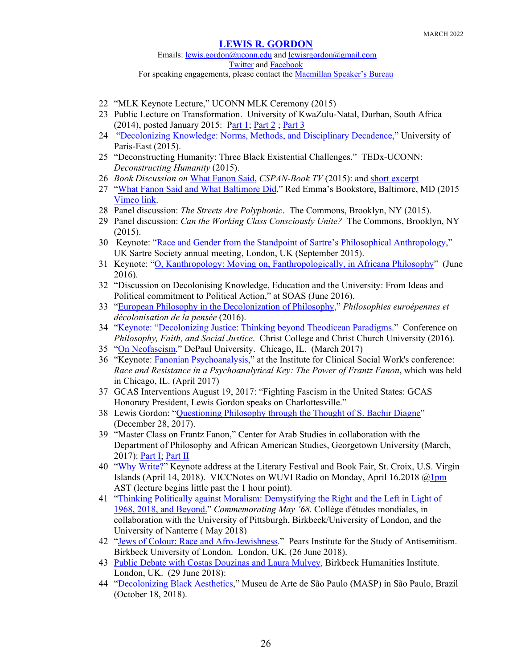Emails: [lewis.gordon@uconn.edu](mailto:lewis.gordon@uconn.edu) an[d lewisrgordon@gmail.com](mailto:lewisrgordon@gmail.com) [Twitter](https://twitter.com/lewgord) and [Facebook](https://www.facebook.com/LewisGordonPhilosopher/) For speaking engagements, please contact the [Macmillan Speaker's Bureau](https://www.macmillanspeakers.com/speaker/lewis-gordon/)

- 22 "MLK Keynote Lecture," UCONN MLK Ceremony (2015)
- 23 Public Lecture on Transformation. University of KwaZulu-Natal, Durban, South Africa (2014), posted January 2015: [Part 1;](https://www.youtube.com/watch?v=phuDWH7k-G8) [Part 2](https://www.youtube.com/watch?v=xeczsQHuI-M); [Part 3](https://www.youtube.com/watch?v=lIse5GUV3xg)
- 24 ["Decolonizing Knowledge: Norms, Methods, and Disciplinary Decadence,](https://www.youtube.com/watch?v=-fsJnqdIFTE)" University of Paris-East (2015).
- 25 "Deconstructing Humanity: Three Black Existential Challenges." TEDx-UCONN: *Deconstructing Humanity* (2015).
- 26 *Book Discussion on* [What Fanon Said,](http://www.c-span.org/video/?325752-1/lewis-gordon-fanon-said) *CSPAN-Book TV* (2015): and [short excerpt](https://www.youtube.com/watch?v=okBYvdVoK18&list=PLFI_NVOo_-ZOni9S8t9ThTCmgi7AcF7LX&index=3)
- 27 ["What Fanon Said and What Baltimore Did,](https://www.youtube.com/watch?v=UABksVE5BTQ)" Red Emma's Bookstore, Baltimore, MD (2015 [Vimeo link.](https://vimeo.com/133906924)
- 28 Panel discussion: *The Streets Are Polyphonic*. The Commons, Brooklyn, NY (2015).
- 29 Panel discussion: *Can the Working Class Consciously Unite?* The Commons, Brooklyn, NY (2015).
- 30 Keynote: ["Race and Gender from the Standpoint of Sartre's Philosophical Anthropology,](https://www.youtube.com/watch?v=2UO0amE2oNE)" UK Sartre Society annual meeting, London, UK (September 2015).
- 31 Keynote: ["O, Kanthropology: Moving on, Fanthropologically, in Africana Philosophy"](http://backdoorbroadcasting.net/2016/05/lewis-gordon-o-kanthropology-moving-on-fanthropologically-in-africana-philosophy/) (June 2016).
- 32 "Discussion on Decolonising Knowledge, Education and the University: From Ideas and Political commitment to Political Action," at SOAS (June 2016).
- 33 ["European Philosophy in the Decolonization of Philosophy,](https://player.vimeo.com/video/180466435?autoplay=1)" *Philosophies euroépennes et décolonisation de la pensée* (2016).
- 34 ["Keynote: "Decolonizing Justice: Thinking beyond Theodicean Paradigms."](https://www.youtube.com/watch?v=Y25-r-Fvlgw) Conference on *Philosophy, Faith, and Social Justice*. Christ College and Christ Church University (2016).
- 35 ["On Neofascism.](file://Users/lewis/Documents/Lewis%20Gordon)" DePaul University. Chicago, IL. (March 2017)
- 36 "Keynote: [Fanonian Psychoanalysis,](https://www.youtube.com/watch?v=DOp63bogeWY&feature=youtu.be)" at the Institute for Clinical Social Work's conference: *Race and Resistance in a Psychoanalytical Key: The Power of Frantz Fanon*, which was held in Chicago, IL. (April 2017)
- 37 GCAS Interventions August 19, 2017: "Fighting Fascism in the United States: GCAS Honorary President, Lewis Gordon speaks on Charlottesville."
- 38 Lewis Gordon: ["Questioning Philosophy through the Thought of S. Bachir Diagne"](https://www.youtube.com/watch?time_continue=88&v=B43N6HLA4Jo) (December 28, 2017).
- 39 "Master Class on Frantz Fanon," Center for Arab Studies in collaboration with the Department of Philosophy and African American Studies, Georgetown University (March, 2017): [Part I;](https://www.youtube.com/watch?v=ciV4wm6YfH4) [Part II](https://www.youtube.com/watch?v=zmVkHf5WQVk)
- 40 ["Why Write?"](https://soundcloud.com/cultural-center-1/viccc-notes-040618?utm_source=soundcloud&utm_campaign=share&utm_medium=facebook) Keynote address at the Literary Festival and Book Fair, St. Croix, U.S. Virgin Islands (April 14, 2018). VICCNotes on WUVI Radio on Monday, April 16.2018 [@1pm](https://soundcloud.com/1pm) AST (lecture begins little past the 1 hour point).
- 41 ["Thinking Politically against Moralism: Demystifying the Right and the Left in Light of](https://www.facebook.com/francoise.verges/videos/1656290187752061/?fref=mentions&__xts__%5b0%5d=68.ARAIiQyeewhugaJOZfXt-b94P5FQoigwho96YyeCtLTJs9dkNhBQx_1fFqAh2Bma0jCwUeXUkaW1Fvp860Nc1F0G57w6VJ4YDg1egPlS_80VDgQNpxpqQODpyKOc7bdnNUQ0gAU&__tn__=K-R&fb_dtsg_ag=Adxn3P-7_WD4fPxkzyGHEaC_mcwrpdAtTjry3KCoTgNqyg%3AAdxUpKyb288YfqbYde6Rxze_zQQhKHbFS83ePhvSVEBB2w)  [1968, 2018, and Beyond."](https://www.facebook.com/francoise.verges/videos/1656290187752061/?fref=mentions&__xts__%5b0%5d=68.ARAIiQyeewhugaJOZfXt-b94P5FQoigwho96YyeCtLTJs9dkNhBQx_1fFqAh2Bma0jCwUeXUkaW1Fvp860Nc1F0G57w6VJ4YDg1egPlS_80VDgQNpxpqQODpyKOc7bdnNUQ0gAU&__tn__=K-R&fb_dtsg_ag=Adxn3P-7_WD4fPxkzyGHEaC_mcwrpdAtTjry3KCoTgNqyg%3AAdxUpKyb288YfqbYde6Rxze_zQQhKHbFS83ePhvSVEBB2w) *Commemorating May '68.* Collège d'études mondiales, in collaboration with the University of Pittsburgh, Birkbeck/University of London, and the University of Nanterre ( May 2018)
- 42 ["Jews of Colour: Race and Afro-Jewishness.](https://backdoorbroadcasting.net/2018/06/lewis-gordon-jews-of-colour-race-and-afro-jewishness/)" Pears Institute for the Study of Antisemitism. Birkbeck University of London. London, UK. (26 June 2018).
- 43 [Public Debate with Costas Douzinas and Laura Mulvey,](https://backdoorbroadcasting.net/archive/audio/2018_06_29/2018_06_29_London_Critical_Theory_Summer_School_Public_Debate_I_talk.mp3) Birkbeck Humanities Institute. London, UK. (29 June 2018):
- 44 ["Decolonizing Black Aesthetics,](https://www.youtube.com/watch?v=lbZic7ZrOsA)" Museu de Arte de São Paulo (MASP) in São Paulo, Brazil (October 18, 2018).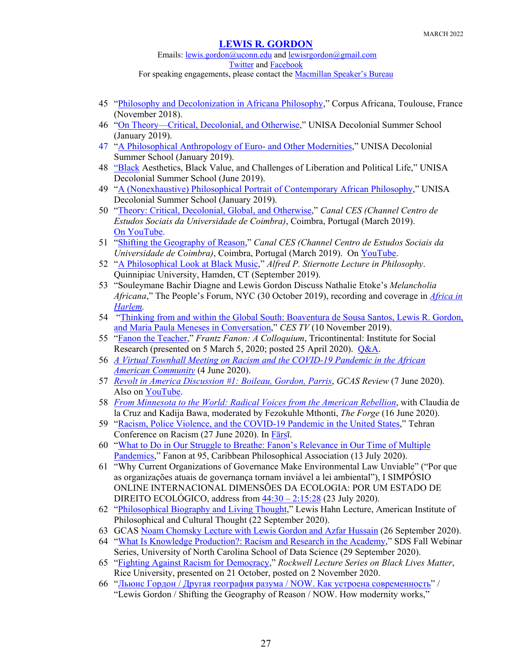Emails: [lewis.gordon@uconn.edu](mailto:lewis.gordon@uconn.edu) an[d lewisrgordon@gmail.com](mailto:lewisrgordon@gmail.com) [Twitter](https://twitter.com/lewgord) and [Facebook](https://www.facebook.com/LewisGordonPhilosopher/)

- For speaking engagements, please contact the [Macmillan Speaker's Bureau](https://www.macmillanspeakers.com/speaker/lewis-gordon/)
- 45 ["Philosophy and Decolonization in Africana Philosophy,](https://www.youtube.com/watch?v=xa7vseu9wTQ)" Corpus Africana, Toulouse, France (November 2018).
- 46 ["On Theory—Critical, Decolonial, and Otherwise,](https://www.facebook.com/1015655578451986/videos/806026026402539/)" UNISA Decolonial Summer School (January 2019).
- 47 ["A Philosophical Anthropology of Euro-](https://www.facebook.com/1015655578451986/videos/522934234781561/) and Other Modernities," UNISA Decolonial Summer School (January 2019)[.](https://www.facebook.com/1015655578451986/videos/660940404320756/UzpfSTQ3OTg4NzQxOTAzNDUyNzo3NTI5NjI0NDE3MjcwMjI/)
- 48 ["Black](https://www.facebook.com/1015655578451986/videos/660940404320756/UzpfSTQ3OTg4NzQxOTAzNDUyNzo3NTI5NjI0NDE3MjcwMjI/) Aesthetics, Black Value, and Challenges of Liberation and Political Life," UNISA Decolonial Summer School (June 2019).
- 49 ["A \(Nonexhaustive\) Philosophical Portrait of Contemporary African Philosophy,](https://www.facebook.com/1015655578451986/videos/225144138365891/)" UNISA Decolonial Summer School (January 2019).
- 50 ["Theory: Critical, Decolonial, Global, and Otherwise,](http://saladeimprensa.ces.uc.pt/index.php?col=canalces&id=24212#.XMDL76Z7mGR)" *Canal CES (Channel Centro de Estudos Sociais da Universidade de Coimbra)*, Coimbra, Portugal (March 2019). [On YouTube.](https://www.youtube.com/watch?time_continue=2&v=NeZG5_5ckzU)
- 51 ["Shifting the Geography of Reason,](http://saladeimprensa.ces.uc.pt/?col=canalces&id=24235#.XMDJf6Z7mGR)" *Canal CES (Channel Centro de Estudos Sociais da Universidade de Coimbra)*, Coimbra, Portugal (March 2019). On [YouTube.](https://www.youtube.com/watch?v=ZGT5TTEwPGo)
- 52 ["A Philosophical Look at Black Music,](file://Users/lewis/Documents/Lewis%20Gordon)" *Alfred P. Stiernotte Lecture in Philosophy*. Quinnipiac University, Hamden, CT (September 2019).
- 53 "Souleymane Bachir Diagne and Lewis Gordon Discuss Nathalie Etoke's *Melancholia Africana*," The People's Forum, NYC (30 October 2019), recording and coverage in *[Africa in](https://africainharlem.nyc/en/african-new-yorker-nathalie-etoke-launches-english-version-of-her-book-melancholia-africana/)  [Harlem.](https://africainharlem.nyc/en/african-new-yorker-nathalie-etoke-launches-english-version-of-her-book-melancholia-africana/)*
- 54 ["Thinking from and within the Global South: Boaventura de Sousa Santos, Lewis R. Gordon,](https://www.youtube.com/watch?v=o92ahQimXyI&fbclid=IwAR0b5V8MQUKO3hxj6x43pmi6ZMj6fDMyrOtFAQONcLOR_RFoNvHMk3E9zwE)  [and Maria Paula Meneses in Conversation,](https://www.youtube.com/watch?v=o92ahQimXyI&fbclid=IwAR0b5V8MQUKO3hxj6x43pmi6ZMj6fDMyrOtFAQONcLOR_RFoNvHMk3E9zwE)" *CES TV* (10 November 2019).
- 55 ["Fanon the Teacher,](https://www.youtube.com/watch?v=8CagLGElOH4&t=1393s)" *Frantz Fanon: A Colloquium*, Tricontinental: Institute for Social Research (presented on 5 March 5, 2020; posted 25 April 2020). [Q&A.](https://www.youtube.com/watch?v=qv23xh4wTTQ&t=5s)
- 56 *[A Virtual Townhall Meeting on Racism and the COVID-19 Pandemic in the African](https://vimeo.com/427106829)  [American Community](https://vimeo.com/427106829)* (4 June 2020).
- 57 *[Revolt in America Discussion #1: Boileau, Gordon, Parris](https://www.gcasreview.com/blog/2020/6/7/revolt-in-america-discussion-1)*, *GCAS Review* (7 June 2020). Also on [YouTube.](https://www.youtube.com/watch?time_continue=1546&v=nuA8p__uJBU&feature=emb_logo)
- 58 *[From Minnesota to the World: Radical Voices from the American Rebellion](https://www.youtube.com/watch?v=Voi03jRUOD4&feature=youtu.be&fbclid=IwAR2BHy6IrOeJN1nPxdqZqYvWGpieqXGPN-gUyMuqLcmB0QIAQkIxVF_sZtA)*, with Claudia de la Cruz and Kadija Bawa, moderated by Fezokuhle Mthonti, *The Forge* (16 June 2020).
- 59 ["Racism, Police Violence, and the COVID-19 Pandemic in the United States,](http://aparat.com/v/KQcAH)" Tehran Conference on Racism (27 June 2020). In [Fārsī](https://aparat.com/v/ocSTz).
- 60 ["What to Do in Our Struggle to Breathe: Fanon's Relevance in Our Time of Multiple](https://www.facebook.com/watch/?v=593647091339732&external_log_id=01f4e294eef83aaffec028ead4ffa5a2&q=Fanon%20at%2095)  [Pandemics,](https://www.facebook.com/watch/?v=593647091339732&external_log_id=01f4e294eef83aaffec028ead4ffa5a2&q=Fanon%20at%2095)" Fanon at 95, Caribbean Philosophical Association (13 July 2020).
- 61 "Why Current Organizations of Governance Make Environmental Law Unviable" ("Por que as organizações atuais de governança tornam inviável a lei ambiental"), I SIMPÓSIO ONLINE INTERNACIONAL DIMENSÕES DA ECOLOGIA: POR UM ESTADO DE DIREITO ECOLÓGICO, address from  $\frac{44:30 - 2:15:28}{2}$  (23 July 2020).
- 62 ["Philosophical Biography and Living Thought,](https://www.youtube.com/watch?v=wBIqCHUpY-Q)" Lewis Hahn Lecture, American Institute of Philosophical and Cultural Thought (22 September 2020).
- 63 GCAS [Noam Chomsky Lecture with Lewis Gordon and Azfar Hussain](https://www.youtube.com/watch?v=pkxHeJuUKJ4&feature=share&fbclid=IwAR0f5xUBT-o-TP1HnqUaZ8erKSppjRyogy6n4GrdFB8wPvFpY-y4VM9SM4c) (26 September 2020).
- 64 ["What Is Knowledge Production?: Racism and Research in the Academy,](https://www.youtube.com/watch?v=abRhL5vq-gM&feature=youtu.be)" SDS Fall Webinar Series, University of North Carolina School of Data Science (29 September 2020).
- 65 ["Fighting Against Racism for Democracy,](https://www.youtube.com/watch?v=S7-oBPXZ-PU&feature=emb_logo)" *Rockwell Lecture Series on Black Lives Matter*, Rice University, presented on 21 October, posted on 2 November 2020.
- 66 "[Льюис Гордон / Другая география разума / NOW. Как устроена современность](https://www.youtube.com/watch?v=7xgkyw2wawI&feature=emb_logo)" / "Lewis Gordon / Shifting the Geography of Reason / NOW. How modernity works,"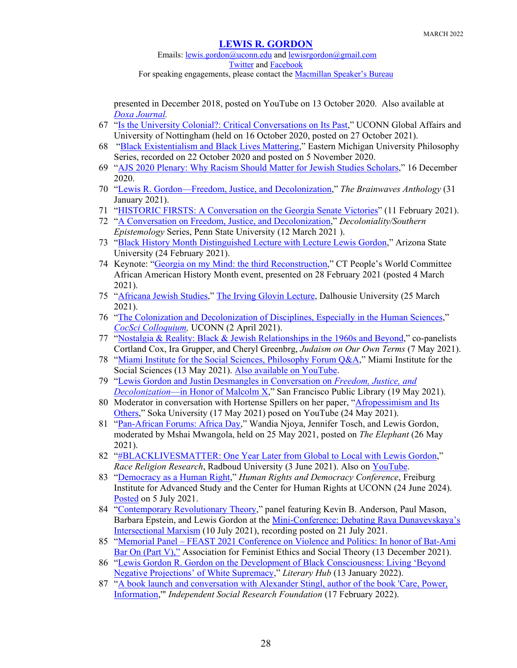Emails: [lewis.gordon@uconn.edu](mailto:lewis.gordon@uconn.edu) an[d lewisrgordon@gmail.com](mailto:lewisrgordon@gmail.com) [Twitter](https://twitter.com/lewgord) and [Facebook](https://www.facebook.com/LewisGordonPhilosopher/) For speaking engagements, please contact the [Macmillan Speaker's Bureau](https://www.macmillanspeakers.com/speaker/lewis-gordon/)

presented in December 2018, posted on YouTube on 13 October 2020. Also available at *[Doxa Journal.](https://doxajournal.ru/lewis_gordon_lecture)*

- 67 ["Is the University Colonial?: Critical Conversations on Its Past,](https://www.youtube.com/watch?v=gH6GgD0tdF4)" UCONN Global Affairs and University of Nottingham (held on 16 October 2020, posted on 27 October 2021).
- 68 ["Black Existentialism and Black Lives Mattering,](https://www.youtube.com/watch?v=tFv_qEFUaZE&feature=emb_logo)" Eastern Michigan University Philosophy Series, recorded on 22 October 2020 and posted on 5 November 2020.
- 69 ["AJS 2020 Plenary: Why Racism Should Matter for Jewish Studies Scholars,](https://www.youtube.com/watch?v=zHTMfP1an64&feature=emb_logo)" 16 December 2020.
- 70 ["Lewis R. Gordon—Freedom, Justice, and Decolonization,](https://www.youtube.com/watch?v=yaWvfLQPOw4)" *The Brainwaves Anthology* (31 January 2021).
- 71 ["HISTORIC FIRSTS: A Conversation](https://www.youtube.com/watch?v=NFPxgUj1ZK0&fbclid=IwAR0BWeUnjNPmQhutF8ir2X8uXYKaNy75XPD4levIeQ1imlQA0Xmv0GX2e8I) on the Georgia Senate Victories" (11 February 2021).
- 72 ["A Conversation on Freedom, Justice, and Decolonization,](https://psu.zoom.us/rec/play/akxo1YA_ft3Y9wvfXSBCt9rPeqiolr69HbB3IjyeE6g-TmLHlaGCw5WPgFgoZqmxP0c9LXeVuSqiqMca.N93GFbqrEIN7BGrX?continueMode=true&_x_zm_rtaid=4i9wabRcR9SGFNggHA9Vtw.1616187659695.ae734f9f3736eda22a5db5f8acf7a6ae&_x_zm_rhtaid=799)" *Decoloniality/Southern Epistemology* Series, Penn State University (12 March 2021 ).
- 73 ["Black History Month Distinguished Lecture with Lecture Lewis Gordon,](https://www.youtube.com/watch?v=Z3aGZqCEENY)" Arizona State University (24 February 2021).
- 74 Keynote: ["Georgia on my Mind: the third Reconstruction,](https://www.youtube.com/watch?v=KA_9YK28QJo)" CT People's World Committee African American History Month event, presented on 28 February 2021 (posted 4 March 2021).
- 75 ["Africana Jewish Studies,](https://www.youtube.com/watch?v=NZlj2iEnFYg)" [The Irving Glovin Lecture,](https://www.dal.ca/news/events/2021/03/25/irving_glovin_lecture.html) Dalhousie University (25 March 2021).
- 76 ["The Colonization and Decolonization of Disciplines, Especially in the Human Sciences,](https://drive.google.com/file/d/1Oqz0gFS8dZ4z3NNpXD6vzqKtyjUT8A2T/view)" *[CocSci Colloquium,](https://cogsci.uconn.edu/colloquia/)* UCONN (2 April 2021).
- 77 ["Nostalgia & Reality: Black & Jewish Relationships in the 1960s and Beyond,](https://www.youtube.com/watch?v=gT3VDzKcKOE)" co-panelists Cortland Cox, Ira Grupper, and Cheryl Greenbrg, *Judaism on Our Own Terms* (7 May 2021).
- 78 ["Miami Institute for the Social Sciences, Philosophy Forum Q&A,](https://www.miamisocialsciences.org/webinars)" Miami Institute for the Social Sciences (13 May 2021). [Also available on YouTube.](https://www.youtube.com/watch?v=gjIDqrl6KQ4&t=7s)
- 79 ["Lewis Gordon and Justin Desmangles in Conversation on](https://www.youtube.com/watch?v=xwuEQ-UJOHM) *Freedom, Justice, and Decolonization*[—in Honor of Malcolm X,](https://www.youtube.com/watch?v=xwuEQ-UJOHM)" San Francisco Public Library (19 May 2021).
- 80 Moderator in conversation with Hortense Spillers on her paper, ["Afropessimism and Its](https://www.youtube.com/watch?v=Z-s-Ltu06NI)  [Others,](https://www.youtube.com/watch?v=Z-s-Ltu06NI)" Soka University (17 May 2021) posed on YouTube (24 May 2021).
- 81 ["Pan-African Forums: Africa Day,](https://www.theelephant.info/videos/2021/05/26/pan-african-forums-africa-day/)" Wandia Njoya, Jennifer Tosch, and Lewis Gordon, moderated by Mshai Mwangola, held on 25 May 2021, posted on *The Elephant* (26 May 2021).
- 82 ["#BLACKLIVESMATTER: One Year Later from Global to Local with Lewis Gordon,](https://racereligionresearch.org/events?fbclid=IwAR0QaQ7Km2ghLwzdDLeg73RYZ-bTPrLmyAawD7k9vlITwDbCY7C5wYHQ3Rk)" *Race Religion Research*, Radboud University (3 June 2021). Also on [YouTube.](https://racereligionresearch.org/events?fbclid=IwAR0QaQ7Km2ghLwzdDLeg73RYZ-bTPrLmyAawD7k9vlITwDbCY7C5wYHQ3Rk)
- 83 "Democracy as [a Human Right,](https://www.youtube.com/watch?v=4Ajo2UFuucA&t=2s)" *Human Rights and Democracy Conference*, Freiburg Institute for Advanced Study and the Center for Human Rights at UCONN (24 June 2024). [Posted](https://hrrc.bwgermany.uconn.edu/conference-2021/) on 5 July 2021.
- 84 ["Contemporary Revolutionary Theory,](https://www.youtube.com/watch?v=S3LHBwK9zZA&t=1s)" panel featuring Kevin B. Anderson, Paul Mason, Barbara Epstein, and Lewis Gordon at the [Mini-Conference: Debating Raya Dunayevskaya's](https://imhojournal.org/articles/ni-conference-debating-raya-dunayevskayas-intersectional-marxism/)  [Intersectional Marxism](https://imhojournal.org/articles/ni-conference-debating-raya-dunayevskayas-intersectional-marxism/) (10 July 2021), recording posted on 21 July 2021.
- 85 "Memorial Panel [FEAST 2021 Conference on Violence and Politics: In honor of Bat-Ami](https://www.youtube.com/watch?v=JHqftRpNQ7U)  [Bar On \(Part V\),"](https://www.youtube.com/watch?v=JHqftRpNQ7U) Association for Feminist Ethics and Social Theory (13 December 2021).
- 86 ["Lewis Gordon R. Gordon on the Development of Black Consciousness: Living 'Beyond](https://lithub.com/lewis-r-gordon-on-the-development-of-black-consciousness/?fbclid=IwAR2VpjgV-PiD-gklZwTM8qXHKsvUCaXJH6zaeKvJZw6VE_d9gBpsc1lYwhw)  [Negative Projections' of White Supremacy,](https://lithub.com/lewis-r-gordon-on-the-development-of-black-consciousness/?fbclid=IwAR2VpjgV-PiD-gklZwTM8qXHKsvUCaXJH6zaeKvJZw6VE_d9gBpsc1lYwhw)" *Literary Hub* (13 January 2022).
- 87 "A book launch and conversation with Alexander Stingl, author of the book 'Care, Power, [Information,](https://vimeo.com/679140523)'" *Independent Social Research Foundation* (17 February 2022).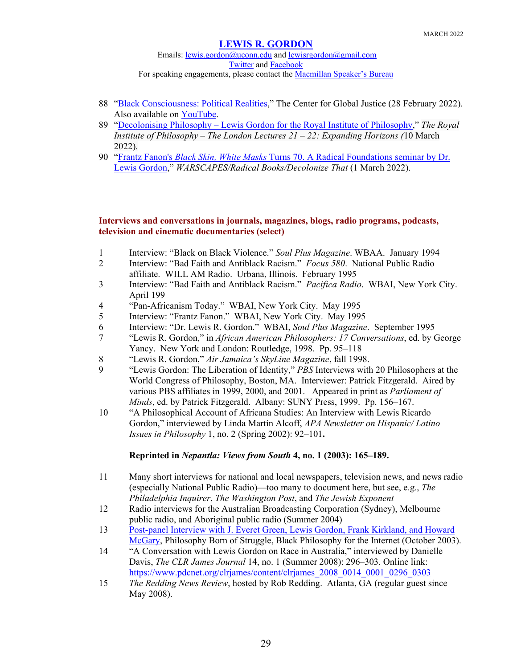Emails: [lewis.gordon@uconn.edu](mailto:lewis.gordon@uconn.edu) an[d lewisrgordon@gmail.com](mailto:lewisrgordon@gmail.com) [Twitter](https://twitter.com/lewgord) and [Facebook](https://www.facebook.com/LewisGordonPhilosopher/) For speaking engagements, please contact the [Macmillan Speaker's Bureau](https://www.macmillanspeakers.com/speaker/lewis-gordon/)

- 88 ["Black Consciousness: Political Realities,](https://globaljusticecenter.org/videos/black-consciousness-political-realities)" The Center for Global Justice (28 February 2022). Also available on [YouTube.](https://www.youtube.com/watch?v=TLFGqWVIYwY)
- 89 "Decolonising Philosophy [Lewis Gordon for the Royal Institute of Philosophy,](https://www.youtube.com/watch?v=C08BLMdfH4w)" *The Royal Institute of Philosophy – The London Lectures 21 – 22: Expanding Horizons (*10 March 2022).
- 90 "Frantz Fanon's *Black Skin, White Masks* [Turns 70. A Radical Foundations seminar by Dr.](https://www.youtube.com/watch?v=vcuLF475JFU&t=2s)  [Lewis Gordon,](https://www.youtube.com/watch?v=vcuLF475JFU&t=2s)" *WARSCAPES/Radical Books/Decolonize That* (1 March 2022).

## **Interviews and conversations in journals, magazines, blogs, radio programs, podcasts, television and cinematic documentaries (select)**

- 1 Interview: "Black on Black Violence." *Soul Plus Magazine*. WBAA. January 1994
- 2 Interview: "Bad Faith and Antiblack Racism." *Focus 580*. National Public Radio affiliate. WILL AM Radio. Urbana, Illinois. February 1995
- 3 Interview: "Bad Faith and Antiblack Racism." *Pacifica Radio*. WBAI, New York City. April 199
- 4 "Pan-Africanism Today." WBAI, New York City. May 1995
- 5 Interview: "Frantz Fanon." WBAI, New York City. May 1995
- 6 Interview: "Dr. Lewis R. Gordon." WBAI, *Soul Plus Magazine*. September 1995
- 7 "Lewis R. Gordon," in *African American Philosophers: 17 Conversations*, ed. by George Yancy. New York and London: Routledge, 1998. Pp. 95–118
- 8 "Lewis R. Gordon," *Air Jamaica's SkyLine Magazine*, fall 1998.
- 9 "Lewis Gordon: The Liberation of Identity," *PBS* Interviews with 20 Philosophers at the World Congress of Philosophy, Boston, MA. Interviewer: Patrick Fitzgerald. Aired by various PBS affiliates in 1999, 2000, and 2001. Appeared in print as *Parliament of Minds*, ed. by Patrick Fitzgerald. Albany: SUNY Press, 1999. Pp. 156–167.
- 10 "A Philosophical Account of Africana Studies: An Interview with Lewis Ricardo Gordon," interviewed by Linda Martín Alcoff, *APA Newsletter on Hispanic/ Latino Issues in Philosophy* 1, no. 2 (Spring 2002): 92–101**.**

## **Reprinted in** *Nepantla: Views from South* **4, no. 1 (2003): 165–189.**

- 11 Many short interviews for national and local newspapers, television news, and news radio (especially National Public Radio)—too many to document here, but see, e.g., *The Philadelphia Inquirer*, *The Washington Post*, and *The Jewish Exponent*
- 12 Radio interviews for the Australian Broadcasting Corporation (Sydney), Melbourne public radio, and Aboriginal public radio (Summer 2004)
- 13 [Post-panel Interview with J. Everet Green, Lewis Gordon, Frank Kirkland, and Howard](https://earchives.lib.purdue.edu/digital/collection/msp194/id/65/rec/1)  [McGary,](https://earchives.lib.purdue.edu/digital/collection/msp194/id/65/rec/1) Philosophy Born of Struggle, Black Philosophy for the Internet (October 2003).
- 14 "A Conversation with Lewis Gordon on Race in Australia," interviewed by Danielle Davis, *The CLR James Journal* 14, no. 1 (Summer 2008): 296–303. Online link: https://www.pdcnet.org/clrjames/content/clrjames 2008 0014 0001 0296 0303
- 15 *The Redding News Review*, hosted by Rob Redding. Atlanta, GA (regular guest since May 2008).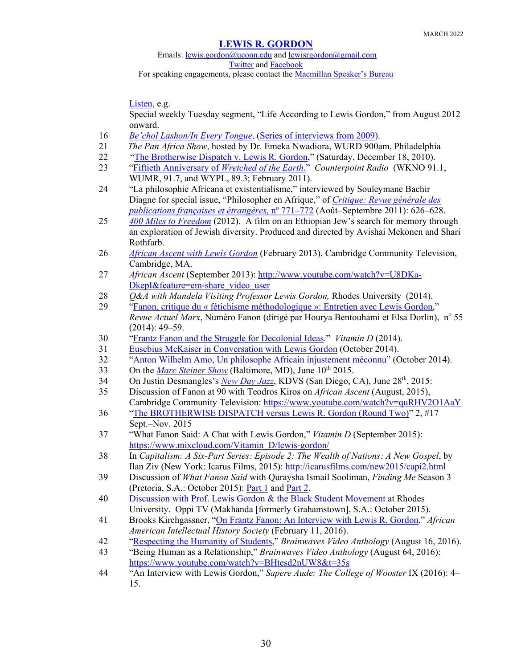Emails: [lewis.gordon@uconn.edu](mailto:lewis.gordon@uconn.edu) an[d lewisrgordon@gmail.com](mailto:lewisrgordon@gmail.com) [Twitter](https://twitter.com/lewgord) and [Facebook](https://www.facebook.com/LewisGordonPhilosopher/) For speaking engagements, please contact the **Macmillan Speaker's Bureau** 

[Listen,](http://www.youtube.com/watch?v=mcQjjWSRGqs) e.g.

Special weekly Tuesday segment, "Life According to Lewis Gordon," from August 2012 onward.

- 16 *[Be'chol Lashon/In Every Tongue](https://www.youtube.com/watch?time_continue=12&v=sFOqSbkrt8Q&feature=emb_logo)*. [\(Series of interviews from 2009\)](https://globaljews.org/videos/).
- 21 *The Pan Africa Show*, hosted by Dr. Emeka Nwadiora, WURD 900am, Philadelphia
- 22 ["The Brotherwise Dispatch v. Lewis R. Gordon,](http://brotherwiseinterviewsexclusives.blogspot.com/2010/12/brotherwise-dispatch-vs-lewis-r-gordon.html)" (Saturday, December 18, 2010).
- 23 ["Fiftieth Anniversary of](http://cassian.memphis.edu/counterpoint/lewis_gordon.mp3) *Wretched of the Earth*." *Counterpoint Radio* (WKNO 91.1, WUMR, 91.7, and WYPL, 89.3; February 2011).
- 24 "La philosophie Africana et existentialisme," interviewed by Souleymane Bachir Diagne for special issue, "Philosopher en Afrique," of *[Critique: Revue générale des](http://www.leseditionsdeminuit.fr/livre-Critique_n%C2%B0_771_772___Philosopher_en_Afrique-2683-1-1-0-1.html)  [publications françaises et étrangères](http://www.leseditionsdeminuit.fr/livre-Critique_n%C2%B0_771_772___Philosopher_en_Afrique-2683-1-1-0-1.html)*, n<sup>o</sup> 771–772 (Août–Septembre 2011): 626–628.
- 25 *[400 Miles to Freedom](https://400milestofreedom.com/)* (2012). A film on an Ethiopian Jew's search for memory through an exploration of Jewish diversity. Produced and directed by Avishai Mekonen and Shari Rothfarb.
- 26 *[African Ascent with Lewis Gordon](https://www.youtube.com/watch?v=VFX-zUhNCtY&feature=youtu.be)* (February 2013), Cambridge Community Television, Cambridge, MA.
- 27 *African Ascent* (September 2013)[: http://www.youtube.com/watch?v=U8DKa-](http://www.youtube.com/watch?v=U8DKa-DkepI&feature=em-share_video_user)[DkepI&feature=em-share\\_video\\_user](http://www.youtube.com/watch?v=U8DKa-DkepI&feature=em-share_video_user)
- 28 *O&A with Mandela Visiting Professor Lewis Gordon, Rhodes University (2014).*
- 29 "Fanon, critique du « fétichisme méthodologique [»: Entretien avec Lewis Gordon,](https://www.cairn.info/resume.php?ID_ARTICLE=AMX_055_0049)" *Revue Actuel Marx*, Numéro Fanon (dirigé par Hourya Bentouhami et Elsa Dorlin), nº 55 (2014): 49–59.
- 30 ["Frantz Fanon and the Struggle for Decolonial Ideas.](https://vitamindecolonial.wordpress.com/2014/12/26/frantz-fanon-and-the-struggle-for-decolonial-ideas/)" *Vitamin D* (2014).
- 31 [Eusebius McKaiser in Conversation with Lewis Gordon](https://soundcloud.com/eusebius_mckaiser/eusebius-in-conversation-with) (October 2014).
- 32 "Anton Wilhelm Amo, Un philosophe Africain [injustement](https://www.youtube.com/watch?v=7PAF3BBX4wE&feature=youtu.be) méconnu" (October 2014).
- 33 On the *[Marc Steiner Show](http://www.steinershow.org/podcasts/racism/what-fanon-said-a-philosophical-introduction-to-his-life-and-thought/)* (Baltimore, MD), June 10<sup>th</sup> 2015.
- 34 On Justin Desmangles's *[New Day Jazz](http://kdvs.org/playlist-details/31285/)*, KDVS (San Diego, CA), June 28<sup>th</sup>, 2015:
- 35 Discussion of Fanon at 90 with Teodros Kiros on *African Ascent* (August, 2015), Cambridge Community Television:<https://www.youtube.com/watch?v=quRHV2O1AaY>
- 36 ["The BROTHERWISE DISPATCH versus Lewis R. Gordon \(Round Two\)"](http://brotherwiseinterviewsexclusives.blogspot.com/2015/09/the-brotherwise-dispatch-vs-lewis-r.html) 2, #17 Sept.–Nov. 2015
- 37 "What Fanon Said: A Chat with Lewis Gordon," *Vitamin D* (September 2015): [https://www.mixcloud.com/Vitamin\\_D/lewis-gordon/](https://www.mixcloud.com/Vitamin_D/lewis-gordon/)
- 38 In *Capitalism: A Six-Part Series: Episode 2: The Wealth of Nations: A New Gospel*, by Ilan Ziv (New York: Icarus Films, 2015): <http://icarusfilms.com/new2015/capi2.html>
- 39 Discussion of *What Fanon Said* with Quraysha Ismail Sooliman, *Finding Me* Season 3 (Pretoria, S.A.: October 2015): [Part 1](https://www.youtube.com/watch?v=diJfZVyZVvY&feature=youtu.be) and [Part 2.](https://www.youtube.com/watch?v=edD0UXFjY1M&feature=youtu.be)
- 40 [Discussion with Prof. Lewis Gordon & the Black Student Movement](https://www.youtube.com/watch?v=TUwXWsau5xE) at Rhodes University. Oppi TV (Makhanda [formerly Grahamstown], S.A.: October 2015).
- 41 Brooks Kirchgassner, "On Frantz Fanon: An Interview with Lewis R. Gordon," *African American Intellectual History Society* (February 11, 2016).
- 42 ["Respecting the Humanity of Students,](https://www.youtube.com/watch?v=YsmNdEevsZU)" *Brainwaves Video Anthology* (August 16, 2016).
- 43 "Being Human as a Relationship," *Brainwaves Video Anthology* (August 64, 2016): <https://www.youtube.com/watch?v=BHtesd2nUW8&t=35s>
- 44 "An Interview with Lewis Gordon," *Sapere Aude: The College of Wooster* IX (2016): 4– 15.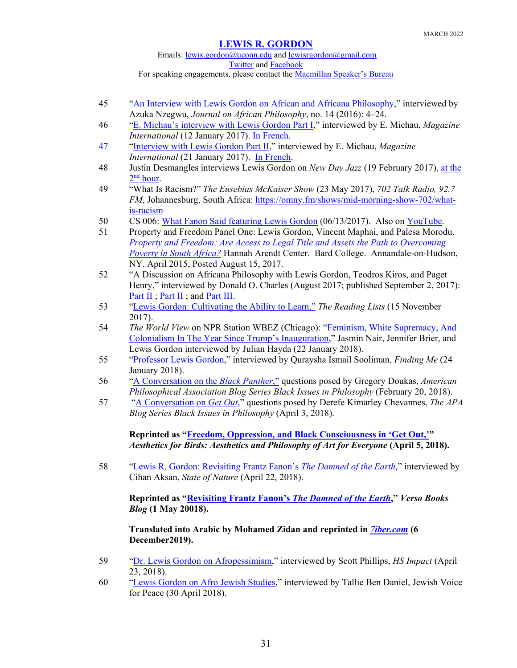Emails: [lewis.gordon@uconn.edu](mailto:lewis.gordon@uconn.edu) an[d lewisrgordon@gmail.com](mailto:lewisrgordon@gmail.com) [Twitter](https://twitter.com/lewgord) and [Facebook](https://www.facebook.com/LewisGordonPhilosopher/) For speaking engagements, please contact the **Macmillan Speaker's Bureau** 

- 45 ["An Interview with Lewis Gordon on African and Africana Philosophy,](https://www.africaknowledgeproject.org/index.php/jap/article/view/3078)" interviewed by Azuka Nzegwu, *Journal on African Philosophy*, no. 14 (2016): 4–24.
- 46 ["E. Michau's interview with Lewis Gordon Part I,](https://magazineinternational.wordpress.com/2017/01/12/interview-with-lewis-gordon-12/)" interviewed by E. Michau, *Magazine International* (12 January 2017). [In French.](https://magazineinternational.wordpress.com/2017/01/12/interview-de-lewis-gordon-12/)
- 47 ["Interview with Lewis Gordon Part II,](https://magazineinternational.wordpress.com/2017/01/21/interview-with-lewis-gordon-22/)" interviewed by E. Michau, *Magazine International* (21 January 2017). In French.
- 48 Justin Desmangles interviews Lewis Gordon on *New Day Jazz* (19 February 2017), [at the](https://kdvs.org/playlist-details/38935/)   $2<sup>nd</sup> hour.$  $2<sup>nd</sup> hour.$
- 49 "What Is Racism?" *The Eusebius McKaiser Show* (23 May 2017), *702 Talk Radio, 92.7 FM*, Johannesburg, South Africa: [https://omny.fm/shows/mid-morning-show-702/what](https://omny.fm/shows/mid-morning-show-702/what-is-racism)[is-racism](https://omny.fm/shows/mid-morning-show-702/what-is-racism)
- 50 CS 006: [What Fanon Said featuring Lewis Gordon](http://champagnesharks.blubrry.net/cs-006-what-fanon-said-feat-lewis-gordon-06132017/) (06/13/2017). Also on [YouTube.](https://www.youtube.com/watch?v=12gmMN_n4dY)
- 51 Property and Freedom Panel One: Lewis Gordon, Vincent Maphai, and Palesa Morodu. *[Property and Freedom: Are Access to Legal Title and Assets the Path to Overcoming](https://www.youtube.com/watch?v=rwWhUVM2oF8)  [Poverty in South Africa?](https://www.youtube.com/watch?v=rwWhUVM2oF8)* Hannah Arendt Center. Bard College. Annandale-on-Hudson, NY. April 2015, Posted August 15, 2017.
- 52 "A Discussion on Africana Philosophy with Lewis Gordon, Teodros Kiros, and Paget Henry," interviewed by Donald O. Charles (August 2017; published September 2, 2017): [Part II](https://www.youtube.com/watch?v=7Ia-Jnpnv_k) ; [Part II](https://www.youtube.com/watch?v=sAk_hjNiJdI) ; and [Part III.](https://www.youtube.com/watch?v=BiMBv5YMdL4)
- 53 "Lewis Gordon: Cultivating the Ability to Learn," *The Reading Lists* (15 November 2017).
- 54 *The World View* on NPR Station WBEZ (Chicago): ["Feminism, White Supremacy, And](https://www.wbez.org/stories/feminism-white-supremacy-and-colonialism-in-the-year-since-trumps-inauguration/0c4e69bc-d77b-45b0-a877-169c57408304)  [Colonialism In The Year Since Trump's Inauguration,](https://www.wbez.org/stories/feminism-white-supremacy-and-colonialism-in-the-year-since-trumps-inauguration/0c4e69bc-d77b-45b0-a877-169c57408304)" Jasmin Nair, Jennifer Brier, and Lewis Gordon interviewed by Julian Hayda (22 January 2018).
- 55 ["Professor Lewis Gordon,](https://www.youtube.com/watch?v=wanGs2ZWpxE&feature=youtu.be)" interviewed by Quraysha Ismail Sooliman, *Finding Me* (24 January 2018).
- 56 ["A Conversation on the](https://blog.apaonline.org/2018/02/20/black-issues-in-philosophy-a-conversation-on-the-black-panther/) *Black Panther*," questions posed by Gregory Doukas, *American Philosophical Association Blog Series Black Issues in Philosophy* (February 20, 2018).
- 57 ["A Conversation on](https://blog.apaonline.org/2018/04/03/black-issues-in-philosophy-a-conversation-on-get-out/) *Get Out*," questions posed by Derefe Kimarley Chevannes, *The APA Blog Series Black Issues in Philosophy* (April 3, 2018).

**Reprinted as ["Freedom, Oppression, and Black Consciousness in 'Get Out,'"](https://aestheticsforbirds.com/2018/04/05/freedom-oppression-and-black-consciousness-in-get-out/)**  *Aesthetics for Birds: Aesthetics and Philosophy of Art for Everyone* **(April 5, 2018).**

58 ["Lewis R. Gordon: Revisiting Frantz Fanon's](http://stateofnatureblog.com/lewis-gordon-revisiting-frantz-fanons-damned-earth/) *The Damned of the Earth*," interviewed by Cihan Aksan, *State of Nature* (April 22, 2018).

**Reprinted as ["Revisiting Frantz Fanon's](https://www.versobooks.com/blogs/3775-revisiting-frantz-fanon-s-the-damned-of-the-earth-a-conversation-with-lewis-r-gordon)** *The Damned of the Earth***,"** *Verso Books Blog* **(1 May 20018).**

**Translated into Arabic by Mohamed Zidan and reprinted in** *[7iber.com](https://www.7iber.com/culture/%D8%AD%D9%88%D8%A7%D8%B1-%D8%A7%D9%84%D8%B9%D9%88%D8%AF%D8%A9-%D8%A5%D9%84%D9%89-%D9%85%D8%B9%D8%B0%D8%A8%D9%88-%D8%A7%D9%84%D8%A3%D8%B1%D8%B6/?fbclid=IwAR2PDvMtuyYD-CD79wZAOBJ9Is3xIJkLevs4z7eio9X9vUnGw4nP4FjF1NE)* **(6 December2019).** 

- 59 ["Dr. Lewis Gordon on Afropessimism,](http://www.podcastgarden.com/episode/dr-lewis-gordon-on-afropessimism_126717)" interviewed by Scott Phillips, *HS Impact* (April 23, 2018).
- 60 ["Lewis Gordon on Afro Jewish Studies,](https://www.youtube.com/watch?v=iiJ3mx41Ypw)" interviewed by Tallie Ben Daniel, Jewish Voice for Peace (30 April 2018).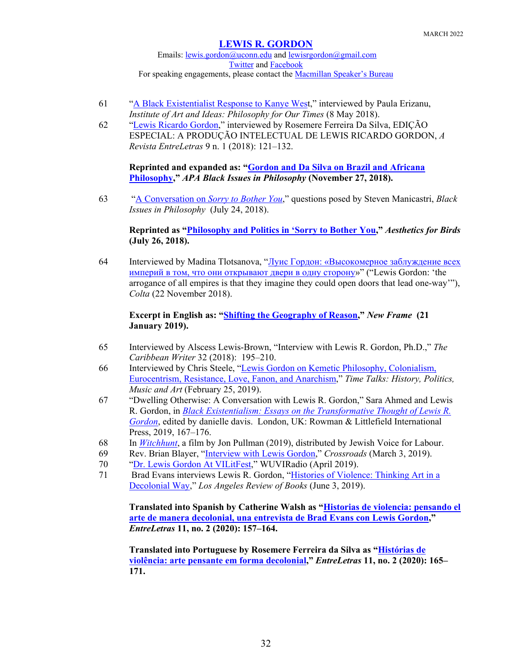Emails: [lewis.gordon@uconn.edu](mailto:lewis.gordon@uconn.edu) an[d lewisrgordon@gmail.com](mailto:lewisrgordon@gmail.com) [Twitter](https://twitter.com/lewgord) and [Facebook](https://www.facebook.com/LewisGordonPhilosopher/) For speaking engagements, please contact the **Macmillan Speaker's Bureau** 

- 61 ["A Black Existentialist Response to Kanye West](https://iai.tv/articles/kanye-west-from-freedom-to-license-auid-1083)," interviewed by Paula Erizanu, *Institute of Art and Ideas: Philosophy for Our Times* (8 May 2018).
- 62 ["Lewis Ricardo Gordon,](https://sistemas.uft.edu.br/periodicos/index.php/entreletras/issue/view/281)" interviewed by Rosemere Ferreira Da Silva, EDIÇÃO ESPECIAL: A PRODUÇÃO INTELECTUAL DE LEWIS RICARDO GORDON, *A Revista EntreLetras* 9 n. 1 (2018): 121–132.

**Reprinted and expanded as: ["Gordon and Da Silva on Brazil and Africana](https://blog.apaonline.org/2018/11/27/black-issues-in-philosophy-gordon-and-da-silva-on-brazil-and-africana-philosophy/)  [Philosophy,](https://blog.apaonline.org/2018/11/27/black-issues-in-philosophy-gordon-and-da-silva-on-brazil-and-africana-philosophy/)"** *APA Black Issues in Philosophy* **(November 27, 2018).**

63 ["A Conversation on](https://blog.apaonline.org/2018/07/24/black-issues-in-philosophy-a-conversation-on-sorry-to-bother-you/) *Sorry to Bother You*," questions posed by Steven Manicastri, *Black Issues in Philosophy* (July 24, 2018).

## **Reprinted as ["Philosophy and Politics in 'Sorry to Bother You,](https://aestheticsforbirds.com/2018/07/26/philosophy-and-politics-in-sorry-to-bother-you/)"** *Aesthetics for Birds* **(July 26, 2018).**

64 Interviewed by Madina Tlotsanova, "[Луис Гордон: «Высокомерное заблуждение всех](https://www.colta.ru/articles/society/19794?fbclid=IwAR1u_368ZXTxC4acKeNucgTzdgfCBfz03INV_0b7VwPn0yO-hOqlLHFr0Ks)  [империй в том, что они открывают двери в одну сторону](https://www.colta.ru/articles/society/19794?fbclid=IwAR1u_368ZXTxC4acKeNucgTzdgfCBfz03INV_0b7VwPn0yO-hOqlLHFr0Ks)»" ("Lewis Gordon: 'the arrogance of all empires is that they imagine they could open doors that lead one-way'"), *Colta* (22 November 2018).

## **Excerpt in English as: ["Shifting the Geography of Reason,](https://www.newframe.com/shifting-geography-reason?fbclid=IwAR2LVj8NHT2pWHrzFAPdwjLKk3N8LcNQI1G5K3kjI8tU2xsnnspAaP0BnkQ)"** *New Frame* **(21 January 2019).**

- 65 Interviewed by Alscess Lewis-Brown, "Interview with Lewis R. Gordon, Ph.D.," *The Caribbean Writer* 32 (2018): 195–210.
- 66 Interviewed by Chris Steele, ["Lewis Gordon on Kemetic Philosophy, Colonialism,](http://timetalks.libsyn.com/lewis-gordon-on-kemetic-philosophy-colonialism-eurocentrism-resistance-love-fanon-and-anarchism)  [Eurocentrism, Resistance, Love, Fanon, and Anarchism,"](http://timetalks.libsyn.com/lewis-gordon-on-kemetic-philosophy-colonialism-eurocentrism-resistance-love-fanon-and-anarchism) *Time Talks: History, Politics, Music and Art* (February 25, 2019).
- 67 "Dwelling Otherwise: A Conversation with Lewis R. Gordon," Sara Ahmed and Lewis R. Gordon, in *[Black Existentialism: Essays on the Transformative Thought of Lewis R.](https://rowman.com/ISBN/9781786611475/Black-Existentialism-Essays-on-the-Transformative-Thought-of-Lewis-R.-Gordon)  [Gordon](https://rowman.com/ISBN/9781786611475/Black-Existentialism-Essays-on-the-Transformative-Thought-of-Lewis-R.-Gordon)*, edited by danielle davis. London, UK: Rowman & Littlefield International Press, 2019, 167–176.
- 68 In *[Witchhunt](https://witchhuntfilm.org/)*, a film by Jon Pullman (2019), distributed by Jewish Voice for Labour.
- 69 Rev. Brian Blayer, ["Interview with Lewis Gordon,](https://www.podomatic.com/podcasts/revblayer/episodes/2019-03-04T11_06_46-08_00)" *Crossroads* (March 3, 2019).
- 70 ["Dr. Lewis Gordon At VILitFest,](https://www.facebook.com/watch/live/?v=394066151446124&ref=watch_permalink)" WUVIRadio (April 2019).
- 71 Brad Evans interviews Lewis R. Gordon, ["Histories of Violence: Thinking Art in a](https://lareviewofbooks.org/article/histories-of-violence-thinking-art-in-a-decolonial-way/?fbclid=IwAR01aQotnMtp3jkkROB2ya9YW_MTzAQXjLTPTi-nbzwLUsb4sl30qe9Hcn4#!)  [Decolonial Way,](https://lareviewofbooks.org/article/histories-of-violence-thinking-art-in-a-decolonial-way/?fbclid=IwAR01aQotnMtp3jkkROB2ya9YW_MTzAQXjLTPTi-nbzwLUsb4sl30qe9Hcn4#!)" *Los Angeles Review of Books* (June 3, 2019).

**Translated into Spanish by Catherine Walsh as ["Historias de violencia: pensando el](https://sistemas.uft.edu.br/periodicos/index.php/entreletras/article/view/10720)  [arte de manera decolonial, una entrevista de Brad Evans con Lewis Gordon,](https://sistemas.uft.edu.br/periodicos/index.php/entreletras/article/view/10720)"**  *EntreLetras* **11, no. 2 (2020): 157–164.** 

**Translated into Portuguese by Rosemere Ferreira da Silva as ["Histórias de](https://sistemas.uft.edu.br/periodicos/index.php/entreletras/article/view/10732)  [violência: arte pensante em forma decolonial,](https://sistemas.uft.edu.br/periodicos/index.php/entreletras/article/view/10732)"** *EntreLetras* **11, no. 2 (2020): 165– 171.**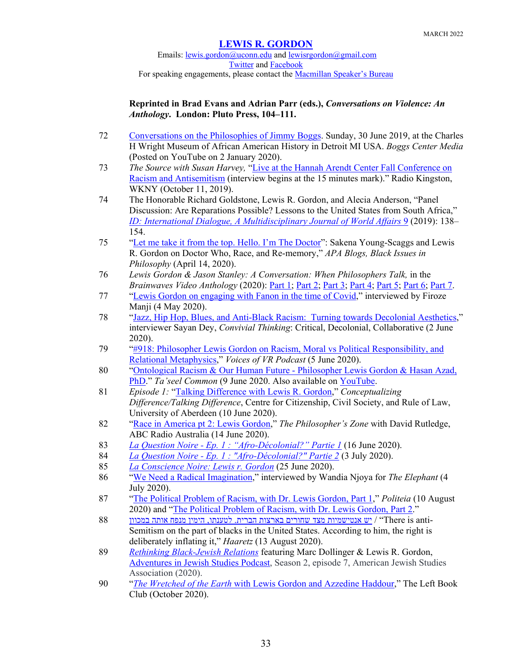Emails: [lewis.gordon@uconn.edu](mailto:lewis.gordon@uconn.edu) an[d lewisrgordon@gmail.com](mailto:lewisrgordon@gmail.com) [Twitter](https://twitter.com/lewgord) and [Facebook](https://www.facebook.com/LewisGordonPhilosopher/) For speaking engagements, please contact the **Macmillan Speaker's Bureau** 

## **Reprinted in Brad Evans and Adrian Parr (eds.),** *Conversations on Violence: An Anthology***. London: Pluto Press, 104–111.**

- 72 [Conversations on the Philosophies of Jimmy Boggs.](https://www.youtube.com/watch?v=NVEVaxmjpfE) Sunday, 30 June 2019, at the Charles H Wright Museum of African American History in Detroit MI USA. *Boggs Center Media* (Posted on YouTube on 2 January 2020).
- 73 *The Source with Susan Harvey,* ["Live at the Hannah Arendt Center Fall Conference on](https://radiokingston.org/en/broadcast/source-hillary-harvey/episodes/live-at-the-hannah-arendt-center-fall-conference-on-racism-and-anti-semitism)  [Racism and Antisemitism](https://radiokingston.org/en/broadcast/source-hillary-harvey/episodes/live-at-the-hannah-arendt-center-fall-conference-on-racism-and-anti-semitism) (interview begins at the 15 minutes mark)." Radio Kingston, WKNY (October 11, 2019).
- 74 The Honorable Richard Goldstone, Lewis R. Gordon, and Alecia Anderson, "Panel Discussion: Are Reparations Possible? Lessons to the United States from South Africa," *[ID: International Dialogue, A Multidisciplinary Journal of World Affairs](https://www.unomaha.edu/college-of-arts-and-sciences/goldstein-center-for-human-rights/ID/id-volumes.php#vol_ix)* 9 (2019): 138– 154.
- 75 ["Let me take it from the top. Hello. I'm The Doctor"](https://blog.apaonline.org/2020/04/14/let-me-take-it-from-the-top-hello-im-the-doctor-sakena-young-scaggs-and-lewis-r-gordon-on-doctor-who-race-and-re-memory/): Sakena Young-Scaggs and Lewis R. Gordon on Doctor Who, Race, and Re-memory," *APA Blogs, Black Issues in Philosophy* (April 14, 2020).
- 76 *Lewis Gordon & Jason Stanley: A Conversation: When Philosophers Talk,* in the *Brainwaves Video Anthology* (2020): [Part 1;](https://www.youtube.com/watch?v=UUaIAxJZFHc&feature=youtu.be) [Part 2;](https://www.youtube.com/watch?v=lqYBy2KU6LU&feature=youtu.be) [Part 3;](https://www.youtube.com/watch?v=0WAtlqNd7_A&feature=youtu.be) [Part 4;](https://www.youtube.com/watch?v=-tVtOd4oD2c&feature=youtu.be) [Part 5;](https://www.youtube.com/watch?v=oD5FPiZhmbE&feature=youtu.be) [Part 6;](https://www.youtube.com/watch?v=mI4UkgkpT0w&feature=youtu.be) [Part 7.](https://www.youtube.com/watch?v=pVlF4E5Hhao&feature=youtu.be)
- 77 ["Lewis Gordon on engaging with Fanon in the time of Covid,](https://www.youtube.com/watch?v=0azDbkzxtsc&feature=emb_logo)" interviewed by Firoze Manji (4 May 2020).
- 78 ["Jazz, Hip Hop, Blues, and Anti-Black Racism: Turning towards Decolonial Aesthetics,](https://convivialthinking.podbean.com/e/ep2-jazz-hip-hop-blues-and-anti-black-racism-turning-towards-decolonial-aesthetics/?fbclid=IwAR3ybxUabjhbAggp326vyl2k58km9W-zYaVj7316SGJgIJWYnAW5P5EGVLk)" interviewer Sayan Dey, *Convivial Thinking*: Critical, Decolonial, Collaborative (2 June 2020).
- 79 ["#918: Philosopher Lewis Gordon on Racism, Moral vs Political Responsibility, and](https://voicesofvr.com/918-philosopher-lewis-gordon-on-racism-moral-vs-political-responsibility-and-relational-metaphysics/)  [Relational Metaphysics,](https://voicesofvr.com/918-philosopher-lewis-gordon-on-racism-moral-vs-political-responsibility-and-relational-metaphysics/)" *Voices of VR Podcast* (5 June 2020).
- 80 ["Ontological Racism & Our Human Future -](https://www.taseelcommons.com/podcasts/ontological-racism-our-human-future-philosopher-lewis-gordon-hasan-azad-phd) Philosopher Lewis Gordon & Hasan Azad, [PhD.](https://www.taseelcommons.com/podcasts/ontological-racism-our-human-future-philosopher-lewis-gordon-hasan-azad-phd)" *Ta'seel Common* (9 June 2020. Also available on [YouTube.](https://www.youtube.com/watch?time_continue=223&v=Klgao4l1GrA&feature=emb_logo)
- 81 *Episode 1:* ["Talking Difference with Lewis R. Gordon,](https://vimeo.com/432891980)" *Conceptualizing Difference/Talking Difference*, Centre for Citizenship, Civil Society, and Rule of Law, University of Aberdeen (10 June 2020).
- 82 ["Race in America pt 2: Lewis Gordon,](https://www.abc.net.au/radionational/programs/philosopherszone/race-america-pt-2-philosopher-lewis-gordon/12350540)" *The Philosopher's Zone* with David Rutledge, ABC Radio Australia (14 June 2020).
- 83 *La Question Noire - [Ep. 1 : "Afro-Décolonial?" Partie 1](https://www.youtube.com/watch?time_continue=2&v=nCExDWl1S5E&feature=emb_logo&fbclid=IwAR1oKAeZR1JfYojUjJy64JbavdjJxfdOQP-nKlmigXV8LJhNf-8QwaqOERU)* (16 June 2020).
- 84 *La Question Noire - [Ep. 1 : "Afro-Décolonial?" Partie 2](https://www.youtube.com/watch?v=xA38bRiabPI)* (3 July 2020).
- 85 *[La Conscience Noire: Lewis r. Gordon](https://www.youtube.com/watch?v=pfGATZWyDdw&feature=youtu.be&fbclid=IwAR0S96fK9oePNJm93Kip1nrV2K1RG6WyPU1HZOUUD6h-q-pAuqUAxzcUslY)* (25 June 2020).
- 86 ["We Need a Radical Imagination,](https://www.youtube.com/watch?v=jQke22CLykk&feature=youtu.be&fbclid=IwAR19mRXULO0Uf6tgyl9L7hu5Awl02y-AhJXIpTH7YIcNeSk57f151lb5A2g)" interviewed by Wandia Njoya for *The Elephant* (4 July 2020).
- 87 ["The Political Problem of Racism, with Dr. Lewis Gordon, Part 1,](https://www.buzzsprout.com/790538/4931459?fbclid=IwAR1R6PtTpEZHhmNdPg9Arw-EDhDC07_lUe-fddFpljggCduIGTNv1EzRUZg)" *Politeia* (10 August 2020) and ["The Political Problem of Racism, with Dr. Lewis Gordon, Part 2.](https://www.buzzsprout.com/790538/4992455)"
- 88 האותה מנפח אותה במכוון הימין מנפח העד שחורים בארצות הברית. לטענתו, הימין מנפח אותה במכוון העצד הי $\prime$  "There is anti-Semitism on the part of blacks in the United States. According to him, the right is deliberately inflating it," *Haaretz* (13 August 2020).
- 89 *[Rethinking Black-Jewish Relations](http://hwcdn.libsyn.com/p/2/f/0/2f043131d799c76a/S2E7.mp3?c_id=83028086&cs_id=83028086&destination_id=917594&expiration=1599871973&hwt=3248cd7361ee8e79e2d7cb5ef1fca3b6)* featuring Marc Dollinger & Lewis R. Gordon, [Adventures in Jewish Studies](https://associationforjewishstudies.org/publications-research/adventures-in-jewish-studies-podcast) Podcast, Season 2, episode 7, American Jewish Studies Association (2020).
- 90 "*The Wretched of the Earth* [with Lewis Gordon and Azzedine Haddour,](https://www.youtube.com/watch?v=Fje15d0oEKw)" The Left Book Club (October 2020).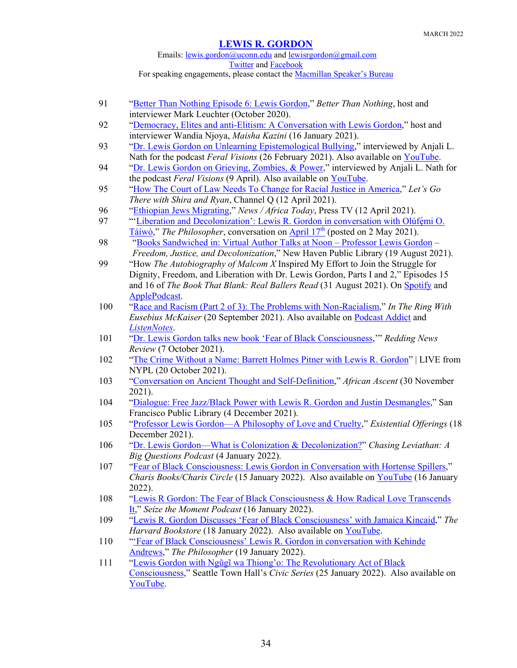## Emails: [lewis.gordon@uconn.edu](mailto:lewis.gordon@uconn.edu) an[d lewisrgordon@gmail.com](mailto:lewisrgordon@gmail.com) **[Twitter](https://twitter.com/lewgord)** and **Facebook** For speaking engagements, please contact the **Macmillan Speaker's Bureau**

91 ["Better Than Nothing Episode 6: Lewis Gordon,](https://soundcloud.com/user-429041141/better-than-nothing-episode-6-lewis-gordon?fbclid=IwAR11DQhwSoYBjw43f5U5UdIqFvaZmm-nFzM7DHwz43iIzpIIECB-YnTx3aw)" *Better Than Nothing*, host and

|     | interviewer Mark Leuchter (October 2020).                                                                                               |
|-----|-----------------------------------------------------------------------------------------------------------------------------------------|
| 92  | "Democracy, Elites and anti-Elitism: A Conversation with Lewis Gordon," host and                                                        |
|     | interviewer Wandia Njoya, Maisha Kazini (16 January 2021).                                                                              |
| 93  | "Dr. Lewis Gordon on Unlearning Epistemological Bullying," interviewed by Anjali L.                                                     |
|     | Nath for the podcast Feral Visions (26 February 2021). Also available on YouTube.                                                       |
| 94  | "Dr. Lewis Gordon on Grieving, Zombies, & Power," interviewed by Anjali L. Nath for                                                     |
|     | the podcast Feral Visions (9 April). Also available on YouTube.                                                                         |
| 95  | "How The Court of Law Needs To Change for Racial Justice in America," Let's Go                                                          |
|     | There with Shira and Ryan, Channel Q (12 April 2021).                                                                                   |
| 96  | "Ethiopian Jews Migrating," News / Africa Today, Press TV (12 April 2021).                                                              |
| 97  | "'Liberation and Decolonization': Lewis R. Gordon in conversation with Olúfémi O.                                                       |
|     | $\underline{\text{Táiwò}}$ ," The Philosopher, conversation on $\underline{\text{April 17}}^{\text{th}}$ (posted on 2 May 2021).        |
| 98  | "Books Sandwiched in: Virtual Author Talks at Noon - Professor Lewis Gordon -                                                           |
|     | Freedom, Justice, and Decolonization," New Haven Public Library (19 August 2021).                                                       |
| 99  | "How The Autobiography of Malcom X Inspired My Effort to Join the Struggle for                                                          |
|     | Dignity, Freedom, and Liberation with Dr. Lewis Gordon, Parts I and 2," Episodes 15                                                     |
|     | and 16 of The Book That Blank: Real Ballers Read (31 August 2021). On Spotify and                                                       |
|     | ApplePodcast                                                                                                                            |
| 100 | "Race and Racism (Part 2 of 3): The Problems with Non-Racialism," In The Ring With                                                      |
|     | Eusebius McKaiser (20 September 2021). Also available on Podcast Addict and                                                             |
|     | ListenNotes.                                                                                                                            |
| 101 | "Dr. Lewis Gordon talks new book 'Fear of Black Consciousness," Redding News                                                            |
|     | Review (7 October 2021).                                                                                                                |
| 102 | "The Crime Without a Name: Barrett Holmes Pitner with Lewis R. Gordon"   LIVE from                                                      |
|     | NYPL (20 October 2021).                                                                                                                 |
| 103 | "Conversation on Ancient Thought and Self-Definition," African Ascent (30 November                                                      |
|     | 2021).                                                                                                                                  |
| 104 | "Dialogue: Free Jazz/Black Power with Lewis R. Gordon and Justin Desmangles," San                                                       |
|     | Francisco Public Library (4 December 2021).                                                                                             |
| 105 | "Professor Lewis Gordon-A Philosophy of Love and Cruelty," Existential Offerings (18                                                    |
|     | December 2021).                                                                                                                         |
| 106 | "Dr. Lewis Gordon—What is Colonization & Decolonization?" Chasing Leviathan: A                                                          |
|     | Big Questions Podcast (4 January 2022).                                                                                                 |
| 107 | "Fear of Black Consciousness: Lewis Gordon in Conversation with Hortense Spillers,"                                                     |
|     | Charis Books/Charis Circle (15 January 2022). Also available on YouTube (16 January                                                     |
|     | $2022$ ).                                                                                                                               |
| 108 | "Lewis R Gordon: The Fear of Black Consciousness & How Radical Love Transcends                                                          |
| 109 | It," Seize the Moment Podcast (16 January 2022).<br>"Lewis R. Gordon Discusses 'Fear of Black Consciousness' with Jamaica Kincaid," The |
|     | Harvard Bookstore (18 January 2022). Also available on YouTube.                                                                         |
| 110 | "'Fear of Black Consciousness' Lewis R. Gordon in conversation with Kehinde                                                             |
|     | Andrews," The Philosopher (19 January 2022).                                                                                            |
| 111 | "Lewis Gordon with Ngũgĩ wa Thiong'o: The Revolutionary Act of Black                                                                    |
|     | Consciousness," Seattle Town Hall's Civic Series (25 January 2022). Also available on                                                   |
|     | YouTube.                                                                                                                                |
|     |                                                                                                                                         |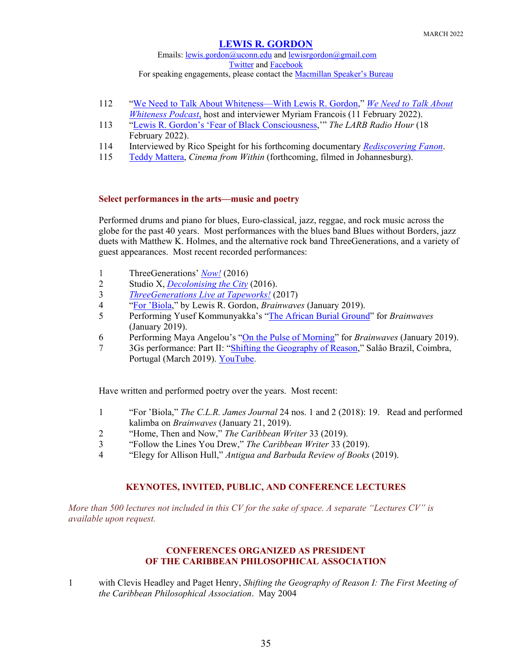Emails: [lewis.gordon@uconn.edu](mailto:lewis.gordon@uconn.edu) an[d lewisrgordon@gmail.com](mailto:lewisrgordon@gmail.com) [Twitter](https://twitter.com/lewgord) and [Facebook](https://www.facebook.com/LewisGordonPhilosopher/) For speaking engagements, please contact the **Macmillan Speaker's Bureau** 

- 112 ["We Need to Talk About Whiteness—With Lewis R. Gordon,](https://soundcloud.com/myriam-francois-27072150/we-need-to-talk-about-whiteness-with-lewis-r-gordon?si=fd2c222dd26c47e488fb78ce87dba4e8&utm_source=clipboard&utm_medium=text&utm_campaign=social_sharing)" *[We Need to Talk](https://www.weneedtotalkaboutwhiteness.com/) About [Whiteness Podcast](https://www.weneedtotalkaboutwhiteness.com/)*, host and interviewer Myriam Francois (11 February 2022).
- 113 ["Lewis R. Gordon's 'Fear of Black Consciousness,](https://lareviewofbooks.libsyn.com/lewis-r-gordons-fear-of-black-consciousness)'" *The LARB Radio Hour* (18 February 2022).
- 114 Interviewed by Rico Speight for his forthcoming documentary *[Rediscovering Fanon](http://ricoworkshop.com/coming-soon/rediscovering-fanon/)*.
- 115 [Teddy Mattera,](http://www.imdb.com/name/nm1464841/) *Cinema from Within* (forthcoming, filmed in Johannesburg).

## **Select performances in the arts—music and poetry**

Performed drums and piano for blues, Euro-classical, jazz, reggae, and rock music across the globe for the past 40 years. Most performances with the blues band Blues without Borders, jazz duets with Matthew K. Holmes, and the alternative rock band ThreeGenerations, and a variety of guest appearances. Most recent recorded performances:

- 1 ThreeGenerations' *Now!* (2016)
- 2 Studio X, *[Decolonising the City](https://youtu.be/FDfTERPdMJ8)* (2016).
- 3 *[ThreeGenerations Live at Tapeworks!](https://www.youtube.com/watch?v=4Kw_9XKsxVc)* (2017)
- 4 ["For 'Biola,](https://www.youtube.com/watch?v=p_EXSycdvOc)" by Lewis R. Gordon, *Brainwaves* (January 2019).
- 5 Performing Yusef Kommunyakka's ["The African Burial Ground"](https://www.youtube.com/watch?v=fjc3f0plbTQ) for *Brainwaves* (January 2019).
- 6 Performing Maya Angelou's ["On the Pulse of Morning"](https://www.youtube.com/watch?v=mcEGsJ8C-30) for *Brainwaves* (January 2019).
- 7 3Gs performance: Part II: ["Shifting the Geography of Reason,](http://saladeimprensa.ces.uc.pt/?col=canalces&id=24236&fbclid=IwAR3IJW9c9nVmAUzhC2RuN1Ys91RH9AvueEEmn2FDII8I91jz-AagfsFYk7k#.XMDA2i-ZOGR)" Salâo Brazil, Coimbra, Portugal (March 2019). [YouTube.](https://www.youtube.com/watch?time_continue=17&v=9vjJZelG7eI)

Have written and performed poetry over the years. Most recent:

- 1 "For 'Biola," *The C.L.R. James Journal* 24 nos. 1 and 2 (2018): 19. Read and performed kalimba on *Brainwaves* (January 21, 2019).
- 2 "Home, Then and Now," *The Caribbean Writer* 33 (2019).
- 3 "Follow the Lines You Drew," *The Caribbean Writer* 33 (2019).
- 4 "Elegy for Allison Hull," *Antigua and Barbuda Review of Books* (2019).

## **KEYNOTES, INVITED, PUBLIC, AND CONFERENCE LECTURES**

*More than 500 lectures not included in this CV for the sake of space. A separate "Lectures CV" is available upon request.*

## **CONFERENCES ORGANIZED AS PRESIDENT OF THE CARIBBEAN PHILOSOPHICAL ASSOCIATION**

1 with Clevis Headley and Paget Henry, *Shifting the Geography of Reason I: The First Meeting of the Caribbean Philosophical Association*. May 2004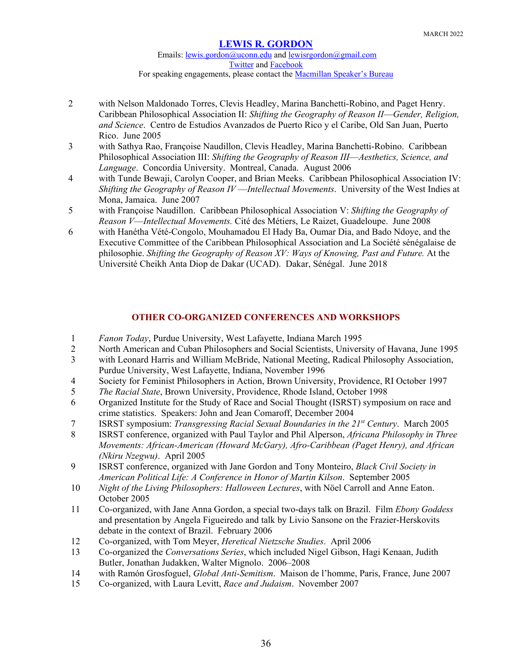Emails: [lewis.gordon@uconn.edu](mailto:lewis.gordon@uconn.edu) an[d lewisrgordon@gmail.com](mailto:lewisrgordon@gmail.com) [Twitter](https://twitter.com/lewgord) and [Facebook](https://www.facebook.com/LewisGordonPhilosopher/) For speaking engagements, please contact the **Macmillan Speaker's Bureau** 

- 2 with Nelson Maldonado Torres, Clevis Headley, Marina Banchetti-Robino, and Paget Henry. Caribbean Philosophical Association II: *Shifting the Geography of Reason II*—*Gender, Religion, and Science*. Centro de Estudios Avanzados de Puerto Rico y el Caribe, Old San Juan, Puerto Rico. June 2005
- 3 with Sathya Rao, Françoise Naudillon, Clevis Headley, Marina Banchetti-Robino. Caribbean Philosophical Association III: *Shifting the Geography of Reason III*—*Aesthetics, Science, and Language*. Concordia University. Montreal, Canada. August 2006
- 4 with Tunde Bewaji, Carolyn Cooper, and Brian Meeks. Caribbean Philosophical Association IV: *Shifting the Geography of Reason IV* —*Intellectual Movements*. University of the West Indies at Mona, Jamaica. June 2007
- 5 with Françoise Naudillon. Caribbean Philosophical Association V: *Shifting the Geography of Reason V*—*Intellectual Movements.* Cité des Métiers, Le Raizet, Guadeloupe. June 2008
- 6 with Hanétha Vété-Congolo, Mouhamadou El Hady Ba, Oumar Dia, and Bado Ndoye, and the Executive Committee of the Caribbean Philosophical Association and La Société sénégalaise de philosophie. *Shifting the Geography of Reason XV: Ways of Knowing, Past and Future.* At the Université Cheikh Anta Diop de Dakar (UCAD). Dakar, Sénégal. June 2018

## **OTHER CO-ORGANIZED CONFERENCES AND WORKSHOPS**

- 1 *Fanon Today*, Purdue University, West Lafayette, Indiana March 1995
- 2 North American and Cuban Philosophers and Social Scientists, University of Havana, June 1995
- 3 with Leonard Harris and William McBride, National Meeting, Radical Philosophy Association, Purdue University, West Lafayette, Indiana, November 1996
- 4 Society for Feminist Philosophers in Action, Brown University, Providence, RI October 1997
- 5 *The Racial State*, Brown University, Providence, Rhode Island, October 1998
- 6 Organized Institute for the Study of Race and Social Thought (ISRST) symposium on race and crime statistics. Speakers: John and Jean Comaroff, December 2004
- 7 ISRST symposium: *Transgressing Racial Sexual Boundaries in the 21st Century*. March 2005
- 8 ISRST conference, organized with Paul Taylor and Phil Alperson, *Africana Philosophy in Three Movements: African-American (Howard McGary), Afro-Caribbean (Paget Henry), and African (Nkiru Nzegwu)*. April 2005
- 9 ISRST conference, organized with Jane Gordon and Tony Monteiro, *Black Civil Society in American Political Life: A Conference in Honor of Martin Kilson*. September 2005
- 10 *Night of the Living Philosophers: Halloween Lectures*, with Nöel Carroll and Anne Eaton. October 2005
- 11 Co-organized, with Jane Anna Gordon, a special two-days talk on Brazil. Film *Ebony Goddess* and presentation by Angela Figueiredo and talk by Livio Sansone on the Frazier-Herskovits debate in the context of Brazil. February 2006
- 12 Co-organized, with Tom Meyer, *Heretical Nietzsche Studies*. April 2006
- 13 Co-organized the *Conversations Series*, which included Nigel Gibson, Hagi Kenaan, Judith Butler, Jonathan Judakken, Walter Mignolo. 2006–2008
- 14 with Ramón Grosfoguel, *Global Anti-Semitism*. Maison de l'homme, Paris, France, June 2007
- 15 Co-organized, with Laura Levitt, *Race and Judaism*. November 2007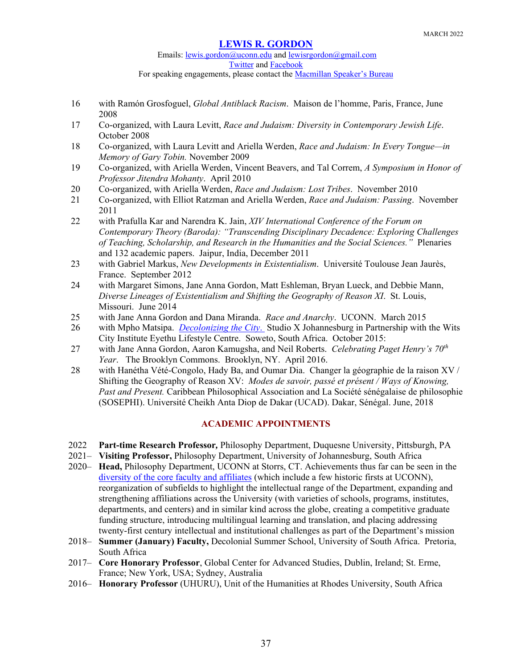Emails: [lewis.gordon@uconn.edu](mailto:lewis.gordon@uconn.edu) an[d lewisrgordon@gmail.com](mailto:lewisrgordon@gmail.com) [Twitter](https://twitter.com/lewgord) and [Facebook](https://www.facebook.com/LewisGordonPhilosopher/) For speaking engagements, please contact the **Macmillan Speaker's Bureau** 

- 16 with Ramón Grosfoguel, *Global Antiblack Racism*. Maison de l'homme, Paris, France, June 2008
- 17 Co-organized, with Laura Levitt, *Race and Judaism: Diversity in Contemporary Jewish Life*. October 2008
- 18 Co-organized, with Laura Levitt and Ariella Werden, *Race and Judaism: In Every Tongue—in Memory of Gary Tobin.* November 2009
- 19 Co-organized, with Ariella Werden, Vincent Beavers, and Tal Correm, *A Symposium in Honor of Professor Jitendra Mohanty*. April 2010
- 20 Co-organized, with Ariella Werden, *Race and Judaism: Lost Tribes*. November 2010
- 21 Co-organized, with Elliot Ratzman and Ariella Werden, *Race and Judaism: Passing*. November 2011
- 22 with Prafulla Kar and Narendra K. Jain, *XIV International Conference of the Forum on Contemporary Theory (Baroda): "Transcending Disciplinary Decadence: Exploring Challenges of Teaching, Scholarship, and Research in the Humanities and the Social Sciences."* Plenaries and 132 academic papers. Jaipur, India, December 2011
- 23 with Gabriel Markus, *New Developments in Existentialism*. Université Toulouse Jean Jaurès, France. September 2012
- 24 with Margaret Simons, Jane Anna Gordon, Matt Eshleman, Bryan Lueck, and Debbie Mann, *Diverse Lineages of Existentialism and Shifting the Geography of Reason XI*. St. Louis, Missouri. June 2014
- 25 with Jane Anna Gordon and Dana Miranda. *Race and Anarchy*. UCONN. March 2015
- 26 with Mpho Matsipa. *[Decolonizing the City](https://www.youtube.com/watch?v=TWTWNNcs5ic)*. Studio X Johannesburg in Partnership with the Wits City Institute Eyethu Lifestyle Centre. Soweto, South Africa. October 2015:
- 27 with Jane Anna Gordon, Aaron Kamugsha, and Neil Roberts. *Celebrating Paget Henry's 70th Year*. The Brooklyn Commons. Brooklyn, NY. April 2016.
- 28 with Hanétha Vété-Congolo, Hady Ba, and Oumar Dia. Changer la géographie de la raison XV / Shifting the Geography of Reason XV: *Modes de savoir, passé et présent / Ways of Knowing, Past and Present.* Caribbean Philosophical Association and La Société sénégalaise de philosophie (SOSEPHI). Université Cheikh Anta Diop de Dakar (UCAD). Dakar, Sénégal. June, 2018

## **ACADEMIC APPOINTMENTS**

- 2022 **Part-time Research Professor***,* Philosophy Department, Duquesne University, Pittsburgh, PA
- 2021– **Visiting Professor,** Philosophy Department, University of Johannesburg, South Africa
- 2020– **Head,** Philosophy Department, UCONN at Storrs, CT. Achievements thus far can be seen in the [diversity of the core faculty and affiliates](https://philosophy.uconn.edu/faculty/) (which include a few historic firsts at UCONN), reorganization of subfields to highlight the intellectual range of the Department, expanding and strengthening affiliations across the University (with varieties of schools, programs, institutes, departments, and centers) and in similar kind across the globe, creating a competitive graduate funding structure, introducing multilingual learning and translation, and placing addressing twenty-first century intellectual and institutional challenges as part of the Department's mission
- 2018– **Summer (January) Faculty,** Decolonial Summer School, University of South Africa. Pretoria, South Africa
- 2017– **Core Honorary Professor**, Global Center for Advanced Studies, Dublin, Ireland; St. Erme, France; New York, USA; Sydney, Australia
- 2016– **Honorary Professor** (UHURU), Unit of the Humanities at Rhodes University, South Africa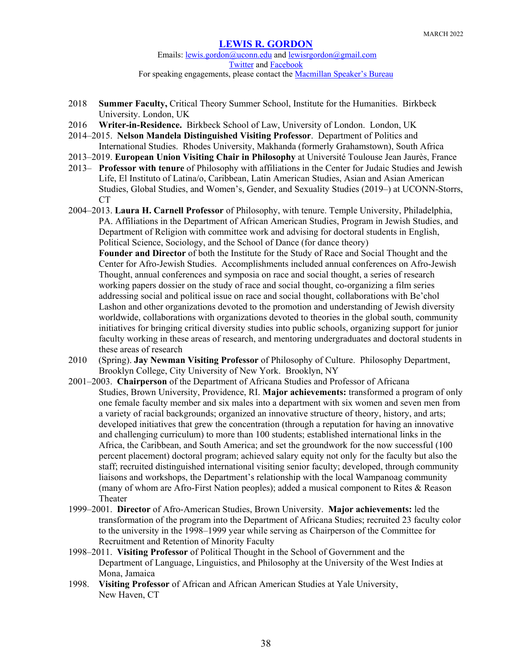Emails: [lewis.gordon@uconn.edu](mailto:lewis.gordon@uconn.edu) an[d lewisrgordon@gmail.com](mailto:lewisrgordon@gmail.com) [Twitter](https://twitter.com/lewgord) and [Facebook](https://www.facebook.com/LewisGordonPhilosopher/) For speaking engagements, please contact the [Macmillan Speaker's Bureau](https://www.macmillanspeakers.com/speaker/lewis-gordon/)

- 2018 **Summer Faculty,** Critical Theory Summer School, Institute for the Humanities. Birkbeck University. London, UK
- 2016 **Writer-in-Residence.** Birkbeck School of Law, University of London. London, UK
- 2014–2015. **Nelson Mandela Distinguished Visiting Professor**. Department of Politics and International Studies. Rhodes University, Makhanda (formerly Grahamstown), South Africa
- 2013–2019. **European Union Visiting Chair in Philosophy** at Université Toulouse Jean Jaurès, France
- 2013– **Professor with tenure** of Philosophy with affiliations in the Center for Judaic Studies and Jewish Life, El Instituto of Latina/o, Caribbean, Latin American Studies, Asian and Asian American Studies, Global Studies, and Women's, Gender, and Sexuality Studies (2019–) at UCONN-Storrs, CT
- 2004–2013. **Laura H. Carnell Professor** of Philosophy, with tenure. Temple University, Philadelphia, PA. Affiliations in the Department of African American Studies, Program in Jewish Studies, and Department of Religion with committee work and advising for doctoral students in English, Political Science, Sociology, and the School of Dance (for dance theory)

**Founder and Director** of both the Institute for the Study of Race and Social Thought and the Center for Afro-Jewish Studies. Accomplishments included annual conferences on Afro-Jewish Thought, annual conferences and symposia on race and social thought, a series of research working papers dossier on the study of race and social thought, co-organizing a film series addressing social and political issue on race and social thought, collaborations with Be'chol Lashon and other organizations devoted to the promotion and understanding of Jewish diversity worldwide, collaborations with organizations devoted to theories in the global south, community initiatives for bringing critical diversity studies into public schools, organizing support for junior faculty working in these areas of research, and mentoring undergraduates and doctoral students in these areas of research

- 2010 (Spring). **Jay Newman Visiting Professor** of Philosophy of Culture. Philosophy Department, Brooklyn College, City University of New York. Brooklyn, NY
- 2001–2003. **Chairperson** of the Department of Africana Studies and Professor of Africana Studies, Brown University, Providence, RI. **Major achievements:** transformed a program of only one female faculty member and six males into a department with six women and seven men from a variety of racial backgrounds; organized an innovative structure of theory, history, and arts; developed initiatives that grew the concentration (through a reputation for having an innovative and challenging curriculum) to more than 100 students; established international links in the Africa, the Caribbean, and South America; and set the groundwork for the now successful (100 percent placement) doctoral program; achieved salary equity not only for the faculty but also the staff; recruited distinguished international visiting senior faculty; developed, through community liaisons and workshops, the Department's relationship with the local Wampanoag community (many of whom are Afro-First Nation peoples); added a musical component to Rites & Reason Theater
- 1999–2001. **Director** of Afro-American Studies, Brown University. **Major achievements:** led the transformation of the program into the Department of Africana Studies; recruited 23 faculty color to the university in the 1998–1999 year while serving as Chairperson of the Committee for Recruitment and Retention of Minority Faculty
- 1998–2011. **Visiting Professor** of Political Thought in the School of Government and the Department of Language, Linguistics, and Philosophy at the University of the West Indies at Mona, Jamaica
- 1998. **Visiting Professor** of African and African American Studies at Yale University, New Haven, CT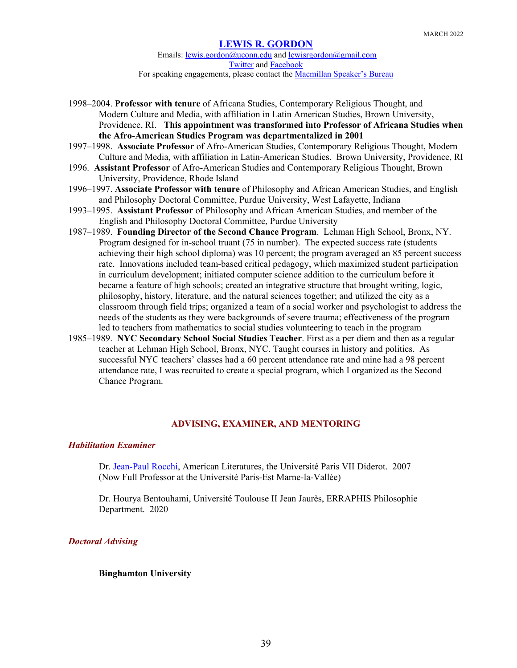Emails: [lewis.gordon@uconn.edu](mailto:lewis.gordon@uconn.edu) an[d lewisrgordon@gmail.com](mailto:lewisrgordon@gmail.com) [Twitter](https://twitter.com/lewgord) and [Facebook](https://www.facebook.com/LewisGordonPhilosopher/) For speaking engagements, please contact the [Macmillan Speaker's Bureau](https://www.macmillanspeakers.com/speaker/lewis-gordon/)

- 1998–2004. **Professor with tenure** of Africana Studies, Contemporary Religious Thought, and Modern Culture and Media, with affiliation in Latin American Studies, Brown University, Providence, RI. **This appointment was transformed into Professor of Africana Studies when the Afro-American Studies Program was departmentalized in 2001**
- 1997–1998. **Associate Professor** of Afro-American Studies, Contemporary Religious Thought, Modern Culture and Media, with affiliation in Latin-American Studies. Brown University, Providence, RI
- 1996. **Assistant Professor** of Afro-American Studies and Contemporary Religious Thought, Brown University, Providence, Rhode Island
- 1996–1997. **Associate Professor with tenure** of Philosophy and African American Studies, and English and Philosophy Doctoral Committee, Purdue University, West Lafayette, Indiana
- 1993–1995. **Assistant Professor** of Philosophy and African American Studies, and member of the English and Philosophy Doctoral Committee, Purdue University
- 1987–1989. **Founding Director of the Second Chance Program**. Lehman High School, Bronx, NY. Program designed for in-school truant (75 in number). The expected success rate (students achieving their high school diploma) was 10 percent; the program averaged an 85 percent success rate. Innovations included team-based critical pedagogy, which maximized student participation in curriculum development; initiated computer science addition to the curriculum before it became a feature of high schools; created an integrative structure that brought writing, logic, philosophy, history, literature, and the natural sciences together; and utilized the city as a classroom through field trips; organized a team of a social worker and psychologist to address the needs of the students as they were backgrounds of severe trauma; effectiveness of the program led to teachers from mathematics to social studies volunteering to teach in the program
- 1985–1989. **NYC Secondary School Social Studies Teacher**. First as a per diem and then as a regular teacher at Lehman High School, Bronx, NYC. Taught courses in history and politics. As successful NYC teachers' classes had a 60 percent attendance rate and mine had a 98 percent attendance rate, I was recruited to create a special program, which I organized as the Second Chance Program.

## **ADVISING, EXAMINER, AND MENTORING**

## *Habilitation Examiner*

Dr. [Jean-Paul Rocchi,](http://imager.u-pec.fr/membres/enseignants-chercheurs/rocchi-jean-paul-541504.kjsp) American Literatures, the Université Paris VII Diderot. 2007 (Now Full Professor at the Université Paris-Est Marne-la-Vallée)

Dr. Hourya Bentouhami, Université Toulouse II Jean Jaurès, ERRAPHIS Philosophie Department. 2020

## *Doctoral Advising*

## **Binghamton University**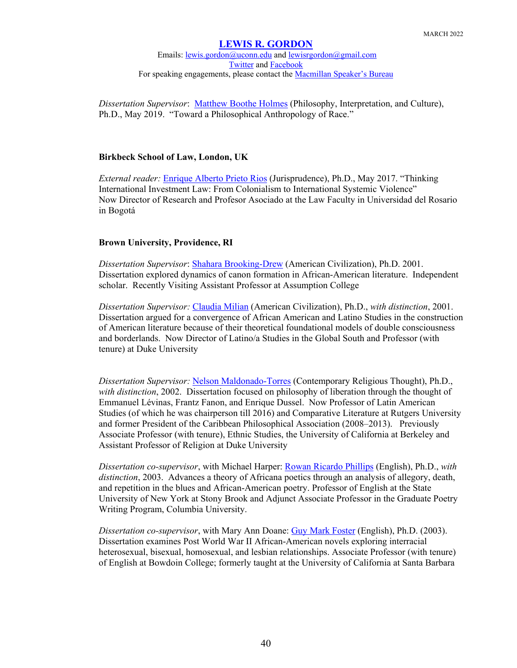Emails: [lewis.gordon@uconn.edu](mailto:lewis.gordon@uconn.edu) an[d lewisrgordon@gmail.com](mailto:lewisrgordon@gmail.com) [Twitter](https://twitter.com/lewgord) and [Facebook](https://www.facebook.com/LewisGordonPhilosopher/) For speaking engagements, please contact the [Macmillan Speaker's Bureau](https://www.macmillanspeakers.com/speaker/lewis-gordon/)

*Dissertation Supervisor*: [Matthew Boothe Holmes](https://philosophy.uconn.edu/person/matthew-holmes/) (Philosophy, Interpretation, and Culture), Ph.D., May 2019. "Toward a Philosophical Anthropology of Race."

#### **Birkbeck School of Law, London, UK**

*External reader:* [Enrique Alberto Prieto Rios](https://www.urosario.edu.co/Profesores/Listado-de-profesores/P/Prieto-Rios-Enrique-Alberto/) (Jurisprudence), Ph.D., May 2017. "Thinking International Investment Law: From Colonialism to International Systemic Violence" Now Director of Research and Profesor Asociado at the Law Faculty in Universidad del Rosario in Bogotá

#### **Brown University, Providence, RI**

*Dissertation Supervisor*: [Shahara Brooking-Drew](http://www1.assumption.edu/faculty/english/drew-shahara/) (American Civilization), Ph.D. 2001. Dissertation explored dynamics of canon formation in African-American literature. Independent scholar. Recently Visiting Assistant Professor at Assumption College

*Dissertation Supervisor:* [Claudia Milian](http://latinostudies.duke.edu/about/key-faculty%20and%20http:/fds.duke.edu/db/Provost/clacs/claudia.milian) (American Civilization), Ph.D., *with distinction*, 2001. Dissertation argued for a convergence of African American and Latino Studies in the construction of American literature because of their theoretical foundational models of double consciousness and borderlands. Now Director of Latino/a Studies in the Global South and Professor (with tenure) at Duke University

*Dissertation Supervisor:* [Nelson Maldonado-Torres](https://latcar.rutgers.edu/people/core-faculty/52-nelson-maldonado-torres) (Contemporary Religious Thought), Ph.D., *with distinction*, 2002. Dissertation focused on philosophy of liberation through the thought of Emmanuel Lévinas, Frantz Fanon, and Enrique Dussel. Now Professor of Latin American Studies (of which he was chairperson till 2016) and Comparative Literature at Rutgers University and former President of the Caribbean Philosophical Association (2008–2013). Previously Associate Professor (with tenure), Ethnic Studies, the University of California at Berkeley and Assistant Professor of Religion at Duke University

*Dissertation co-supervisor*, with Michael Harper: [Rowan Ricardo Phillips](https://www.stonybrook.edu/commcms/english/people/phillips.php#Biography) (English), Ph.D., *with distinction*, 2003. Advances a theory of Africana poetics through an analysis of allegory, death, and repetition in the blues and African-American poetry. Professor of English at the State University of New York at Stony Brook and Adjunct Associate Professor in the Graduate Poetry Writing Program, Columbia University.

*Dissertation co-supervisor*, with Mary Ann Doane: [Guy Mark Foster](https://www.bowdoin.edu/faculty/g/gmfoster/) (English), Ph.D. (2003). Dissertation examines Post World War II African-American novels exploring interracial heterosexual, bisexual, homosexual, and lesbian relationships. Associate Professor (with tenure) of English at Bowdoin College; formerly taught at the University of California at Santa Barbara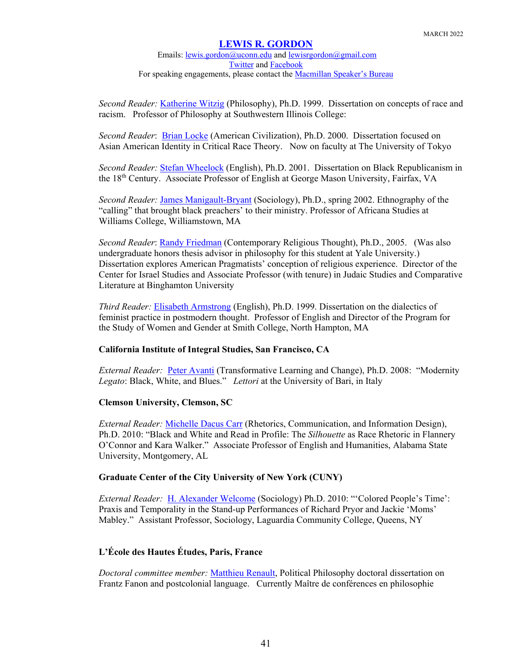Emails: [lewis.gordon@uconn.edu](mailto:lewis.gordon@uconn.edu) an[d lewisrgordon@gmail.com](mailto:lewisrgordon@gmail.com) [Twitter](https://twitter.com/lewgord) and [Facebook](https://www.facebook.com/LewisGordonPhilosopher/) For speaking engagements, please contact the [Macmillan Speaker's Bureau](https://www.macmillanspeakers.com/speaker/lewis-gordon/)

*Second Reader:* [Katherine Witzig](https://www.swic.edu/academics/academic-divisions/liberal-arts/faculty-and-staff/) (Philosophy), Ph.D. 1999. Dissertation on concepts of race and racism. Professor of Philosophy at Southwestern Illinois College:

*Second Reader*: [Brian Locke](https://u-tokyo.academia.edu/BrianLocke) (American Civilization), Ph.D. 2000. Dissertation focused on Asian American Identity in Critical Race Theory. Now on faculty at The University of Tokyo

*Second Reader:* [Stefan Wheelock](https://english.gmu.edu/people/swheeloc) (English), Ph.D. 2001. Dissertation on Black Republicanism in the 18th Century. Associate Professor of English at George Mason University, Fairfax, VA

*Second Reader:* [James Manigault-Bryant](http://africana-studies.williams.edu/profile/jm6/) (Sociology), Ph.D., spring 2002. Ethnography of the "calling" that brought black preachers' to their ministry. Professor of Africana Studies at Williams College, Williamstown, MA

*Second Reader*: [Randy Friedman](http://bingweb.binghamton.edu/%7Efriedman/) (Contemporary Religious Thought), Ph.D., 2005. (Was also undergraduate honors thesis advisor in philosophy for this student at Yale University.) Dissertation explores American Pragmatists' conception of religious experience. Director of the Center for Israel Studies and Associate Professor (with tenure) in Judaic Studies and Comparative Literature at Binghamton University

*Third Reader:* [Elisabeth Armstrong](http://www.smith.edu/swg/faculty_armstrong.php) (English), Ph.D. 1999. Dissertation on the dialectics of feminist practice in postmodern thought. Professor of English and Director of the Program for the Study of Women and Gender at Smith College, North Hampton, MA

## **California Institute of Integral Studies, San Francisco, CA**

*External Reader:* [Peter Avanti](https://www.uniba.it/ricerca/dipartimenti/lelia/Personale/Collaboratori%20esperti%20linguistici/avanti-peter) (Transformative Learning and Change), Ph.D. 2008: "Modernity *Legato*: Black, White, and Blues." *Lettori* at the University of Bari, in Italy

## **Clemson University, Clemson, SC**

*External Reader:* [Michelle Dacus Carr](https://www.alasu.edu/admissions/faculty-experts) (Rhetorics, Communication, and Information Design), Ph.D. 2010: "Black and White and Read in Profile: The *Silhouette* as Race Rhetoric in Flannery O'Connor and Kara Walker." Associate Professor of English and Humanities, Alabama State University, Montgomery, AL

## **Graduate Center of the City University of New York (CUNY)**

*External Reader:* [H. Alexander](https://www.laguardia.edu/SocialScience/Faculty-and-Staff/) Welcome (Sociology) Ph.D. 2010: "'Colored People's Time': Praxis and Temporality in the Stand-up Performances of Richard Pryor and Jackie 'Moms' Mabley." Assistant Professor, Sociology, Laguardia Community College, Queens, NY

## **L'École des Hautes Études, Paris, France**

*Doctoral committee member:* [Matthieu Renault,](https://philosophie.univ-paris8.fr/spip.php?article1215) Political Philosophy doctoral dissertation on Frantz Fanon and postcolonial language. Currently Maître de conférences en philosophie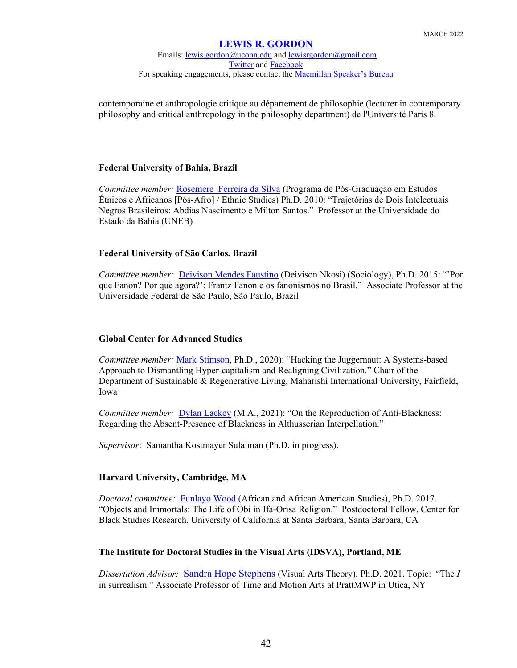## **[LEWIS R. GORDON](https://philosophy.uconn.edu/person/lewis-gordon/)** Emails: [lewis.gordon@uconn.edu](mailto:lewis.gordon@uconn.edu) an[d lewisrgordon@gmail.com](mailto:lewisrgordon@gmail.com) [Twitter](https://twitter.com/lewgord) and [Facebook](https://www.facebook.com/LewisGordonPhilosopher/) For speaking engagements, please contact the **Macmillan Speaker's Bureau**

contemporaine et anthropologie critique au département de philosophie (lecturer in contemporary philosophy and critical anthropology in the philosophy department) de l'Université Paris 8.

## **Federal University of Bahia, Brazil**

*Committee member:* [Rosemere Ferreira da Silva](http://www.youtube.com/watch?v=MJDRxJYA1oE) (Programa de Pós-Graduaçao em Estudos Étnicos e Africanos [Pós-Afro] / Ethnic Studies) Ph.D. 2010: "Trajetórias de Dois Intelectuais Negros Brasileiros: Abdias Nascimento e Milton Santos." Professor at the Universidade do Estado da Bahia (UNEB)

## **Federal University of São Carlos, Brazil**

*Committee member:* [Deivison Mendes Faustino](http://www.escavador.com/sobre/6068815/deivison-mendes-faustino) (Deivison Nkosi) (Sociology), Ph.D. 2015: "'Por que Fanon? Por que agora?': Frantz Fanon e os fanonismos no Brasil." Associate Professor at the Universidade Federal de São Paulo, São Paulo, Brazil

## **Global Center for Advanced Studies**

*Committee member:* [Mark Stimson,](https://www.miu.edu/sustainable-and-regenerative-living/faculty/mark-stimson) Ph.D., 2020): "Hacking the Juggernaut: A Systems-based Approach to Dismantling Hyper-capitalism and Realigning Civilization." Chair of the Department of Sustainable & Regenerative Living, Maharishi International University, Fairfield, Iowa

*Committee member:* [Dylan Lackey](https://gcas.ie/dylan-lackey) (M.A., 2021): "On the Reproduction of Anti-Blackness: Regarding the Absent-Presence of Blackness in Althusserian Interpellation."

*Supervisor*: Samantha Kostmayer Sulaiman (Ph.D. in progress).

## **Harvard University, Cambridge, MA**

*Doctoral committee:* [Funlayo Wood](https://funlayophd.com/) (African and African American Studies), Ph.D. 2017. "Objects and Immortals: The Life of Obi in Ifa-Orisa Religion." Postdoctoral Fellow, Center for Black Studies Research, University of California at Santa Barbara, Santa Barbara, CA

## **The Institute for Doctoral Studies in the Visual Arts (IDSVA), Portland, ME**

*Dissertation Advisor:* [Sandra Hope Stephens](https://www.mwpai.edu/about-prattmwp/faculty/sandra-hope-stephens/) (Visual Arts Theory), Ph.D. 2021. Topic: "The *I* in surrealism." Associate Professor of Time and Motion Arts at PrattMWP in Utica, NY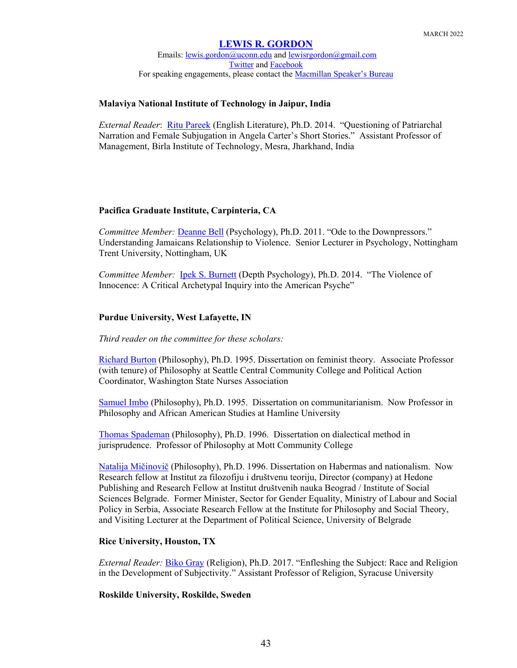Emails: [lewis.gordon@uconn.edu](mailto:lewis.gordon@uconn.edu) an[d lewisrgordon@gmail.com](mailto:lewisrgordon@gmail.com) [Twitter](https://twitter.com/lewgord) and [Facebook](https://www.facebook.com/LewisGordonPhilosopher/) For speaking engagements, please contact the [Macmillan Speaker's Bureau](https://www.macmillanspeakers.com/speaker/lewis-gordon/)

## **Malaviya National Institute of Technology in Jaipur, India**

*External Reader*: [Ritu Pareek](https://in.linkedin.com/in/dr-ritu-pareek-53a3a8144) (English Literature), Ph.D. 2014. "Questioning of Patriarchal Narration and Female Subjugation in Angela Carter's Short Stories." Assistant Professor of Management, Birla Institute of Technology, Mesra, Jharkhand, India

## **Pacifica Graduate Institute, Carpinteria, CA**

*Committee Member:* [Deanne Bell](https://www.ntu.ac.uk/staff-profiles/social-sciences/deanne-bell) (Psychology), Ph.D. 2011. "Ode to the Downpressors." Understanding Jamaicans Relationship to Violence. Senior Lecturer in Psychology, Nottingham Trent University, Nottingham, UK

*Committee Member:* [Ipek S. Burnett](http://www.linkedin.com/pub/ipek-s-burnett/47/399/877) (Depth Psychology), Ph.D. 2014. "The Violence of Innocence: A Critical Archetypal Inquiry into the American Psyche"

### **Purdue University, West Lafayette, IN**

*Third reader on the committee for these scholars:*

[Richard Burton](http://www.seattlecentral.edu/humss/faculty.php%20and%20https:/www.linkedin.com/in/richard-burton-2b203646) (Philosophy), Ph.D. 1995. Dissertation on feminist theory. Associate Professor (with tenure) of Philosophy at Seattle Central Community College and Political Action Coordinator, Washington State Nurses Association

[Samuel Imbo](https://piperline.hamline.edu/pls/prod/hamdirectory.P_DisplayDirectoryNames?type=E&search_lastname=Imbo&search_firstname=Samuel) (Philosophy), Ph.D. 1995. Dissertation on communitarianism. Now Professor in Philosophy and African American Studies at Hamline University

[Thomas Spademan](http://www.lulu.com/spotlight/ThomasBSpademan%20and%20http:/catalog.mcc.edu/content.php?catoid=3&navoid=75) (Philosophy), Ph.D. 1996. Dissertation on dialectical method in jurisprudence. Professor of Philosophy at Mott Community College

[Natalija Mičinovič](http://www.idn.org.rs/cv/Natalija_Micunovic_srp.htm) (Philosophy), Ph.D. 1996. Dissertation on Habermas and nationalism. Now [Research fellow](https://www.facebook.com/pages/Research-fellow/106056602759360) at [Institut za filozofiju i društvenu teoriju,](https://www.facebook.com/instifdt/) [Director \(company\)](https://www.facebook.com/pages/Director-company/114400818575820) at [Hedone](https://www.facebook.com/pages/Hedone-Publishing/779763358715617)  [Publishing](https://www.facebook.com/pages/Hedone-Publishing/779763358715617) and [Research Fellow](https://www.facebook.com/pages/Research-Fellow/835008469894000) at [Institut društvenih nauka Beograd / Institute of Social](https://www.facebook.com/Institut-dru%C5%A1tvenih-nauka-Beograd-Institute-of-Social-Sciences-Belgrade-211421362252083/)  [Sciences Belgrade.](https://www.facebook.com/Institut-dru%C5%A1tvenih-nauka-Beograd-Institute-of-Social-Sciences-Belgrade-211421362252083/) Former Minister, Sector for Gender Equality, Ministry of Labour and Social Policy in Serbia, Associate Research Fellow at the Institute for Philosophy and Social Theory, and Visiting Lecturer at the Department of Political Science, University of Belgrade

#### **Rice University, Houston, TX**

*External Reader:* [Biko Gray](http://thecollege.syr.edu/people/faculty/pages/rel/gray-biko.html) (Religion), Ph.D. 2017. "Enfleshing the Subject: Race and Religion in the Development of Subjectivity." Assistant Professor of Religion, Syracuse University

#### **Roskilde University, Roskilde, Sweden**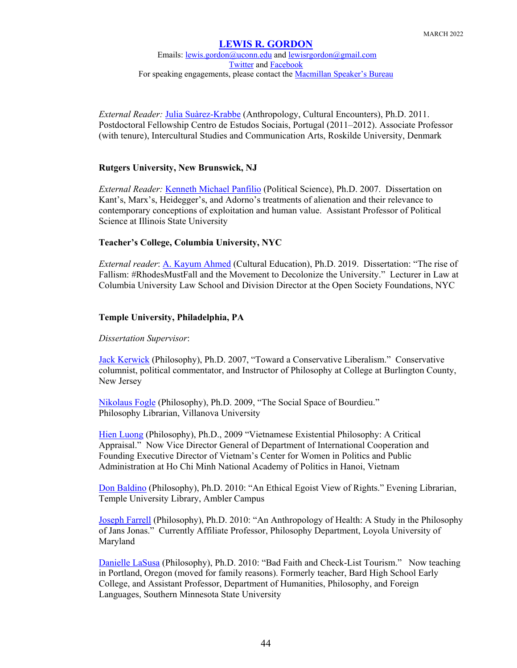## **[LEWIS R. GORDON](https://philosophy.uconn.edu/person/lewis-gordon/)** Emails: [lewis.gordon@uconn.edu](mailto:lewis.gordon@uconn.edu) an[d lewisrgordon@gmail.com](mailto:lewisrgordon@gmail.com) [Twitter](https://twitter.com/lewgord) and [Facebook](https://www.facebook.com/LewisGordonPhilosopher/) For speaking engagements, please contact the [Macmillan Speaker's Bureau](https://www.macmillanspeakers.com/speaker/lewis-gordon/)

*External Reader:* [Julia Suàrez-Krabbe](http://forskning.ruc.dk/site/en/persons/julia-surezkrabbe%2807eecd6d-cffc-4626-8dd2-f71ee3bf69ea%29.html) (Anthropology, Cultural Encounters), Ph.D. 2011. Postdoctoral Fellowship Centro de Estudos Sociais, Portugal (2011–2012). Associate Professor (with tenure), Intercultural Studies and Communication Arts, Roskilde University, Denmark

## **Rutgers University, New Brunswick, NJ**

*External Reader:* [Kenneth Michael Panfilio](http://pol.illinoisstate.edu/files/coins/profile/kpanfil) (Political Science), Ph.D. 2007. Dissertation on Kant's, Marx's, Heidegger's, and Adorno's treatments of alienation and their relevance to contemporary conceptions of exploitation and human value. Assistant Professor of Political Science at Illinois State University

## **Teacher's College, Columbia University, NYC**

*External reader*: [A. Kayum Ahmed](https://www.law.columbia.edu/faculty/kayum-ahmed) (Cultural Education), Ph.D. 2019. Dissertation: "The rise of Fallism: #RhodesMustFall and the Movement to Decolonize the University." Lecturer in Law at Columbia University Law School and Division Director at the Open Society Foundations, NYC

## **Temple University, Philadelphia, PA**

## *Dissertation Supervisor*:

[Jack Kerwick](http://www.rcbc.edu/directory/faculty) (Philosophy), Ph.D. 2007, "Toward a Conservative Liberalism." Conservative columnist, political commentator, and Instructor of Philosophy at College at Burlington County, New Jersey

[Nikolaus Fogle](http://blog.library.villanova.edu/news/2012/11/29/nikolaus-nik-fogle-phd-joins-falvey-as-new-philosophy-librarian/) (Philosophy), Ph.D. 2009, "The Social Space of Bourdieu." Philosophy Librarian, Villanova University

[Hien Luong](https://www.linkedin.com/in/hien-luong-0620b716) (Philosophy), Ph.D., 2009 "Vietnamese Existential Philosophy: A Critical Appraisal." Now Vice Director General of Department of International Cooperation and Founding Executive Director of Vietnam's Center for Women in Politics and Public Administration at Ho Chi Minh National Academy of Politics in Hanoi, Vietnam

[Don Baldino](https://library.temple.edu/about/staff/don-baldino) (Philosophy), Ph.D. 2010: "An Ethical Egoist View of Rights." Evening Librarian, Temple University Library, Ambler Campus

[Joseph Farrell](http://www.loyola.edu/academic/philosophy/faculty) (Philosophy), Ph.D. 2010: "An Anthropology of Health: A Study in the Philosophy of Jans Jonas." Currently Affiliate Professor, Philosophy Department, Loyola University of Maryland

[Danielle LaSusa](http://bhsec.bard.edu/queens/faculty/) (Philosophy), Ph.D. 2010: "Bad Faith and Check-List Tourism." Now teaching in Portland, Oregon (moved for family reasons). Formerly teacher, Bard High School Early College, and Assistant Professor, Department of Humanities, Philosophy, and Foreign Languages, Southern Minnesota State University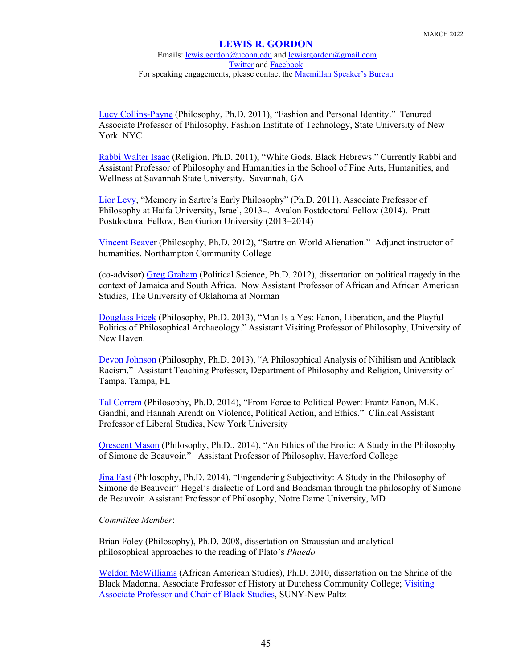### **[LEWIS R. GORDON](https://philosophy.uconn.edu/person/lewis-gordon/)** Emails: [lewis.gordon@uconn.edu](mailto:lewis.gordon@uconn.edu) an[d lewisrgordon@gmail.com](mailto:lewisrgordon@gmail.com) [Twitter](https://twitter.com/lewgord) and [Facebook](https://www.facebook.com/LewisGordonPhilosopher/) For speaking engagements, please contact the [Macmillan Speaker's Bureau](https://www.macmillanspeakers.com/speaker/lewis-gordon/)

[Lucy Collins-Payne](https://www.insidehighered.com/news/2019/09/18/college-award-tenure) (Philosophy, Ph.D. 2011), "Fashion and Personal Identity." Tenured Associate Professor of Philosophy, Fashion Institute of Technology, State University of New York. NYC

[Rabbi Walter Isaac](https://jsli.net/mazal-tov-to-rabbi-walter-isaac/) (Religion, Ph.D. 2011), "White Gods, Black Hebrews." Currently Rabbi and Assistant Professor of Philosophy and Humanities in the School of Fine Arts, Humanities, and Wellness at Savannah State University. Savannah, GA

[Lior Levy,](https://haifa.academia.edu/LiorLevy) "Memory in Sartre's Early Philosophy" (Ph.D. 2011). Associate Professor of Philosophy at Haifa University, Israel, 2013–. Avalon Postdoctoral Fellow (2014). Pratt Postdoctoral Fellow, Ben Gurion University (2013–2014)

[Vincent Beaver](http://www.jigsaw.com/scid41176207/vincent_beaver.xhtml) (Philosophy, Ph.D. 2012), "Sartre on World Alienation." Adjunct instructor of humanities, Northampton Community College

(co-advisor) [Greg Graham](http://cas.ou.edu/faculty-and-staff3) (Political Science, Ph.D. 2012), dissertation on political tragedy in the context of Jamaica and South Africa. Now Assistant Professor of African and African American Studies, The University of Oklahoma at Norman

[Douglass Ficek](http://www.newhaven.edu/Faculty-Staff-Profiles/Douglas-Ficek/) (Philosophy, Ph.D. 2013), "Man Is a Yes: Fanon, Liberation, and the Playful Politics of Philosophical Archaeology." Assistant Visiting Professor of Philosophy, University of New Haven.

[Devon Johnson](http://aribbeanphilosophicalassociation.org/) (Philosophy, Ph.D. 2013), "A Philosophical Analysis of Nihilism and Antiblack Racism." Assistant Teaching Professor, Department of Philosophy and Religion, University of Tampa. Tampa, FL

[Tal Correm](http://liberalstudies.nyu.edu/about/faculty-listing/tal-correm.html) (Philosophy, Ph.D. 2014), "From Force to Political Power: Frantz Fanon, M.K. Gandhi, and Hannah Arendt on Violence, Political Action, and Ethics." Clinical Assistant Professor of Liberal Studies, New York University

[Qrescent Mason](https://www.haverford.edu/philosophy/faculty-staff) (Philosophy, Ph.D., 2014), "An Ethics of the Erotic: A Study in the Philosophy of Simone de Beauvoir." Assistant Professor of Philosophy, Haverford College

[Jina Fast](https://www.linkedin.com/in/jina-fast-763a5b23) (Philosophy, Ph.D. 2014), "Engendering Subjectivity: A Study in the Philosophy of Simone de Beauvoir" Hegel's dialectic of Lord and Bondsman through the philosophy of Simone de Beauvoir. Assistant Professor of Philosophy, Notre Dame University, MD

## *Committee Member*:

Brian Foley (Philosophy), Ph.D. 2008, dissertation on Straussian and analytical philosophical approaches to the reading of Plato's *Phaedo*

[Weldon McWilliams](http://www.sunydutchess.edu/academics/departments/historygovernmentandeconomics/hgefaculty.html) (African American Studies), Ph.D. 2010, dissertation on the Shrine of the Black Madonna. Associate Professor of History at Dutchess Community College; Visiting Associate Professor and Chair of Black Studies, SUNY-New Paltz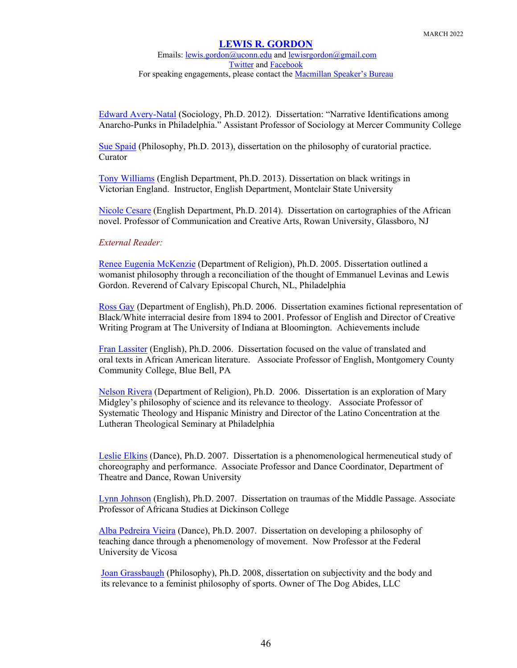Emails: [lewis.gordon@uconn.edu](mailto:lewis.gordon@uconn.edu) an[d lewisrgordon@gmail.com](mailto:lewisrgordon@gmail.com) [Twitter](https://twitter.com/lewgord) and [Facebook](https://www.facebook.com/LewisGordonPhilosopher/) For speaking engagements, please contact the [Macmillan Speaker's Bureau](https://www.macmillanspeakers.com/speaker/lewis-gordon/)

[Edward Avery-Natal](http://www.mccc.edu/welcome_faculty_staff_dir_offices_div2.shtml) (Sociology, Ph.D. 2012). Dissertation: "Narrative Identifications among Anarcho-Punks in Philadelphia." Assistant Professor of Sociology at Mercer Community College

[Sue Spaid](http://en.wikipedia.org/wiki/Sue_Spaid) (Philosophy, Ph.D. 2013), dissertation on the philosophy of curatorial practice. Curator

[Tony Williams](https://www.linkedin.com/in/tony-williams-2b27b314) (English Department, Ph.D. 2013). Dissertation on black writings in Victorian England. Instructor, English Department, Montclair State University

[Nicole Cesare](https://ccca.rowan.edu/ccca-facultybios/nicole-cesare.html) (English Department, Ph.D. 2014). Dissertation on cartographies of the African novel. Professor of Communication and Creative Arts, Rowan University, Glassboro, NJ

## *External Reader:*

[Renee Eugenia McKenzie](http://www.churchoftheadvocate.org/the-vicarchaplain.html) (Department of Religion), Ph.D. 2005. Dissertation outlined a womanist philosophy through a reconciliation of the thought of Emmanuel Levinas and Lewis Gordon. Reverend of Calvary Episcopal Church, NL, Philadelphia

[Ross Gay](https://english.indiana.edu/about/faculty/gay-ross.html) (Department of English), Ph.D. 2006. Dissertation examines fictional representation of Black/White interracial desire from 1894 to 2001. Professor of English and Director of Creative Writing Program at The University of Indiana at Bloomington. Achievements include

[Fran Lassiter](https://www.linkedin.com/in/fran-lassiter-9750aa1) (English), Ph.D. 2006. Dissertation focused on the value of translated and oral texts in African American literature. Associate Professor of English, Montgomery County Community College, Blue Bell, PA

[Nelson Rivera](https://ltsp.edu/NelsonRivera) (Department of Religion), Ph.D. 2006. Dissertation is an exploration of Mary Midgley's philosophy of science and its relevance to theology. Associate Professor of Systematic Theology and Hispanic Ministry and Director of the Latino Concentration at the Lutheran Theological Seminary at Philadelphia

[Leslie Elkins](https://cpa.rowan.edu/theatre_dance/facultyStaff/elkins-leslie.html) (Dance), Ph.D. 2007. Dissertation is a phenomenological hermeneutical study of choreography and performance. Associate Professor and Dance Coordinator, Department of Theatre and Dance, Rowan University

[Lynn Johnson](https://www.dickinson.edu/homepage/204/africana_studies_department_faculty) (English), Ph.D. 2007. Dissertation on traumas of the Middle Passage. Associate Professor of Africana Studies at Dickinson College

[Alba Pedreira Vieira](http://www.dan.ufv.br/?page_id=350) (Dance), Ph.D. 2007. Dissertation on developing a philosophy of teaching dance through a phenomenology of movement. Now Professor at the Federal University de Vicosa

[Joan Grassbaugh](https://www.thedogabidesllc.com/) (Philosophy), Ph.D. 2008, dissertation on subjectivity and the body and its relevance to a feminist philosophy of sports. Owner of The Dog Abides, LLC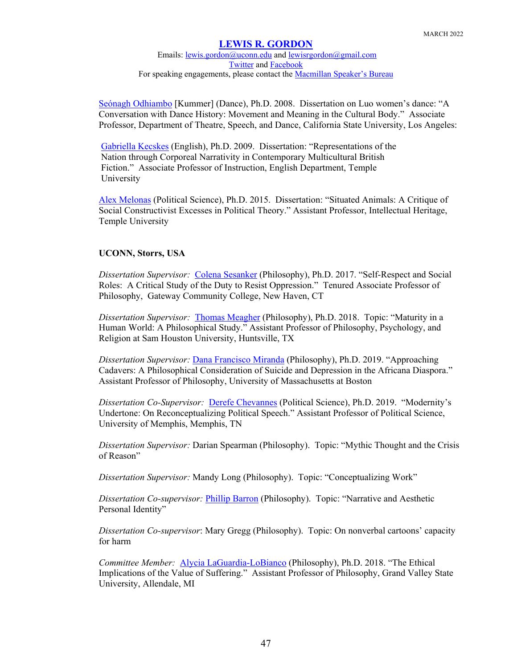Emails: [lewis.gordon@uconn.edu](mailto:lewis.gordon@uconn.edu) an[d lewisrgordon@gmail.com](mailto:lewisrgordon@gmail.com) [Twitter](https://twitter.com/lewgord) and [Facebook](https://www.facebook.com/LewisGordonPhilosopher/) For speaking engagements, please contact the **Macmillan Speaker's Bureau** 

[Seónagh Odhiambo](http://www.calstatela.edu/academic/musictheatredance/odhiambo.php) [Kummer] (Dance), Ph.D. 2008. Dissertation on Luo women's dance: "A Conversation with Dance History: Movement and Meaning in the Cultural Body." Associate Professor, Department of Theatre, Speech, and Dance, California State University, Los Angeles:

[Gabriella Kecskes](https://liberalarts.temple.edu/academics/faculty/kecskes-gabriella) (English), Ph.D. 2009. Dissertation: "Representations of the Nation through Corporeal Narrativity in Contemporary Multicultural British Fiction." Associate Professor of Instruction, English Department, Temple University

[Alex Melonas](https://temple.academia.edu/AlexMelonas) (Political Science), Ph.D. 2015. Dissertation: "Situated Animals: A Critique of Social Constructivist Excesses in Political Theory." Assistant Professor, Intellectual Heritage, Temple University

## **UCONN, Storrs, USA**

*Dissertation Supervisor:* [Colena Sesanker](https://www.ct.edu/regents/members/Colena_Sesanker) (Philosophy), Ph.D. 2017. "Self-Respect and Social Roles: A Critical Study of the Duty to Resist Oppression." Tenured Associate Professor of Philosophy, Gateway Community College, New Haven, CT

*Dissertation Supervisor:* [Thomas Meagher](http://catalog.shsu.edu/undergraduate/faculty/#m8955913) (Philosophy), Ph.D. 2018. Topic: "Maturity in a Human World: A Philosophical Study." Assistant Professor of Philosophy, Psychology, and Religion at Sam Houston University, Huntsville, TX

*Dissertation Supervisor:* [Dana Francisco Miranda](https://www.danafmiranda.com/) (Philosophy), Ph.D. 2019. "Approaching Cadavers: A Philosophical Consideration of Suicide and Depression in the Africana Diaspora." Assistant Professor of Philosophy, University of Massachusetts at Boston

*Dissertation Co-Supervisor:* [Derefe Chevannes](https://www.memphis.edu/polisci/people/faculty_and_staff/derefe-chevannes.php) (Political Science), Ph.D. 2019. "Modernity's Undertone: On Reconceptualizing Political Speech." Assistant Professor of Political Science, University of Memphis, Memphis, TN

*Dissertation Supervisor:* Darian Spearman (Philosophy). Topic: "Mythic Thought and the Crisis of Reason"

*Dissertation Supervisor:* Mandy Long (Philosophy). Topic: "Conceptualizing Work"

*Dissertation Co-supervisor:* [Phillip Barron](https://en.wikipedia.org/wiki/Phillip_Barron) (Philosophy). Topic: "Narrative and Aesthetic Personal Identity"

*Dissertation Co-supervisor*: Mary Gregg (Philosophy). Topic: On nonverbal cartoons' capacity for harm

*Committee Member:* [Alycia LaGuardia-LoBianco](https://www.gvsu.edu/philosophy/alycia-laguardia-lobianco-profile-150.htm) (Philosophy), Ph.D. 2018. "The Ethical Implications of the Value of Suffering." Assistant Professor of Philosophy, Grand Valley State University, Allendale, MI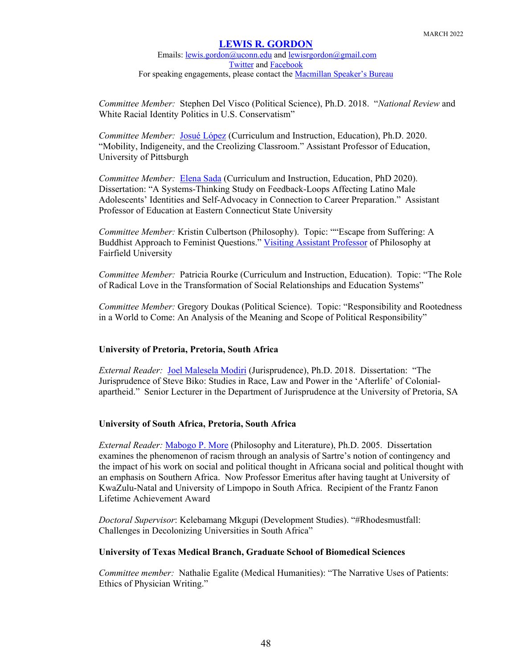Emails: [lewis.gordon@uconn.edu](mailto:lewis.gordon@uconn.edu) an[d lewisrgordon@gmail.com](mailto:lewisrgordon@gmail.com) [Twitter](https://twitter.com/lewgord) and [Facebook](https://www.facebook.com/LewisGordonPhilosopher/) For speaking engagements, please contact the **Macmillan Speaker's Bureau** 

*Committee Member:* Stephen Del Visco (Political Science), Ph.D. 2018. "*National Review* and White Racial Identity Politics in U.S. Conservatism"

*Committee Member:* [Josué López](https://www.education.pitt.edu/people/JosueLopez) (Curriculum and Instruction, Education), Ph.D. 2020. "Mobility, Indigeneity, and the Creolizing Classroom." Assistant Professor of Education, University of Pittsburgh

*Committee Member:* [Elena Sada](https://www.easternct.edu/faculty-directory/sada.html) (Curriculum and Instruction, Education, PhD 2020). Dissertation: "A Systems-Thinking Study on Feedback-Loops Affecting Latino Male Adolescents' Identities and Self-Advocacy in Connection to Career Preparation." Assistant Professor of Education at Eastern Connecticut State University

*Committee Member:* Kristin Culbertson (Philosophy). Topic: ""Escape from Suffering: A Buddhist Approach to Feminist Questions." [Visiting Assistant Professor](https://catalog.fairfield.edu/undergraduate/arts-sciences/directory/) of Philosophy at Fairfield University

*Committee Member:* Patricia Rourke (Curriculum and Instruction, Education). Topic: "The Role of Radical Love in the Transformation of Social Relationships and Education Systems"

*Committee Member:* Gregory Doukas (Political Science). Topic: "Responsibility and Rootedness in a World to Come: An Analysis of the Meaning and Scope of Political Responsibility"

## **University of Pretoria, Pretoria, South Africa**

*External Reader:* [Joel Malesela Modiri](https://www.up.ac.za/jurisprudence/article/2244500/dr-joel-m-modiri) (Jurisprudence), Ph.D. 2018. Dissertation: "The Jurisprudence of Steve Biko: Studies in Race, Law and Power in the 'Afterlife' of Colonialapartheid." Senior Lecturer in the Department of Jurisprudence at the University of Pretoria, SA

## **University of South Africa, Pretoria, South Africa**

*External Reader:* [Mabogo P. More](http://www.theconmag.co.za/2015/04/30/more-than-a-black-philosopher/) (Philosophy and Literature), Ph.D. 2005. Dissertation examines the phenomenon of racism through an analysis of Sartre's notion of contingency and the impact of his work on social and political thought in Africana social and political thought with an emphasis on Southern Africa. Now Professor Emeritus after having taught at University of KwaZulu-Natal and University of Limpopo in South Africa. Recipient of the Frantz Fanon Lifetime Achievement Award

*Doctoral Supervisor*: Kelebamang Mkgupi (Development Studies). "#Rhodesmustfall: Challenges in Decolonizing Universities in South Africa"

## **University of Texas Medical Branch, Graduate School of Biomedical Sciences**

*Committee member:* Nathalie Egalite (Medical Humanities): "The Narrative Uses of Patients: Ethics of Physician Writing."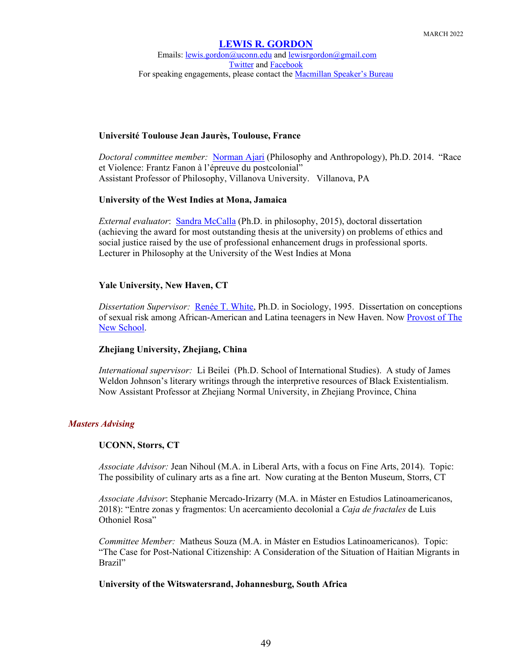Emails: [lewis.gordon@uconn.edu](mailto:lewis.gordon@uconn.edu) an[d lewisrgordon@gmail.com](mailto:lewisrgordon@gmail.com) [Twitter](https://twitter.com/lewgord) and [Facebook](https://www.facebook.com/LewisGordonPhilosopher/) For speaking engagements, please contact the [Macmillan Speaker's Bureau](https://www.macmillanspeakers.com/speaker/lewis-gordon/)

## **Université Toulouse Jean Jaurès, Toulouse, France**

*Doctoral committee member:* [Norman Ajari](https://www1.villanova.edu/villanova/artsci/philosophy/academic-programs/doctorate/people/facstaff/biodetail.html?mail=norman.ajari@villanova.edu&xsl=bio_long) (Philosophy and Anthropology), Ph.D. 2014. "Race et Violence: Frantz Fanon à l'épreuve du postcolonial" Assistant Professor of Philosophy, Villanova University. Villanova, PA

## **University of the West Indies at Mona, Jamaica**

*External evaluator*: [Sandra McCalla](https://www.mona.uwi.edu/dllp/contacts.htm) (Ph.D. in philosophy, 2015), doctoral dissertation (achieving the award for most outstanding thesis at the university) on problems of ethics and social justice raised by the use of professional enhancement drugs in professional sports. Lecturer in Philosophy at the University of the West Indies at Mona

## **Yale University, New Haven, CT**

*Dissertation Supervisor:* [Renée T. White,](http://wheatoncollege.edu/news/2016/04/26/new-provost/) Ph.D. in Sociology, 1995. Dissertation on conceptions of sexual risk among African-American and Latina teenagers in New Haven. Now [Provost of The](https://ww2.newschool.edu/pressroom/pressreleases/2021/ProvostAnnouncement.htm)  [New School.](https://ww2.newschool.edu/pressroom/pressreleases/2021/ProvostAnnouncement.htm)

## **Zhejiang University, Zhejiang, China**

*International supervisor:* Li Beilei (Ph.D. School of International Studies). A study of James Weldon Johnson's literary writings through the interpretive resources of Black Existentialism. Now Assistant Professor at Zhejiang Normal University, in Zhejiang Province, China

## *Masters Advising*

## **UCONN, Storrs, CT**

*Associate Advisor:* Jean Nihoul (M.A. in Liberal Arts, with a focus on Fine Arts, 2014). Topic: The possibility of culinary arts as a fine art. Now curating at the Benton Museum, Storrs, CT

*Associate Advisor*: Stephanie Mercado-Irizarry (M.A. in Máster en Estudios Latinoamericanos, 2018): "Entre zonas y fragmentos: Un acercamiento decolonial a *Caja de fractales* de Luis Othoniel Rosa"

*Committee Member:* Matheus Souza (M.A. in Máster en Estudios Latinoamericanos). Topic: "The Case for Post-National Citizenship: A Consideration of the Situation of Haitian Migrants in Brazil"

## **University of the Witswatersrand, Johannesburg, South Africa**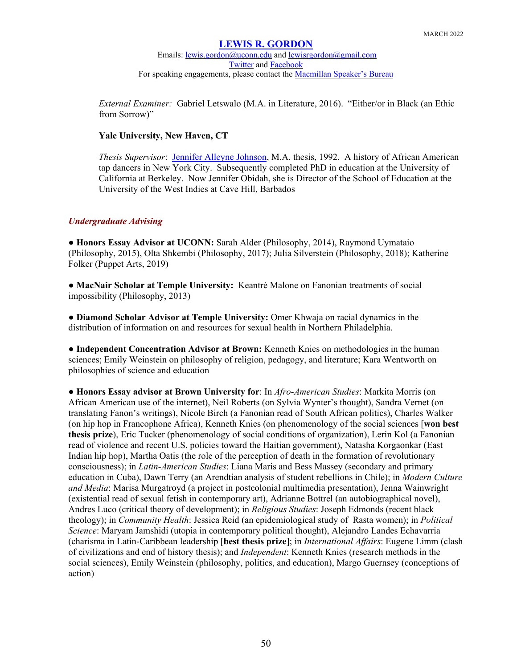Emails: [lewis.gordon@uconn.edu](mailto:lewis.gordon@uconn.edu) an[d lewisrgordon@gmail.com](mailto:lewisrgordon@gmail.com) [Twitter](https://twitter.com/lewgord) and [Facebook](https://www.facebook.com/LewisGordonPhilosopher/) For speaking engagements, please contact the [Macmillan Speaker's Bureau](https://www.macmillanspeakers.com/speaker/lewis-gordon/)

*External Examiner:* Gabriel Letswalo (M.A. in Literature, 2016). "Either/or in Black (an Ethic from Sorrow)"

### **Yale University, New Haven, CT**

*Thesis Supervisor*: [Jennifer Alleyne Johnson,](http://www.empoweringadministrators.com/research/drjwobidah.htm) M.A. thesis, 1992. A history of African American tap dancers in New York City. Subsequently completed PhD in education at the University of California at Berkeley. Now Jennifer Obidah, she is Director of the School of Education at the University of the West Indies at Cave Hill, Barbados

### *Undergraduate Advising*

● **Honors Essay Advisor at UCONN:** Sarah Alder (Philosophy, 2014), Raymond Uymataio (Philosophy, 2015), Olta Shkembi (Philosophy, 2017); Julia Silverstein (Philosophy, 2018); Katherine Folker (Puppet Arts, 2019)

● **MacNair Scholar at Temple University:** Keantré Malone on Fanonian treatments of social impossibility (Philosophy, 2013)

● **Diamond Scholar Advisor at Temple University:** Omer Khwaja on racial dynamics in the distribution of information on and resources for sexual health in Northern Philadelphia.

● **Independent Concentration Advisor at Brown:** Kenneth Knies on methodologies in the human sciences; Emily Weinstein on philosophy of religion, pedagogy, and literature; Kara Wentworth on philosophies of science and education

● **Honors Essay advisor at Brown University for**: In *Afro-American Studies*: Markita Morris (on African American use of the internet), Neil Roberts (on Sylvia Wynter's thought), Sandra Vernet (on translating Fanon's writings), Nicole Birch (a Fanonian read of South African politics), Charles Walker (on hip hop in Francophone Africa), Kenneth Knies (on phenomenology of the social sciences [**won best thesis prize**), Eric Tucker (phenomenology of social conditions of organization), Lerin Kol (a Fanonian read of violence and recent U.S. policies toward the Haitian government), Natasha Korgaonkar (East Indian hip hop), Martha Oatis (the role of the perception of death in the formation of revolutionary consciousness); in *Latin-American Studies*: Liana Maris and Bess Massey (secondary and primary education in Cuba), Dawn Terry (an Arendtian analysis of student rebellions in Chile); in *Modern Culture and Media*: Marisa Murgatroyd (a project in postcolonial multimedia presentation), Jenna Wainwright (existential read of sexual fetish in contemporary art), Adrianne Bottrel (an autobiographical novel), Andres Luco (critical theory of development); in *Religious Studies*: Joseph Edmonds (recent black theology); in *Community Health*: Jessica Reid (an epidemiological study of Rasta women); in *Political Science*: Maryam Jamshidi (utopia in contemporary political thought), Alejandro Landes Echavarria (charisma in Latin-Caribbean leadership [**best thesis prize**]; in *International Affairs*: Eugene Limm (clash of civilizations and end of history thesis); and *Independent*: Kenneth Knies (research methods in the social sciences), Emily Weinstein (philosophy, politics, and education), Margo Guernsey (conceptions of action)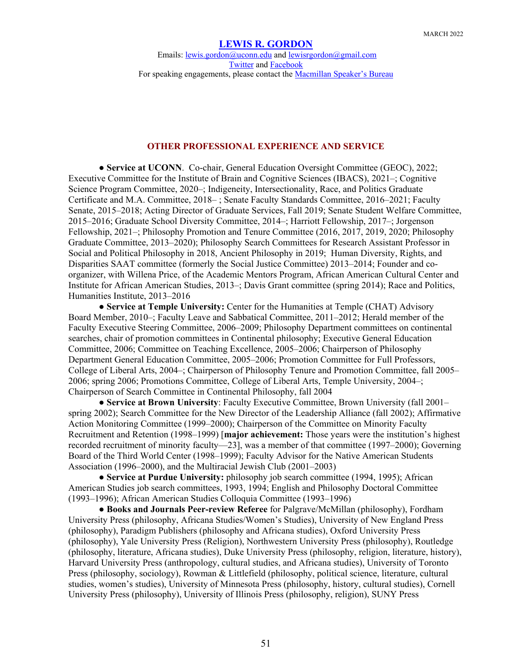Emails: [lewis.gordon@uconn.edu](mailto:lewis.gordon@uconn.edu) an[d lewisrgordon@gmail.com](mailto:lewisrgordon@gmail.com) [Twitter](https://twitter.com/lewgord) and [Facebook](https://www.facebook.com/LewisGordonPhilosopher/) For speaking engagements, please contact the **Macmillan Speaker's Bureau** 

### **OTHER PROFESSIONAL EXPERIENCE AND SERVICE**

● **Service at UCONN**. Co-chair, General Education Oversight Committee (GEOC), 2022; Executive Committee for the Institute of Brain and Cognitive Sciences (IBACS), 2021–; Cognitive Science Program Committee, 2020–; Indigeneity, Intersectionality, Race, and Politics Graduate Certificate and M.A. Committee, 2018– ; Senate Faculty Standards Committee, 2016–2021; Faculty Senate, 2015–2018; Acting Director of Graduate Services, Fall 2019; Senate Student Welfare Committee, 2015–2016; Graduate School Diversity Committee, 2014–; Harriott Fellowship, 2017–; Jorgenson Fellowship, 2021–; Philosophy Promotion and Tenure Committee (2016, 2017, 2019, 2020; Philosophy Graduate Committee, 2013–2020); Philosophy Search Committees for Research Assistant Professor in Social and Political Philosophy in 2018, Ancient Philosophy in 2019; Human Diversity, Rights, and Disparities SAAT committee (formerly the Social Justice Committee) 2013–2014; Founder and coorganizer, with Willena Price, of the Academic Mentors Program, African American Cultural Center and Institute for African American Studies, 2013–; Davis Grant committee (spring 2014); Race and Politics, Humanities Institute, 2013–2016

● **Service at Temple University:** Center for the Humanities at Temple (CHAT) Advisory Board Member, 2010–; Faculty Leave and Sabbatical Committee, 2011–2012; Herald member of the Faculty Executive Steering Committee, 2006–2009; Philosophy Department committees on continental searches, chair of promotion committees in Continental philosophy; Executive General Education Committee, 2006; Committee on Teaching Excellence, 2005–2006; Chairperson of Philosophy Department General Education Committee, 2005–2006; Promotion Committee for Full Professors, College of Liberal Arts, 2004–; Chairperson of Philosophy Tenure and Promotion Committee, fall 2005– 2006; spring 2006; Promotions Committee, College of Liberal Arts, Temple University, 2004–; Chairperson of Search Committee in Continental Philosophy, fall 2004

● **Service at Brown University**: Faculty Executive Committee, Brown University (fall 2001– spring 2002); Search Committee for the New Director of the Leadership Alliance (fall 2002); Affirmative Action Monitoring Committee (1999–2000); Chairperson of the Committee on Minority Faculty Recruitment and Retention (1998–1999) [**major achievement:** Those years were the institution's highest recorded recruitment of minority faculty—23], was a member of that committee (1997–2000); Governing Board of the Third World Center (1998–1999); Faculty Advisor for the Native American Students Association (1996–2000), and the Multiracial Jewish Club (2001–2003)

● **Service at Purdue University:** philosophy job search committee (1994, 1995); African American Studies job search committees, 1993, 1994; English and Philosophy Doctoral Committee (1993–1996); African American Studies Colloquia Committee (1993–1996)

● **Books and Journals Peer-review Referee** for Palgrave/McMillan (philosophy), Fordham University Press (philosophy, Africana Studies/Women's Studies), University of New England Press (philosophy), Paradigm Publishers (philosophy and Africana studies), Oxford University Press (philosophy), Yale University Press (Religion), Northwestern University Press (philosophy), Routledge (philosophy, literature, Africana studies), Duke University Press (philosophy, religion, literature, history), Harvard University Press (anthropology, cultural studies, and Africana studies), University of Toronto Press (philosophy, sociology), Rowman & Littlefield (philosophy, political science, literature, cultural studies, women's studies), University of Minnesota Press (philosophy, history, cultural studies), Cornell University Press (philosophy), University of Illinois Press (philosophy, religion), SUNY Press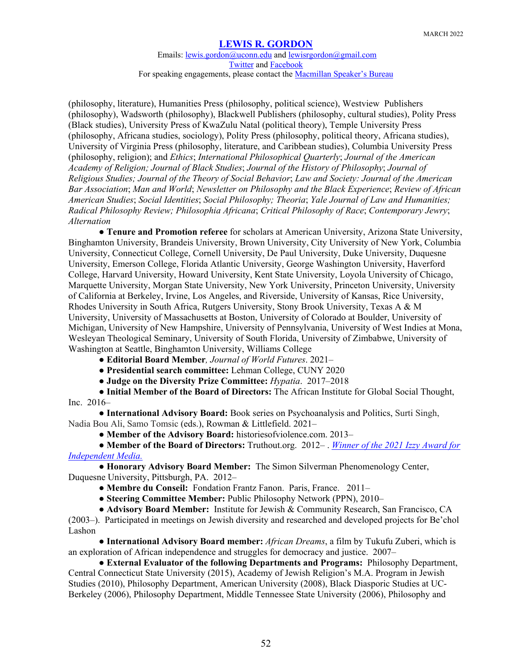Emails: [lewis.gordon@uconn.edu](mailto:lewis.gordon@uconn.edu) an[d lewisrgordon@gmail.com](mailto:lewisrgordon@gmail.com) [Twitter](https://twitter.com/lewgord) and [Facebook](https://www.facebook.com/LewisGordonPhilosopher/) For speaking engagements, please contact the **Macmillan Speaker's Bureau** 

(philosophy, literature), Humanities Press (philosophy, political science), Westview Publishers (philosophy), Wadsworth (philosophy), Blackwell Publishers (philosophy, cultural studies), Polity Press (Black studies), University Press of KwaZulu Natal (political theory), Temple University Press (philosophy, Africana studies, sociology), Polity Press (philosophy, political theory, Africana studies), University of Virginia Press (philosophy, literature, and Caribbean studies), Columbia University Press (philosophy, religion); and *Ethics*; *International Philosophical Quarterly*; *Journal of the American Academy of Religion; Journal of Black Studies*; *Journal of the History of Philosophy*; *Journal of Religious Studies; Journal of the Theory of Social Behavior*; *Law and Society: Journal of the American Bar Association*; *Man and World*; *Newsletter on Philosophy and the Black Experience*; *Review of African American Studies*; *Social Identities*; *Social Philosophy; Theoria*; *Yale Journal of Law and Humanities; Radical Philosophy Review; Philosophia Africana*; *Critical Philosophy of Race*; *Contemporary Jewry*; *Alternation*

● **Tenure and Promotion referee** for scholars at American University, Arizona State University, Binghamton University, Brandeis University, Brown University, City University of New York, Columbia University, Connecticut College, Cornell University, De Paul University, Duke University, Duquesne University, Emerson College, Florida Atlantic University, George Washington University, Haverford College, Harvard University, Howard University, Kent State University, Loyola University of Chicago, Marquette University, Morgan State University, New York University, Princeton University, University of California at Berkeley, Irvine, Los Angeles, and Riverside, University of Kansas, Rice University, Rhodes University in South Africa, Rutgers University, Stony Brook University, Texas A & M University, University of Massachusetts at Boston, University of Colorado at Boulder, University of Michigan, University of New Hampshire, University of Pennsylvania, University of West Indies at Mona, Wesleyan Theological Seminary, University of South Florida, University of Zimbabwe, University of Washington at Seattle, Binghamton University, Williams College

- **Editorial Board Member***, Journal of World Futures*. 2021–
- **Presidential search committee:** Lehman College, CUNY 2020
- **Judge on the Diversity Prize Committee:** *Hypatia*. 2017–2018

● **Initial Member of the Board of Directors:** The African Institute for Global Social Thought, Inc. 2016–

● **International Advisory Board:** Book series on Psychoanalysis and Politics, Surti Singh, Nadia Bou Ali, Samo Tomsic (eds.), Rowman & Littlefield. 2021–

● **Member of the Advisory Board:** historiesofviolence.com. 2013–

● **Member of the Board of Directors:** Truthout.org. 2012– . *[Winner of the 2021 Izzy Award for](https://www.ithaca.edu/news/izzy-award-independent-media-be-shared-truthout-and-journalists-liliana-segura-and-tim-schwab)  [Independent Media.](https://www.ithaca.edu/news/izzy-award-independent-media-be-shared-truthout-and-journalists-liliana-segura-and-tim-schwab)*

● **Honorary Advisory Board Member:** The Simon Silverman Phenomenology Center, Duquesne University, Pittsburgh, PA. 2012–

● **Membre du Conseil:** Fondation Frantz Fanon. Paris, France. 2011–

● **Steering Committee Member:** Public Philosophy Network (PPN), 2010–

● **Advisory Board Member:** Institute for Jewish & Community Research, San Francisco, CA

(2003–). Participated in meetings on Jewish diversity and researched and developed projects for Be'chol Lashon

● **International Advisory Board member:** *African Dreams*, a film by Tukufu Zuberi, which is an exploration of African independence and struggles for democracy and justice. 2007–

● **External Evaluator of the following Departments and Programs:** Philosophy Department, Central Connecticut State University (2015), Academy of Jewish Religion's M.A. Program in Jewish Studies (2010), Philosophy Department, American University (2008), Black Diasporic Studies at UC-Berkeley (2006), Philosophy Department, Middle Tennessee State University (2006), Philosophy and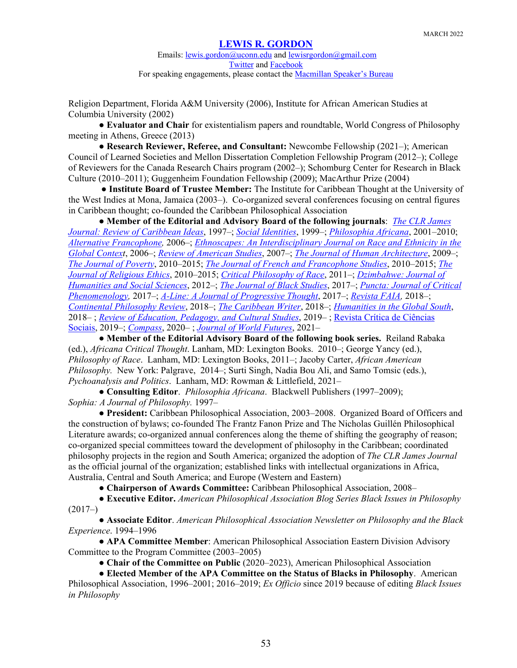Religion Department, Florida A&M University (2006), Institute for African American Studies at Columbia University (2002)

● **Evaluator and Chair** for existentialism papers and roundtable, World Congress of Philosophy meeting in Athens, Greece (2013)

● **Research Reviewer, Referee, and Consultant:** Newcombe Fellowship (2021–); American Council of Learned Societies and Mellon Dissertation Completion Fellowship Program (2012–); College of Reviewers for the Canada Research Chairs program (2002–); Schomburg Center for Research in Black Culture (2010–2011); Guggenheim Foundation Fellowship (2009); MacArthur Prize (2004)

● **Institute Board of Trustee Member:** The Institute for Caribbean Thought at the University of the West Indies at Mona, Jamaica (2003–). Co-organized several conferences focusing on central figures in Caribbean thought; co-founded the Caribbean Philosophical Association

● **Member of the Editorial and Advisory Board of the following journals**: *[The CLR James](https://www.pdcnet.org/clrjames/The-CLR-James-Journal)  [Journal: Review of Caribbean Ideas](https://www.pdcnet.org/clrjames/The-CLR-James-Journal)*, 1997–; *[Social Identities](https://www.tandfonline.com/loi/csid20)*, 1999–; *[Philosophia Africana](https://www.pdcnet.org/philafricana/Philosophia-Africana)*, 2001–2010; *[Alternative Francophone,](https://journals.library.ualberta.ca/af/index.php/af)* 2006–; *[Ethnoscapes: An Interdisciplinary Journal on Race and Ethnicity in the](https://call-for-papers.sas.upenn.edu/cfp/2006/12/11/cfp-ethnoscapes-an-interdisciplinary-journal-on-race-and-ethnicity-in-the-global)  [Global Context](https://call-for-papers.sas.upenn.edu/cfp/2006/12/11/cfp-ethnoscapes-an-interdisciplinary-journal-on-race-and-ethnicity-in-the-global)*, 2006–; *Review of [American Studies](https://www.tandfonline.com/toc/wpov20/current)*, 2007–; *[The Journal of Human Architecture](https://scholarworks.umb.edu/humanarchitecture/about.html)*, 2009–; *[The Journal of Poverty](https://www.tandfonline.com/toc/wpov20/current)*, 2010–2015; *[The Journal of French and Francophone Studies](https://guides.library.illinois.edu/c.php?g=694848&p=4925644)*, 2010–2015; *[The](https://www.wiley.com/en-us/Journal+of+Religious+Ethics-p-9780JRNL62545)  [Journal of Religious Ethics](https://www.wiley.com/en-us/Journal+of+Religious+Ethics-p-9780JRNL62545)*, 2010–2015; *[Critical Philosophy of Race](http://www.psupress.org/Journals/jnls_CPR.html)*, 2011–; *[Dzimbahwe: Journal of](https://www.gzu.ac.zw/journals/)  [Humanities and Social Sciences](https://www.gzu.ac.zw/journals/)*, 2012–; *[The Journal of Black Studies](https://journals.sagepub.com/home/jbs)*, 2017–; *[Puncta: Journal of Critical](http://journals.oregondigital.org/index.php/pjcp)  [Phenomenology,](http://journals.oregondigital.org/index.php/pjcp)* 2017–; *A-Line: A Journal of [Progressive Thought](https://alinejournal.com/page/2/)*, 2017–; *[Revista FAIA,](http://editorialabiertafaia.com/pifilojs/index.php/FAIA/index)* 2018–; *[Continental Philosophy Review](https://www.springer.com/journal/11007)*, 2018–; *[The Caribbean Writer](https://www.thecaribbeanwriter.org/)*, 2018–; *[Humanities in the Global South](https://journals.ukzn.ac.za/index.php/higs)*, 2018– ; *[Review of Education, Pedagogy, and Cultural Studies](https://www.tandfonline.com/toc/gred20/current)*, 2019– ; [Revista Crítica de Ciências](https://ces.uc.pt/en/publicacoes/revista-critica-de-ciencias-sociais)  [Sociais,](https://ces.uc.pt/en/publicacoes/revista-critica-de-ciencias-sociais) 2019–; *[Compass](https://journals.gre.ac.uk/index.php/compass)*, 2020– ; *[Journal of World Futures](https://www.tandfonline.com/action/journalInformation?show=editorialBoard&journalCode=gwof20)*, 2021–

● **Member of the Editorial Advisory Board of the following book series.** Reiland Rabaka (ed.), *Africana Critical Thought*. Lanham, MD: Lexington Books. 2010–; George Yancy (ed.), *Philosophy of Race*. Lanham, MD: Lexington Books, 2011–; Jacoby Carter, *African American Philosophy.* New York: Palgrave, 2014–; Surti Singh, Nadia Bou Ali, and Samo Tomsic (eds.), *Pychoanalysis and Politics*. Lanham, MD: Rowman & Littlefield, 2021–

● **Consulting Editor**. *Philosophia Africana*. Blackwell Publishers (1997–2009); *Sophia: A Journal of Philosophy.* 1997–

● **President:** Caribbean Philosophical Association, 2003–2008. Organized Board of Officers and the construction of bylaws; co-founded The Frantz Fanon Prize and The Nicholas Guillén Philosophical Literature awards; co-organized annual conferences along the theme of shifting the geography of reason; co-organized special committees toward the development of philosophy in the Caribbean; coordinated philosophy projects in the region and South America; organized the adoption of *The CLR James Journal* as the official journal of the organization; established links with intellectual organizations in Africa, Australia, Central and South America; and Europe (Western and Eastern)

● **Chairperson of Awards Committee:** Caribbean Philosophical Association, 2008–

● **Executive Editor.** *American Philosophical Association Blog Series Black Issues in Philosophy*  $(2017-)$ 

● **Associate Editor**. *American Philosophical Association Newsletter on Philosophy and the Black Experience*. 1994–1996

● **APA Committee Member**: American Philosophical Association Eastern Division Advisory Committee to the Program Committee (2003–2005)

● **Chair of the Committee on Public** (2020–2023), American Philosophical Association

● **Elected Member of the APA Committee on the Status of Blacks in Philosophy**. American Philosophical Association, 1996–2001; 2016–2019; *Ex Officio* since 2019 because of editing *Black Issues in Philosophy*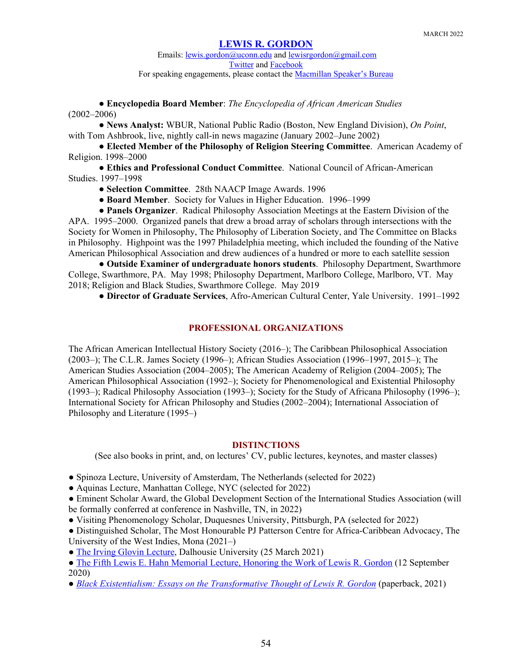Emails: [lewis.gordon@uconn.edu](mailto:lewis.gordon@uconn.edu) an[d lewisrgordon@gmail.com](mailto:lewisrgordon@gmail.com) [Twitter](https://twitter.com/lewgord) and [Facebook](https://www.facebook.com/LewisGordonPhilosopher/) For speaking engagements, please contact the **Macmillan Speaker's Bureau** 

● **Encyclopedia Board Member**: *The Encyclopedia of African American Studies* (2002–2006)

● **News Analyst:** WBUR, National Public Radio (Boston, New England Division), *On Point*, with Tom Ashbrook, live, nightly call-in news magazine (January 2002–June 2002)

● **Elected Member of the Philosophy of Religion Steering Committee**. American Academy of Religion. 1998–2000

● **Ethics and Professional Conduct Committee**. National Council of African-American Studies. 1997–1998

● **Selection Committee**. 28th NAACP Image Awards. 1996

● **Board Member**. Society for Values in Higher Education. 1996–1999

● **Panels Organizer**. Radical Philosophy Association Meetings at the Eastern Division of the APA. 1995–2000. Organized panels that drew a broad array of scholars through intersections with the Society for Women in Philosophy, The Philosophy of Liberation Society, and The Committee on Blacks in Philosophy. Highpoint was the 1997 Philadelphia meeting, which included the founding of the Native American Philosophical Association and drew audiences of a hundred or more to each satellite session

● **Outside Examiner of undergraduate honors students**. Philosophy Department, Swarthmore College, Swarthmore, PA. May 1998; Philosophy Department, Marlboro College, Marlboro, VT. May 2018; Religion and Black Studies, Swarthmore College. May 2019

● **Director of Graduate Services**, Afro-American Cultural Center, Yale University. 1991–1992

### **PROFESSIONAL ORGANIZATIONS**

The African American Intellectual History Society (2016–); The Caribbean Philosophical Association (2003–); The C.L.R. James Society (1996–); African Studies Association (1996–1997, 2015–); The American Studies Association (2004–2005); The American Academy of Religion (2004–2005); The American Philosophical Association (1992–); Society for Phenomenological and Existential Philosophy (1993–); Radical Philosophy Association (1993–); Society for the Study of Africana Philosophy (1996–); International Society for African Philosophy and Studies (2002–2004); International Association of Philosophy and Literature (1995–)

#### **DISTINCTIONS**

(See also books in print, and, on lectures' CV, public lectures, keynotes, and master classes)

- Spinoza Lecture, University of Amsterdam, The Netherlands (selected for 2022)
- Aquinas Lecture, Manhattan College, NYC (selected for 2022)
- Eminent Scholar Award, the Global Development Section of the International Studies Association (will be formally conferred at conference in Nashville, TN, in 2022)
- Visiting Phenomenology Scholar, Duquesnes University, Pittsburgh, PA (selected for 2022)

● Distinguished Scholar, The Most Honourable PJ Patterson Centre for Africa-Caribbean Advocacy, The University of the West Indies, Mona (2021–)

- [The Irving Glovin Lecture,](https://www.youtube.com/watch?v=NZlj2iEnFYg&list=PL0m4G0XskoHmg7s-VSBFrG4EghnLkFf4k&index=35) Dalhousie University (25 March 2021)
- [The Fifth Lewis E. Hahn Memorial Lecture, Honoring the Work of Lewis R. Gordon](https://creativityfoundation.org/hahn-lectures-september-12-2020-lewis-r-gordon?fbclid=IwAR2xqp5mQXBiQ0roWiujetjVm3vPvUzKIe89UEPdm8SDmEkLrfTsKr6DVEk) (12 September 2020)
- *[Black Existentialism: Essays on the Transformative Thought of Lewis R. Gordon](https://rowman.com/ISBN/9781786611475/Black-Existentialism-Essays-on-the-Transformative-Thought-of-Lewis-R-Gordon)* (paperback, 2021)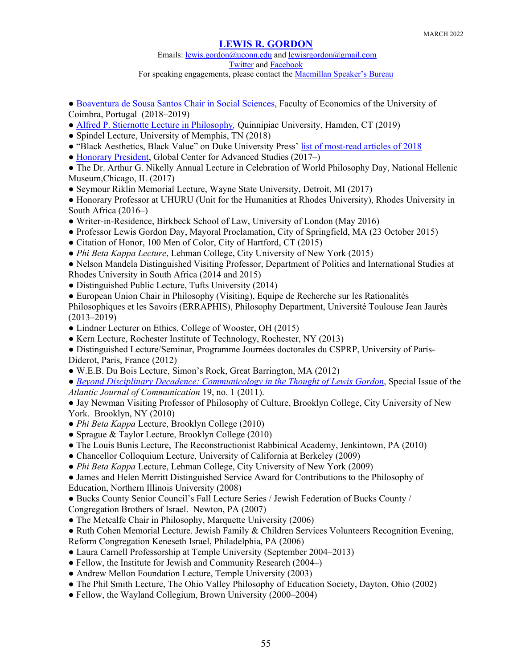## Emails: [lewis.gordon@uconn.edu](mailto:lewis.gordon@uconn.edu) an[d lewisrgordon@gmail.com](mailto:lewisrgordon@gmail.com) [Twitter](https://twitter.com/lewgord) and [Facebook](https://www.facebook.com/LewisGordonPhilosopher/)

For speaking engagements, please contact the [Macmillan Speaker's Bureau](https://www.macmillanspeakers.com/speaker/lewis-gordon/)

- [Boaventura de Sousa Santos Chair](https://www.uc.pt/feuc/eea/catedra_bvss_en) in Social Sciences, Faculty of Economics of the University of Coimbra, Portugal (2018–2019)
- [Alfred P. Stiernotte Lecture in Philosophy](https://www.youtube.com/watch?v=t0jmlU18MTE)*,* Quinnipiac University, Hamden, CT (2019)
- Spindel Lecture, University of Memphis, TN (2018)
- "Black Aesthetics, Black Value" on Duke University Press' [list of most-read articles of 2018](https://dukeupress.wordpress.com/2018/12/20/the-most-read-articles-of-2018/)
- [Honorary President,](https://gcas.ie/honorary-president) Global Center for Advanced Studies (2017–)
- The Dr. Arthur G. Nikelly Annual Lecture in Celebration of World Philosophy Day, National Hellenic Museum,Chicago, IL (2017)
- Seymour Riklin Memorial Lecture, Wayne State University, Detroit, MI (2017)
- Honorary Professor at UHURU (Unit for the Humanities at Rhodes University), Rhodes University in South Africa (2016–)
- Writer-in-Residence, Birkbeck School of Law, University of London (May 2016)
- Professor Lewis Gordon Day, Mayoral Proclamation, City of Springfield, MA (23 October 2015)
- Citation of Honor, 100 Men of Color, City of Hartford, CT (2015)
- *Phi Beta Kappa Lecture*, Lehman College, City University of New York (2015)
- Nelson Mandela Distinguished Visiting Professor, Department of Politics and International Studies at Rhodes University in South Africa (2014 and 2015)
- Distinguished Public Lecture, Tufts University (2014)
- European Union Chair in Philosophy (Visiting), Equipe de Recherche sur les Rationalités

Philosophiques et les Savoirs (ERRAPHIS), Philosophy Department, Université Toulouse Jean Jaurès (2013–2019)

- Lindner Lecturer on Ethics, College of Wooster, OH (2015)
- Kern Lecture, Rochester Institute of Technology, Rochester, NY (2013)

● Distinguished Lecture/Seminar, Programme Journées doctorales du CSPRP, University of Paris-Diderot, Paris, France (2012)

- W.E.B. Du Bois Lecture, Simon's Rock, Great Barrington, MA (2012)
- *[Beyond Disciplinary Decadence: Communicology in the Thought of Lewis Gordon](https://www.tandfonline.com/toc/hajc20/19/1)*, Special Issue of the *Atlantic Journal of Communication* 19, no. 1 (2011).
- Jay Newman Visiting Professor of Philosophy of Culture, Brooklyn College, City University of New York. Brooklyn, NY (2010)
- *Phi Beta Kappa* Lecture, Brooklyn College (2010)
- Sprague & Taylor Lecture, Brooklyn College (2010)
- The Louis Bunis Lecture, The Reconstructionist Rabbinical Academy, Jenkintown, PA (2010)
- Chancellor Colloquium Lecture, University of California at Berkeley (2009)
- *Phi Beta Kappa* Lecture, Lehman College, City University of New York (2009)
- James and Helen Merritt Distinguished Service Award for Contributions to the Philosophy of Education, Northern Illinois University (2008)
- Bucks County Senior Council's Fall Lecture Series / Jewish Federation of Bucks County /
- Congregation Brothers of Israel. Newton, PA (2007)
- The Metcalfe Chair in Philosophy, Marquette University (2006)
- Ruth Cohen Memorial Lecture. Jewish Family & Children Services Volunteers Recognition Evening,
- Reform Congregation Keneseth Israel, Philadelphia, PA (2006)
- Laura Carnell Professorship at Temple University (September 2004–2013)
- Fellow, the Institute for Jewish and Community Research (2004–)
- Andrew Mellon Foundation Lecture, Temple University (2003)
- The Phil Smith Lecture, The Ohio Valley Philosophy of Education Society, Dayton, Ohio (2002)
- Fellow, the Wayland Collegium, Brown University (2000–2004)